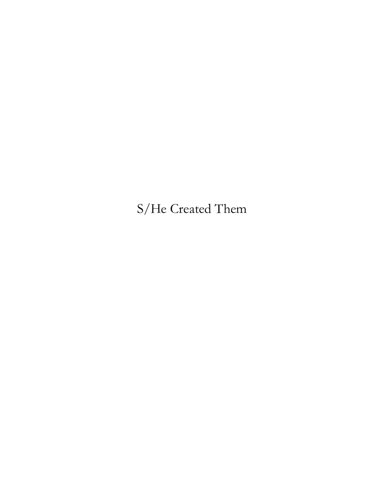# S/He Created Them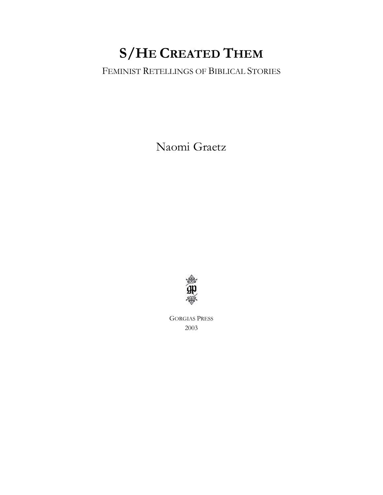# **S/HE CREATED THEM**

# FEMINIST RETELLINGS OF BIBLICAL STORIES

Naomi Graetz



GORGIAS PRESS 2003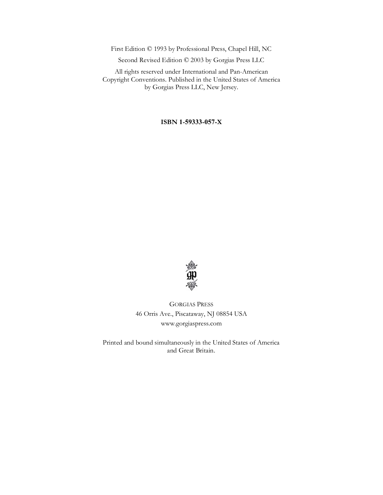First Edition © 1993 by Professional Press, Chapel Hill, NC

Second Revised Edition © 2003 by Gorgias Press LLC

All rights reserved under International and Pan-American Copyright Conventions. Published in the United States of America by Gorgias Press LLC, New Jersey.

#### **ISBN 1-59333-057-X**



GORGIAS PRESS 46 Orris Ave., Piscataway, NJ 08854 USA www.gorgiaspress.com

Printed and bound simultaneously in the United States of America and Great Britain.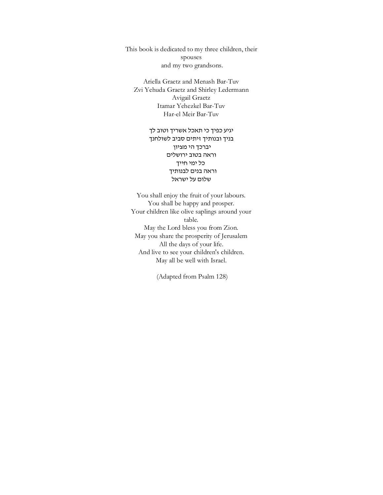This book is dedicated to my three children, their spouses and my two grandsons.

Ariella Graetz and Menash Bar-Tuv Zvi Yehuda Graetz and Shirley Ledermann Avigail Graetz Itamar Yehezkel Bar-Tuv Har-el Meir Bar-Tuv

> יגיע כפיך כי תאכל אשריך וטוב לך בניך ובנותיך זיתים סביב לשולחנך יברכך הי מציון וראה בטוב ירושלים כל ימי חייך וראה בנים לבנותיך שלום על ישראל

You shall enjoy the fruit of your labours. You shall be happy and prosper. Your children like olive saplings around your table. May the Lord bless you from Zion. May you share the prosperity of Jerusalem All the days of your life. And live to see your children's children. May all be well with Israel.

(Adapted from Psalm 128)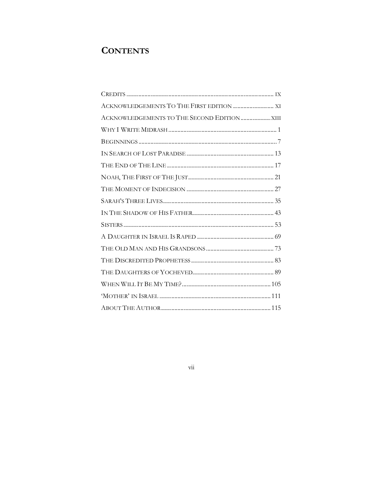# **CONTENTS**

| ACKNOWLEDGEMENTS TO THE FIRST EDITION  XI |  |
|-------------------------------------------|--|
|                                           |  |
|                                           |  |
|                                           |  |
|                                           |  |
|                                           |  |
|                                           |  |
|                                           |  |
|                                           |  |
|                                           |  |
|                                           |  |
|                                           |  |
|                                           |  |
|                                           |  |
|                                           |  |
|                                           |  |
|                                           |  |
|                                           |  |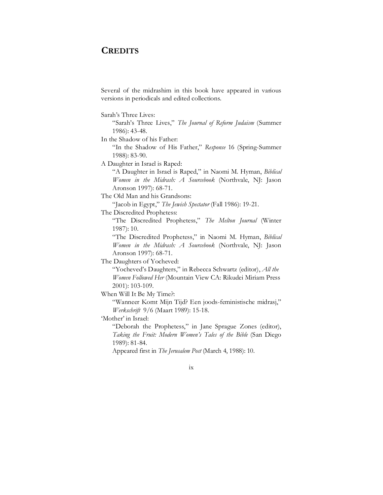#### **CREDITS**

Several of the midrashim in this book have appeared in various versions in periodicals and edited collections.

Sarah's Three Lives:

"Sarah's Three Lives," *The Journal of Reform Judaism* (Summer 1986): 43-48.

In the Shadow of his Father:

"In the Shadow of His Father," *Response* 16 (Spring-Summer 1988): 83-90.

A Daughter in Israel is Raped:

"A Daughter in Israel is Raped," in Naomi M. Hyman, *Biblical Women in the Midrash: A Sourcebook* (Northvale, NJ: Jason Aronson 1997): 68-71.

The Old Man and his Grandsons:

"Jacob in Egypt," *The Jewish Spectator* (Fall 1986): 19-21.

The Discredited Prophetess:

"The Discredited Prophetess," *The Melton Journal* (Winter 1987): 10.

"The Discredited Prophetess," in Naomi M. Hyman, *Biblical Women in the Midrash: A Sourcebook* (Northvale, NJ: Jason Aronson 1997): 68-71.

The Daughters of Yocheved:

"Yocheved's Daughters," in Rebecca Schwartz (editor), *All the Women Followed Her* (Mountain View CA: Rikudei Miriam Press 2001): 103-109.

When Will It Be My Time?:

"Wanneer Komt Mijn Tijd? Een joods-feministische midrasj," *Werkschrift* 9/6 (Maart 1989): 15-18.

'Mother' in Israel:

"Deborah the Prophetess," in Jane Sprague Zones (editor), *Taking the Fruit: Modern Women's Tales of the Bible* (San Diego 1989): 81-84.

Appeared first in *The Jerusalem Post* (March 4, 1988): 10.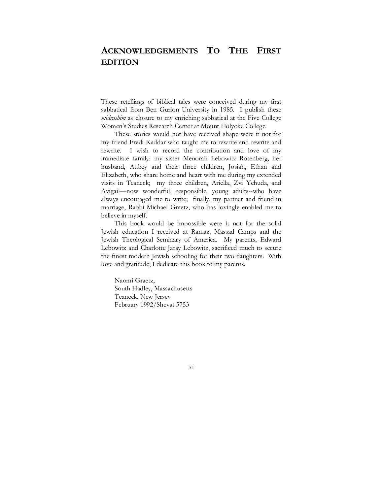# **ACKNOWLEDGEMENTS TO THE FIRST EDITION**

These retellings of biblical tales were conceived during my first sabbatical from Ben Gurion University in 1985. I publish these *midrashim* as closure to my enriching sabbatical at the Five College Women's Studies Research Center at Mount Holyoke College.

These stories would not have received shape were it not for my friend Fredi Kaddar who taught me to rewrite and rewrite and rewrite. I wish to record the contribution and love of my immediate family: my sister Menorah Lebowitz Rotenberg, her husband, Aubey and their three children, Josiah, Ethan and Elizabeth, who share home and heart with me during my extended visits in Teaneck; my three children, Ariella, Zvi Yehuda, and Avigail—now wonderful, responsible, young adults--who have always encouraged me to write; finally, my partner and friend in marriage, Rabbi Michael Graetz, who has lovingly enabled me to believe in myself.

This book would be impossible were it not for the solid Jewish education I received at Ramaz, Massad Camps and the Jewish Theological Seminary of America. My parents, Edward Lebowitz and Charlotte Jaray Lebowitz, sacrificed much to secure the finest modern Jewish schooling for their two daughters. With love and gratitude, I dedicate this book to my parents.

Naomi Graetz, South Hadley, Massachusetts Teaneck, New Jersey February 1992/Shevat 5753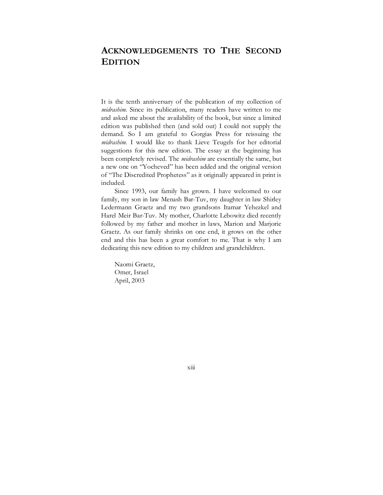# **ACKNOWLEDGEMENTS TO THE SECOND EDITION**

It is the tenth anniversary of the publication of my collection of *midrashim*. Since its publication, many readers have written to me and asked me about the availability of the book, but since a limited edition was published then (and sold out) I could not supply the demand. So I am grateful to Gorgias Press for reissuing the *midrashim*. I would like to thank Lieve Teugels for her editorial suggestions for this new edition. The essay at the beginning has been completely revised. The *midrashim* are essentially the same, but a new one on "Yocheved" has been added and the original version of "The Discredited Prophetess" as it originally appeared in print is included.

Since 1993, our family has grown. I have welcomed to our family, my son in law Menash Bar-Tuv, my daughter in law Shirley Ledermann Graetz and my two grandsons Itamar Yehezkel and Harel Meir Bar-Tuv. My mother, Charlotte Lebowitz died recently followed by my father and mother in laws, Marion and Marjorie Graetz. As our family shrinks on one end, it grows on the other end and this has been a great comfort to me. That is why I am dedicating this new edition to my children and grandchildren.

Naomi Graetz, Omer, Israel April, 2003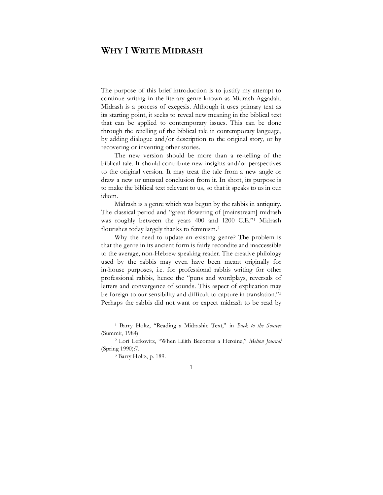### **WHY I WRITE MIDRASH**

The purpose of this brief introduction is to justify my attempt to continue writing in the literary genre known as Midrash Aggadah. Midrash is a process of exegesis. Although it uses primary text as its starting point, it seeks to reveal new meaning in the biblical text that can be applied to contemporary issues. This can be done through the retelling of the biblical tale in contemporary language, by adding dialogue and/or description to the original story, or by recovering or inventing other stories.

The new version should be more than a re-telling of the biblical tale. It should contribute new insights and/or perspectives to the original version. It may treat the tale from a new angle or draw a new or unusual conclusion from it. In short, its purpose is to make the biblical text relevant to us, so that it speaks to us in our idiom.

Midrash is a genre which was begun by the rabbis in antiquity. The classical period and "great flowering of [mainstream] midrash was roughly between the years 400 and 1200 C.E."1 Midrash flourishes today largely thanks to feminism.2

Why the need to update an existing genre? The problem is that the genre in its ancient form is fairly recondite and inaccessible to the average, non-Hebrew speaking reader. The creative philology used by the rabbis may even have been meant originally for in-house purposes, i.e. for professional rabbis writing for other professional rabbis, hence the "puns and wordplays, reversals of letters and convergence of sounds. This aspect of explication may be foreign to our sensibility and difficult to capture in translation."<sup>3</sup> Perhaps the rabbis did not want or expect midrash to be read by

<sup>1</sup> Barry Holtz, "Reading a Midrashic Text," in *Back to the Sources* (Summit, 1984). 2 Lori Lefkovitz, "When Lilith Becomes a Heroine," *Melton Journal*

<sup>(</sup>Spring 1990):7. 3 Barry Holtz, p. 189.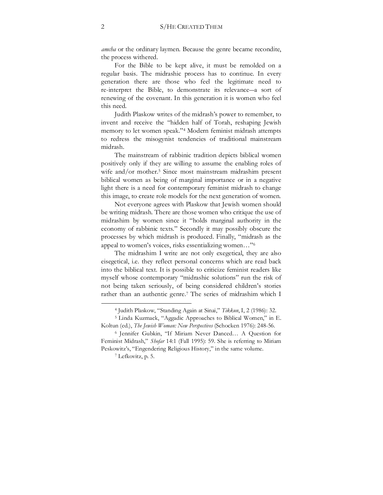*amcha* or the ordinary laymen. Because the genre became recondite, the process withered.

For the Bible to be kept alive, it must be remolded on a regular basis. The midrashic process has to continue. In every generation there are those who feel the legitimate need to re-interpret the Bible, to demonstrate its relevance―a sort of renewing of the covenant. In this generation it is women who feel this need.

Judith Plaskow writes of the midrash's power to remember, to invent and receive the "hidden half of Torah, reshaping Jewish memory to let women speak."4 Modern feminist midrash attempts to redress the misogynist tendencies of traditional mainstream midrash.

The mainstream of rabbinic tradition depicts biblical women positively only if they are willing to assume the enabling roles of wife and/or mother.<sup>5</sup> Since most mainstream midrashim present biblical women as being of marginal importance or in a negative light there is a need for contemporary feminist midrash to change this image, to create role models for the next generation of women.

Not everyone agrees with Plaskow that Jewish women should be writing midrash. There are those women who critique the use of midrashim by women since it "holds marginal authority in the economy of rabbinic texts." Secondly it may possibly obscure the processes by which midrash is produced. Finally, "midrash as the appeal to women's voices, risks essentializing women…"6

The midrashim I write are not only exegetical, they are also eisegetical, i.e. they reflect personal concerns which are read back into the biblical text. It is possible to criticize feminist readers like myself whose contemporary "midrashic solutions" run the risk of not being taken seriously, of being considered children's stories rather than an authentic genre.7 The series of midrashim which I

<sup>4</sup> Judith Plaskow, "Standing Again at Sinai," *Tikkun*, I, 2 (1986): 32.

<sup>5</sup> Linda Kuzmack, "Aggadic Approaches to Biblical Women," in E. Koltun (ed.), *The Jewish Woman: New Perspectives* (Schocken 1976): 248-56.<br><sup>6</sup> Jennifer Gubkin, "If Miriam Never Danced... A Question for

Feminist Midrash," *Shofar* 14:1 (Fall 1995): 59. She is referring to Miriam Peskowitz's, "Engendering Religious History," in the same volume. 7 Lefkovitz, p. 5.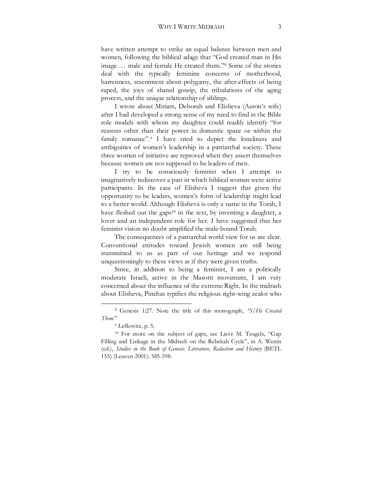have written attempt to strike an equal balance between men and women, following the biblical adage that "God created man in His image … male and female He created them."8 Some of the stories deal with the typically feminine concerns of motherhood, barrenness, resentment about polygamy, the after-effects of being raped, the joys of shared gossip, the tribulations of the aging process, and the unique relationship of siblings.

I wrote about Miriam, Deborah and Elisheva (Aaron's wife) after I had developed a strong sense of my need to find in the Bible role models with whom my daughter could readily identify "for reasons other than their power in domestic space or within the family romance".9 I have tried to depict the loneliness and ambiguities of women's leadership in a patriarchal society. These three women of initiative are reproved when they assert themselves because women are not supposed to be leaders of men.

I try to be consciously feminist when I attempt to imaginatively rediscover a past in which biblical women were active participants. In the case of Elisheva I suggest that given the opportunity to be leaders, women's form of leadership might lead to a better world. Although Elisheva is only a name in the Torah, I have fleshed out the gaps<sup>10</sup> in the text, by inventing a daughter, a lover and an independent role for her. I have suggested that her feminist vision no doubt amplified the male-bound Torah.

The consequences of a patriarchal world view for us are clear. Conventional attitudes toward Jewish women are still being transmitted to us as part of our heritage and we respond unquestioningly to these views as if they were given truths.

Since, in addition to being a feminist, I am a politically moderate Israeli, active in the Masorti movement, I am very concerned about the influence of the extreme Right. In the midrash about Elisheva, Pinchas typifies the religious right-wing zealot who

<sup>8</sup> Genesis 1:27. Note the title of this monograph, *"S/He Created Them.*"

<sup>9</sup> Lefkovitz, p. 5.

<sup>10</sup> For more on the subject of gaps, see Lieve M. Teugels, "Gap Filling and Linkage in the Midrash on the Rebekah Cycle", in A. Wenin (ed.), *Studies in the Book of Genesis*. *Literature, Redaction and History* (BETL 155) (Leuven 2001): 585-598.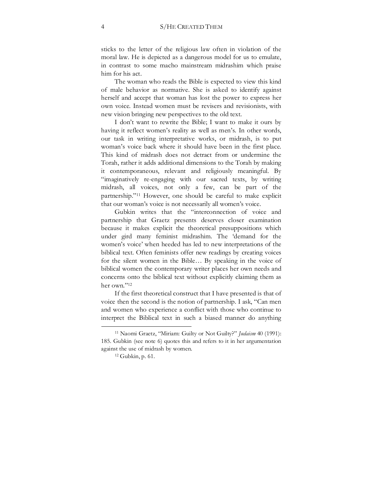sticks to the letter of the religious law often in violation of the moral law. He is depicted as a dangerous model for us to emulate, in contrast to some macho mainstream midrashim which praise him for his act.

The woman who reads the Bible is expected to view this kind of male behavior as normative. She is asked to identify against herself and accept that woman has lost the power to express her own voice. Instead women must be revisers and revisionists, with new vision bringing new perspectives to the old text.

I don't want to rewrite the Bible; I want to make it ours by having it reflect women's reality as well as men's. In other words, our task in writing interpretative works, or midrash, is to put woman's voice back where it should have been in the first place. This kind of midrash does not detract from or undermine the Torah, rather it adds additional dimensions to the Torah by making it contemporaneous, relevant and religiously meaningful. By "imaginatively re-engaging with our sacred texts, by writing midrash, all voices, not only a few, can be part of the partnership."11 However, one should be careful to make explicit that our woman's voice is not necessarily all women's voice.

Gubkin writes that the "interconnection of voice and partnership that Graetz presents deserves closer examination because it makes explicit the theoretical presuppositions which under gird many feminist midrashim. The 'demand for the women's voice' when heeded has led to new interpretations of the biblical text. Often feminists offer new readings by creating voices for the silent women in the Bible… By speaking in the voice of biblical women the contemporary writer places her own needs and concerns onto the biblical text without explicitly claiming them as her own."12

If the first theoretical construct that I have presented is that of voice then the second is the notion of partnership. I ask, "Can men and women who experience a conflict with those who continue to interpret the Biblical text in such a biased manner do anything

<sup>11</sup> Naomi Graetz, "Miriam: Guilty or Not Guilty?" *Judaism* 40 (1991): 185. Gubkin (see note 6) quotes this and refers to it in her argumentation against the use of midrash by women. 12 Gubkin, p. 61.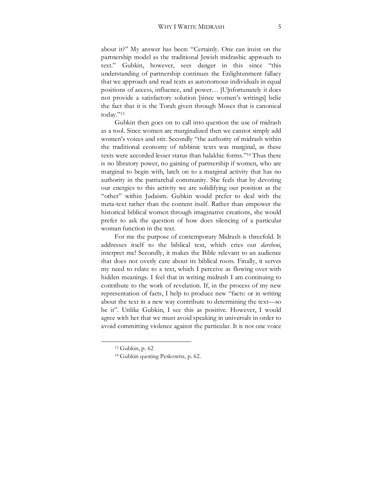about it?" My answer has been: "Certainly. One can insist on the partnership model as the traditional Jewish midrashic approach to text." Gubkin, however, sees danger in this since "this understanding of partnership continues the Enlightenment fallacy that we approach and read texts as autonomous individuals in equal positions of access, influence, and power… [U]nfortunately it does not provide a satisfactory solution [since women's writings] belie the fact that it is the Torah given through Moses that is canonical today."13

Gubkin then goes on to call into question the use of midrash as a tool. Since women are marginalized then we cannot simply add women's voices and stir. Secondly "the authority of midrash within the traditional economy of rabbinic texts was marginal, as these texts were accorded lesser status than halakhic forms."14 Thus there is no libratory power, no gaining of partnership if women, who are marginal to begin with, latch on to a marginal activity that has no authority in the patriarchal community. She feels that by devoting our energies to this activity we are solidifying our position as the "other" within Judaism. Gubkin would prefer to deal with the meta-text rather than the content itself. Rather than empower the historical biblical women through imaginative creations, she would prefer to ask the question of how does silencing of a particular woman function in the text.

For me the purpose of contemporary Midrash is threefold. It addresses itself to the biblical text, which cries out *darsheni*, interpret me! Secondly, it makes the Bible relevant to an audience that does not overly care about its biblical roots. Finally, it serves my need to relate to a text, which I perceive as flowing over with hidden meanings. I feel that in writing midrash I am continuing to contribute to the work of revelation. If, in the process of my new representation of facts, I help to produce new "facts: or in writing about the text in a new way contribute to determining the text—so be it". Unlike Gubkin, I see this as positive. However, I would agree with her that we must avoid speaking in universals in order to avoid committing violence against the particular. It is not one voice

<sup>13</sup> Gubkin, p. 62

<sup>14</sup> Gubkin quoting Peskowitz, p. 62.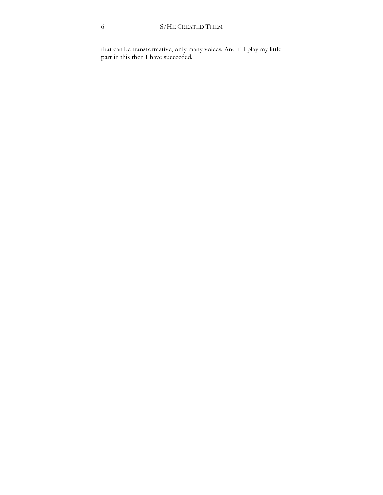that can be transformative, only many voices. And if I play my little part in this then I have succeeded.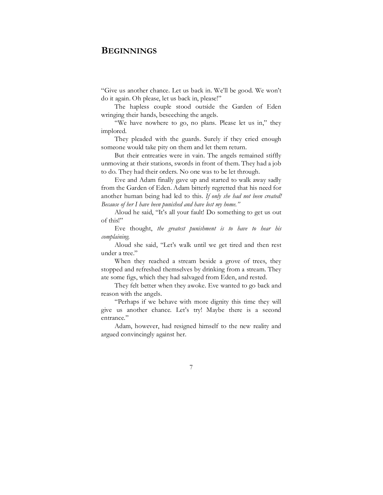#### **BEGINNINGS**

"Give us another chance. Let us back in. We'll be good. We won't do it again. Oh please, let us back in, please!"

The hapless couple stood outside the Garden of Eden wringing their hands, beseeching the angels.

"We have nowhere to go, no plans. Please let us in," they implored.

They pleaded with the guards. Surely if they cried enough someone would take pity on them and let them return.

But their entreaties were in vain. The angels remained stiffly unmoving at their stations, swords in front of them. They had a job to do. They had their orders. No one was to be let through.

Eve and Adam finally gave up and started to walk away sadly from the Garden of Eden. Adam bitterly regretted that his need for another human being had led to this. *If only she had not been created! Because of her I have been punished and have lost my home."*

Aloud he said, "It's all your fault! Do something to get us out of this!"

Eve thought, *the greatest punishment is to have to hear his complaining*.

Aloud she said, "Let's walk until we get tired and then rest under a tree."

When they reached a stream beside a grove of trees, they stopped and refreshed themselves by drinking from a stream. They ate some figs, which they had salvaged from Eden, and rested.

They felt better when they awoke. Eve wanted to go back and reason with the angels.

"Perhaps if we behave with more dignity this time they will give us another chance. Let's try! Maybe there is a second entrance."

Adam, however, had resigned himself to the new reality and argued convincingly against her.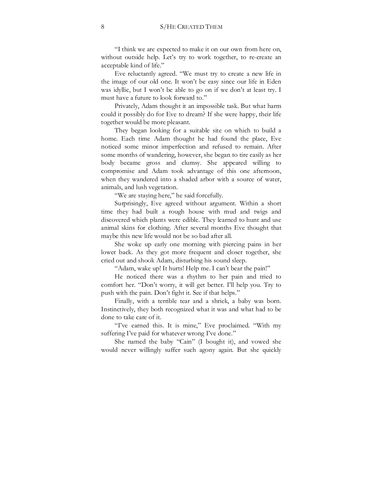"I think we are expected to make it on our own from here on, without outside help. Let's try to work together, to re-create an acceptable kind of life."

Eve reluctantly agreed. "We must try to create a new life in the image of our old one. It won't be easy since our life in Eden was idyllic, but I won't be able to go on if we don't at least try. I must have a future to look forward to."

Privately, Adam thought it an impossible task. But what harm could it possibly do for Eve to dream? If she were happy, their life together would be more pleasant.

They began looking for a suitable site on which to build a home. Each time Adam thought he had found the place, Eve noticed some minor imperfection and refused to remain. After some months of wandering, however, she began to tire easily as her body became gross and clumsy. She appeared willing to compromise and Adam took advantage of this one afternoon, when they wandered into a shaded arbor with a source of water, animals, and lush vegetation.

"We are staying here," he said forcefully.

Surprisingly, Eve agreed without argument. Within a short time they had built a rough house with mud and twigs and discovered which plants were edible. They learned to hunt and use animal skins for clothing. After several months Eve thought that maybe this new life would not be so bad after all.

She woke up early one morning with piercing pains in her lower back. As they got more frequent and closer together, she cried out and shook Adam, disturbing his sound sleep.

"Adam, wake up! It hurts! Help me. I can't bear the pain!"

He noticed there was a rhythm to her pain and tried to comfort her. "Don't worry, it will get better. I'll help you. Try to push with the pain. Don't fight it. See if that helps."

Finally, with a terrible tear and a shriek, a baby was born. Instinctively, they both recognized what it was and what had to be done to take care of it.

"I've earned this. It is mine," Eve proclaimed. "With my suffering I've paid for whatever wrong I've done."

She named the baby "Cain" (I bought it), and vowed she would never willingly suffer such agony again. But she quickly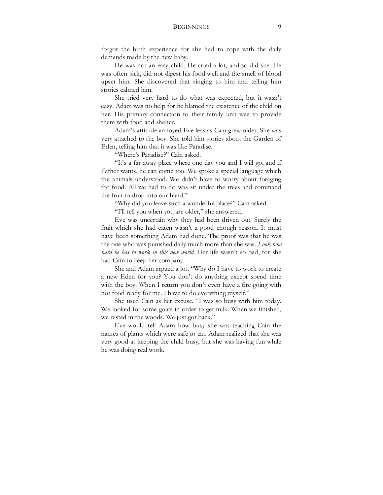#### BEGINNINGS 9

forgot the birth experience for she had to cope with the daily demands made by the new baby.

He was not an easy child. He cried a lot, and so did she. He was often sick, did not digest his food well and the smell of blood upset him. She discovered that singing to him and telling him stories calmed him.

She tried very hard to do what was expected, but it wasn't easy. Adam was no help for he blamed the existence of the child on her. His primary connection to their family unit was to provide them with food and shelter.

Adam's attitude annoyed Eve less as Cain grew older. She was very attached to the boy. She told him stories about the Garden of Eden, telling him that it was like Paradise.

"Where's Paradise?" Cain asked.

"It's a far away place where one day you and I will go, and if Father wants, he can come too. We spoke a special language which the animals understood. We didn't have to worry about foraging for food. All we had to do was sit under the trees and command the fruit to drop into our hand."

"Why did you leave such a wonderful place?" Cain asked.

"I'll tell you when you are older," she answered.

Eve was uncertain why they had been driven out. Surely the fruit which she had eaten wasn't a good enough reason. It must have been something Adam had done. The proof was that he was the one who was punished daily much more than she was. *Look how hard he has to work in this new world.* Her life wasn't so bad, for she had Cain to keep her company.

She and Adam argued a lot. "Why do I have to work to create a new Eden for you? You don't do anything except spend time with the boy. When I return you don't even have a fire going with hot food ready for me. I have to do everything myself."

She used Cain as her excuse. "I was so busy with him today. We looked for some goats in order to get milk. When we finished, we rested in the woods. We just got back."

Eve would tell Adam how busy she was teaching Cain the names of plants which were safe to eat. Adam realized that she was very good at keeping the child busy, but she was having fun while he was doing real work.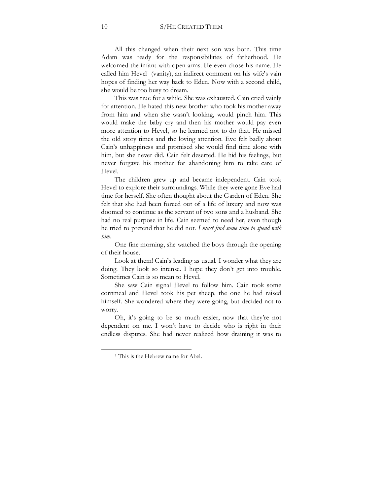All this changed when their next son was born. This time Adam was ready for the responsibilities of fatherhood. He welcomed the infant with open arms. He even chose his name. He called him Hevel<sup>1</sup> (vanity), an indirect comment on his wife's vain hopes of finding her way back to Eden. Now with a second child, she would be too busy to dream.

This was true for a while. She was exhausted. Cain cried vainly for attention. He hated this new brother who took his mother away from him and when she wasn't looking, would pinch him. This would make the baby cry and then his mother would pay even more attention to Hevel, so he learned not to do that. He missed the old story times and the loving attention. Eve felt badly about Cain's unhappiness and promised she would find time alone with him, but she never did. Cain felt deserted. He hid his feelings, but never forgave his mother for abandoning him to take care of Hevel.

The children grew up and became independent. Cain took Hevel to explore their surroundings. While they were gone Eve had time for herself. She often thought about the Garden of Eden. She felt that she had been forced out of a life of luxury and now was doomed to continue as the servant of two sons and a husband. She had no real purpose in life. Cain seemed to need her, even though he tried to pretend that he did not. *I must find some time to spend with him.*

One fine morning, she watched the boys through the opening of their house.

Look at them! Cain's leading as usual. I wonder what they are doing. They look so intense. I hope they don't get into trouble. Sometimes Cain is so mean to Hevel.

She saw Cain signal Hevel to follow him. Cain took some cornmeal and Hevel took his pet sheep, the one he had raised himself. She wondered where they were going, but decided not to worry.

Oh, it's going to be so much easier, now that they're not dependent on me. I won't have to decide who is right in their endless disputes. She had never realized how draining it was to

<sup>&</sup>lt;sup>1</sup> This is the Hebrew name for Abel.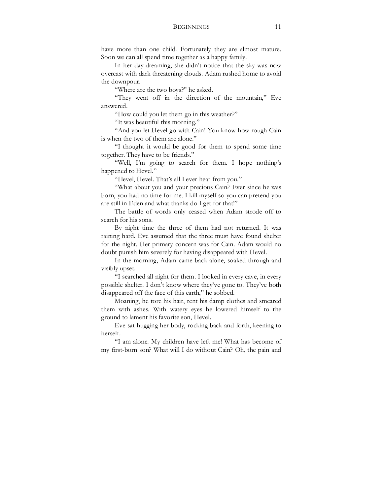have more than one child. Fortunately they are almost mature. Soon we can all spend time together as a happy family.

In her day-dreaming, she didn't notice that the sky was now overcast with dark threatening clouds. Adam rushed home to avoid the downpour.

"Where are the two boys?" he asked.

"They went off in the direction of the mountain," Eve answered.

"How could you let them go in this weather?"

"It was beautiful this morning."

"And you let Hevel go with Cain! You know how rough Cain is when the two of them are alone."

"I thought it would be good for them to spend some time together. They have to be friends."

"Well, I'm going to search for them. I hope nothing's happened to Hevel."

"Hevel, Hevel. That's all I ever hear from you."

"What about you and your precious Cain? Ever since he was born, you had no time for me. I kill myself so you can pretend you are still in Eden and what thanks do I get for that!"

The battle of words only ceased when Adam strode off to search for his sons.

By night time the three of them had not returned. It was raining hard. Eve assumed that the three must have found shelter for the night. Her primary concern was for Cain. Adam would no doubt punish him severely for having disappeared with Hevel.

In the morning, Adam came back alone, soaked through and visibly upset.

"I searched all night for them. I looked in every cave, in every possible shelter. I don't know where they've gone to. They've both disappeared off the face of this earth," he sobbed.

Moaning, he tore his hair, rent his damp clothes and smeared them with ashes. With watery eyes he lowered himself to the ground to lament his favorite son, Hevel.

Eve sat hugging her body, rocking back and forth, keening to herself.

"I am alone. My children have left me! What has become of my first-born son? What will I do without Cain? Oh, the pain and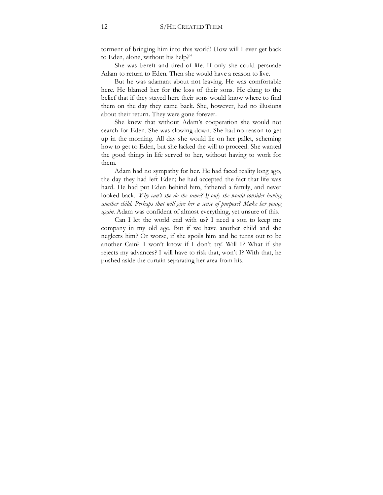torment of bringing him into this world! How will I ever get back to Eden, alone, without his help?"

She was bereft and tired of life. If only she could persuade Adam to return to Eden. Then she would have a reason to live.

But he was adamant about not leaving. He was comfortable here. He blamed her for the loss of their sons. He clung to the belief that if they stayed here their sons would know where to find them on the day they came back. She, however, had no illusions about their return. They were gone forever.

She knew that without Adam's cooperation she would not search for Eden. She was slowing down. She had no reason to get up in the morning. All day she would lie on her pallet, scheming how to get to Eden, but she lacked the will to proceed. She wanted the good things in life served to her, without having to work for them.

Adam had no sympathy for her. He had faced reality long ago, the day they had left Eden; he had accepted the fact that life was hard. He had put Eden behind him, fathered a family, and never looked back. *Why can't she do the same?* If only she would consider having *another child. Perhaps that will give her a sense of purpose? Make her young again.* Adam was confident of almost everything, yet unsure of this.

Can I let the world end with us? I need a son to keep me company in my old age. But if we have another child and she neglects him? Or worse, if she spoils him and he turns out to be another Cain? I won't know if I don't try! Will I? What if she rejects my advances? I will have to risk that, won't I? With that, he pushed aside the curtain separating her area from his.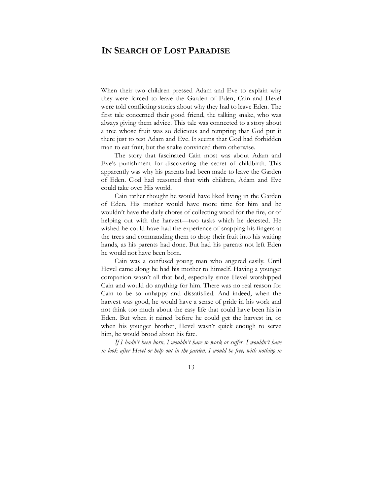### **IN SEARCH OF LOST PARADISE**

When their two children pressed Adam and Eve to explain why they were forced to leave the Garden of Eden, Cain and Hevel were told conflicting stories about why they had to leave Eden. The first tale concerned their good friend, the talking snake, who was always giving them advice. This tale was connected to a story about a tree whose fruit was so delicious and tempting that God put it there just to test Adam and Eve. It seems that God had forbidden man to eat fruit, but the snake convinced them otherwise.

The story that fascinated Cain most was about Adam and Eve's punishment for discovering the secret of childbirth. This apparently was why his parents had been made to leave the Garden of Eden. God had reasoned that with children, Adam and Eve could take over His world.

Cain rather thought he would have liked living in the Garden of Eden. His mother would have more time for him and he wouldn't have the daily chores of collecting wood for the fire, or of helping out with the harvest—two tasks which he detested. He wished he could have had the experience of snapping his fingers at the trees and commanding them to drop their fruit into his waiting hands, as his parents had done. But had his parents not left Eden he would not have been born.

Cain was a confused young man who angered easily. Until Hevel came along he had his mother to himself. Having a younger companion wasn't all that bad, especially since Hevel worshipped Cain and would do anything for him. There was no real reason for Cain to be so unhappy and dissatisfied. And indeed, when the harvest was good, he would have a sense of pride in his work and not think too much about the easy life that could have been his in Eden. But when it rained before he could get the harvest in, or when his younger brother, Hevel wasn't quick enough to serve him, he would brood about his fate.

*If I hadn't been born, I wouldn't have to work or suffer. I wouldn't have*  to look after Hevel or help out in the garden. I would be free, with nothing to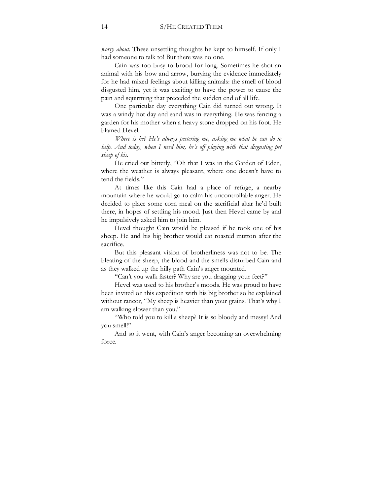*worry about*. These unsettling thoughts he kept to himself. If only I had someone to talk to! But there was no one.

Cain was too busy to brood for long. Sometimes he shot an animal with his bow and arrow, burying the evidence immediately for he had mixed feelings about killing animals: the smell of blood disgusted him, yet it was exciting to have the power to cause the pain and squirming that preceded the sudden end of all life.

One particular day everything Cain did turned out wrong. It was a windy hot day and sand was in everything. He was fencing a garden for his mother when a heavy stone dropped on his foot. He blamed Hevel.

*Where is he? He's always pestering me, asking me what he can do to help. And today, when I need him, he's off playing with that disgusting pet sheep of his*.

He cried out bitterly, "Oh that I was in the Garden of Eden, where the weather is always pleasant, where one doesn't have to tend the fields."

At times like this Cain had a place of refuge, a nearby mountain where he would go to calm his uncontrollable anger. He decided to place some corn meal on the sacrificial altar he'd built there, in hopes of settling his mood. Just then Hevel came by and he impulsively asked him to join him.

Hevel thought Cain would be pleased if he took one of his sheep. He and his big brother would eat roasted mutton after the sacrifice.

But this pleasant vision of brotherliness was not to be. The bleating of the sheep, the blood and the smells disturbed Cain and as they walked up the hilly path Cain's anger mounted.

"Can't you walk faster? Why are you dragging your feet?"

Hevel was used to his brother's moods. He was proud to have been invited on this expedition with his big brother so he explained without rancor, "My sheep is heavier than your grains. That's why I am walking slower than you."

"Who told you to kill a sheep? It is so bloody and messy! And you smell!"

And so it went, with Cain's anger becoming an overwhelming force.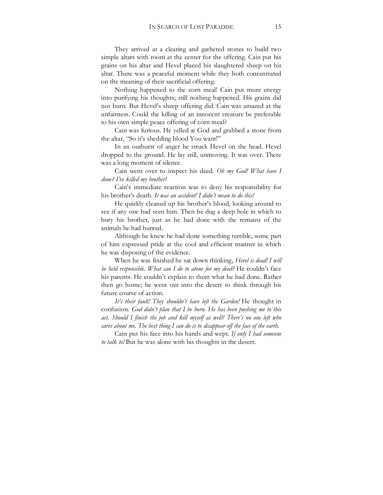They arrived at a clearing and gathered stones to build two simple altars with room at the center for the offering. Cain put his grains on his altar and Hevel placed his slaughtered sheep on his altar. There was a peaceful moment while they both concentrated on the meaning of their sacrificial offering.

Nothing happened to the corn meal! Cain put more energy into purifying his thoughts; still nothing happened. His grains did not burn. But Hevel's sheep offering did. Cain was amazed at the unfairness. Could the killing of an innocent creature be preferable to his own simple peace offering of corn meal?

Cain was furious. He yelled at God and grabbed a stone from the altar, "So it's shedding blood You want!"

In an outburst of anger he struck Hevel on the head. Hevel dropped to the ground. He lay still, unmoving. It was over. There was a long moment of silence.

Cain went over to inspect his deed. *Oh my God! What have I done? I've killed my brother!*

Cain's immediate reaction was to deny his responsibility for his brother's death. *It was an accident! I didn't mean to do this!*

He quickly cleaned up his brother's blood, looking around to see if any one had seen him. Then he dug a deep hole in which to bury his brother, just as he had done with the remains of the animals he had hunted.

Although he knew he had done something terrible, some part of him expressed pride at the cool and efficient manner in which he was disposing of the evidence.

When he was finished he sat down thinking, *Hevel is dead! I will be held responsible. What can I do to atone for my deed?* He couldn't face his parents. He couldn't explain to them what he had done. Rather then go home; he went out into the desert to think through his future course of action.

*It's their fault! They shouldn't have left the Garden!* He thought in confusion. *God didn't plan that I be born. He has been pushing me to this act. Should I finish the job and kill myself as well? There's no one left who cares about me. The best thing I can do is to disappear off the face of the earth.*

Cain put his face into his hands and wept. *If only I had someone to talk to!* But he was alone with his thoughts in the desert.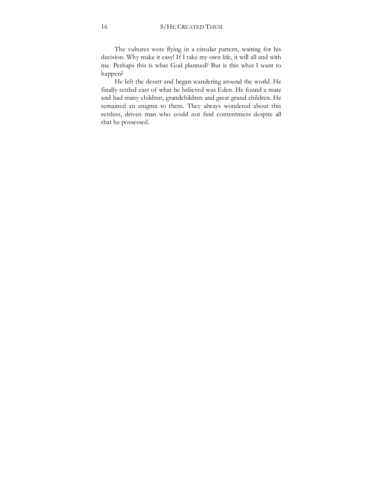The vultures were flying in a circular pattern, waiting for his decision. Why make it easy! If I take my own life, it will all end with me. Perhaps this is what God planned? But is this what I want to happen?

He left the desert and began wandering around the world. He finally settled east of what he believed was Eden. He found a mate and had many children, grandchildren and great grand children. He remained an enigma to them. They always wondered about this restless, driven man who could not find contentment despite all that he possessed.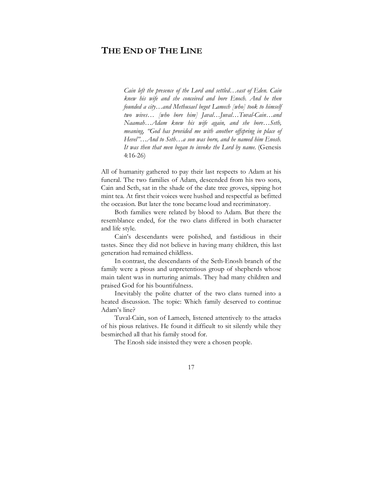## **THE END OF THE LINE**

*Cain left the presence of the Lord and settled…east of Eden. Cain knew his wife and she conceived and bore Enoch. And he then founded a city…and Methusael begot Lamech [who] took to himself two wives… [who bore him] Javal…Juval…Tuval-Cain…and Naamah…Adam knew his wife again, and she bore…Seth, meaning, "God has provided me with another offspring in place of Hevel"…And to Seth…a son was born, and he named him Enosh. It was then that men began to invoke the Lord by name.* (Genesis 4:16-26)

All of humanity gathered to pay their last respects to Adam at his funeral. The two families of Adam, descended from his two sons, Cain and Seth, sat in the shade of the date tree groves, sipping hot mint tea. At first their voices were hushed and respectful as befitted the occasion. But later the tone became loud and recriminatory.

Both families were related by blood to Adam. But there the resemblance ended, for the two clans differed in both character and life style.

Cain's descendants were polished, and fastidious in their tastes. Since they did not believe in having many children, this last generation had remained childless.

In contrast, the descendants of the Seth-Enosh branch of the family were a pious and unpretentious group of shepherds whose main talent was in nurturing animals. They had many children and praised God for his bountifulness.

Inevitably the polite chatter of the two clans turned into a heated discussion. The topic: Which family deserved to continue Adam's line?

Tuval-Cain, son of Lamech, listened attentively to the attacks of his pious relatives. He found it difficult to sit silently while they besmirched all that his family stood for.

The Enosh side insisted they were a chosen people.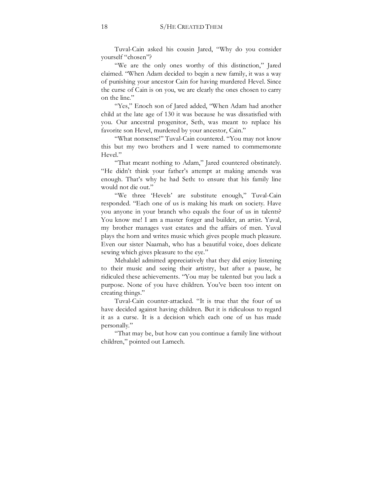Tuval-Cain asked his cousin Jared, "Why do you consider yourself "chosen"?

"We are the only ones worthy of this distinction," Jared claimed. "When Adam decided to begin a new family, it was a way of punishing your ancestor Cain for having murdered Hevel. Since the curse of Cain is on you, we are clearly the ones chosen to carry on the line."

"Yes," Enoch son of Jared added, "When Adam had another child at the late age of 130 it was because he was dissatisfied with you. Our ancestral progenitor, Seth, was meant to replace his favorite son Hevel, murdered by your ancestor, Cain."

"What nonsense!" Tuval-Cain countered. "You may not know this but my two brothers and I were named to commemorate Hevel."

"That meant nothing to Adam," Jared countered obstinately. "He didn't think your father's attempt at making amends was enough. That's why he had Seth: to ensure that his family line would not die out."

"We three 'Hevels' are substitute enough," Tuval-Cain responded. "Each one of us is making his mark on society. Have you anyone in your branch who equals the four of us in talents? You know me! I am a master forger and builder, an artist. Yaval, my brother manages vast estates and the affairs of men. Yuval plays the horn and writes music which gives people much pleasure. Even our sister Naamah, who has a beautiful voice, does delicate sewing which gives pleasure to the eye."

Mehalalel admitted appreciatively that they did enjoy listening to their music and seeing their artistry, but after a pause, he ridiculed these achievements. "You may be talented but you lack a purpose. None of you have children. You've been too intent on creating things."

Tuval-Cain counter-attacked. "It is true that the four of us have decided against having children. But it is ridiculous to regard it as a curse. It is a decision which each one of us has made personally."

"That may be, but how can you continue a family line without children," pointed out Lamech.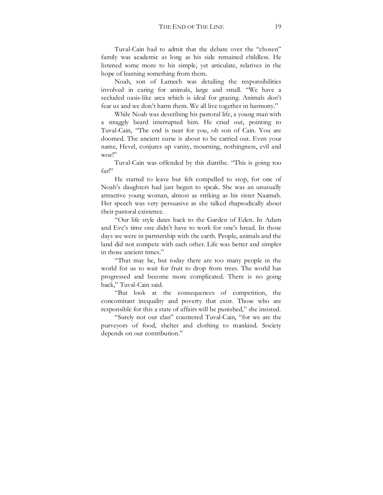Tuval-Cain had to admit that the debate over the "chosen" family was academic as long as his side remained childless. He listened some more to his simple, yet articulate, relatives in the hope of learning something from them.

Noah, son of Lamech was detailing the responsibilities involved in caring for animals, large and small. "We have a secluded oasis-like area which is ideal for grazing. Animals don't fear us and we don't harm them. We all live together in harmony."

While Noah was describing his pastoral life, a young man with a straggly beard interrupted him. He cried out, pointing to Tuval-Cain, "The end is near for you, oh son of Cain. You are doomed. The ancient curse is about to be carried out. Even your name, Hevel, conjures up vanity, mourning, nothingness, evil and woe!"

Tuval-Cain was offended by this diatribe. "This is going too far!"

He started to leave but felt compelled to stop, for one of Noah's daughters had just begun to speak. She was an unusually attractive young woman, almost as striking as his sister Naamah. Her speech was very persuasive as she talked rhapsodically about their pastoral existence.

"Our life style dates back to the Garden of Eden. In Adam and Eve's time one didn't have to work for one's bread. In those days we were in partnership with the earth. People, animals and the land did not compete with each other. Life was better and simpler in those ancient times."

"That may be, but today there are too many people in the world for us to wait for fruit to drop from trees. The world has progressed and become more complicated. There is no going back," Tuval-Cain said.

"But look at the consequences of competition, the concomitant inequality and poverty that exist. Those who are responsible for this a state of affairs will be punished," she insisted.

"Surely not our clan" countered Tuval-Cain, "for we are the purveyors of food, shelter and clothing to mankind. Society depends on our contribution."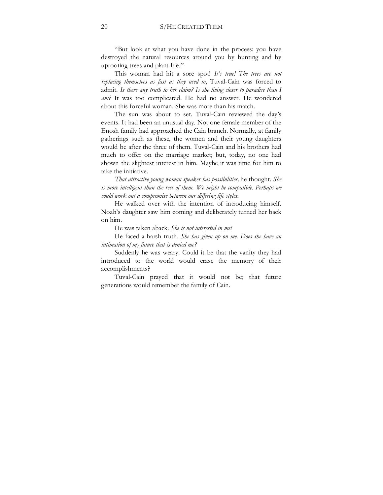"But look at what you have done in the process: you have destroyed the natural resources around you by hunting and by uprooting trees and plant-life."

This woman had hit a sore spot! *It's true! The trees are not replacing themselves as fast as they used to*, Tuval-Cain was forced to admit. *Is there any truth to her claim? Is she living closer to paradise than I am?* It was too complicated. He had no answer. He wondered about this forceful woman. She was more than his match.

The sun was about to set. Tuval-Cain reviewed the day's events. It had been an unusual day. Not one female member of the Enosh family had approached the Cain branch. Normally, at family gatherings such as these, the women and their young daughters would be after the three of them. Tuval-Cain and his brothers had much to offer on the marriage market; but, today, no one had shown the slightest interest in him. Maybe it was time for him to take the initiative.

*That attractive young woman speaker has possibilities,* he thought. *She*  is more intelligent than the rest of them. We might be compatible. Perhaps we *could work out a compromise between our differing life styles.*

He walked over with the intention of introducing himself. Noah's daughter saw him coming and deliberately turned her back on him.

He was taken aback. *She is not interested in me!*

He faced a harsh truth. *She has given up on me. Does she have an intimation of my future that is denied me?*

Suddenly he was weary. Could it be that the vanity they had introduced to the world would erase the memory of their accomplishments?

Tuval-Cain prayed that it would not be; that future generations would remember the family of Cain.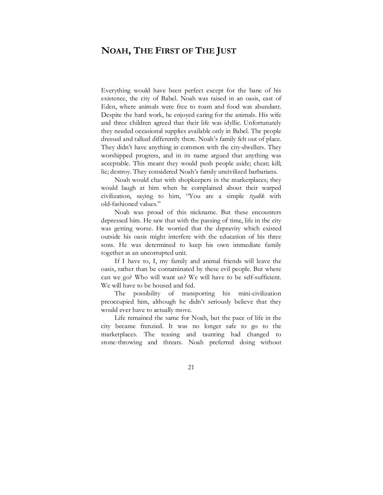# **NOAH, THE FIRST OF THE JUST**

Everything would have been perfect except for the bane of his existence, the city of Babel. Noah was raised in an oasis, east of Eden, where animals were free to roam and food was abundant. Despite the hard work, he enjoyed caring for the animals. His wife and three children agreed that their life was idyllic. Unfortunately they needed occasional supplies available only in Babel. The people dressed and talked differently there. Noah's family felt out of place. They didn't have anything in common with the city-dwellers. They worshipped progress, and in its name argued that anything was acceptable. This meant they would push people aside; cheat; kill; lie; destroy. They considered Noah's family uncivilized barbarians.

Noah would chat with shopkeepers in the marketplaces; they would laugh at him when he complained about their warped civilization, saying to him, "You are a simple *tzadik* with old-fashioned values."

Noah was proud of this nickname. But these encounters depressed him. He saw that with the passing of time, life in the city was getting worse. He worried that the depravity which existed outside his oasis might interfere with the education of his three sons. He was determined to keep his own immediate family together as an uncorrupted unit.

If I have to, I, my family and animal friends will leave the oasis, rather than be contaminated by these evil people. But where can we go? Who will want us? We will have to be self-sufficient. We will have to be housed and fed.

The possibility of transporting his mini-civilization preoccupied him, although he didn't seriously believe that they would ever have to actually move.

Life remained the same for Noah, but the pace of life in the city became frenzied. It was no longer safe to go to the marketplaces. The teasing and taunting had changed to stone-throwing and threats. Noah preferred doing without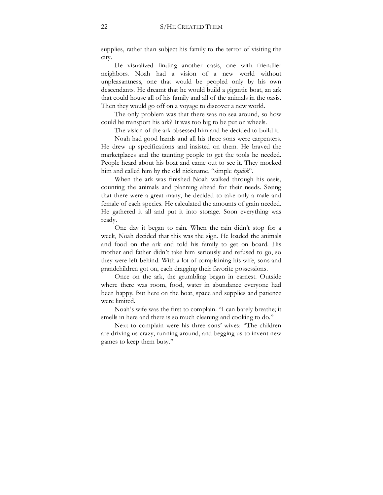supplies, rather than subject his family to the terror of visiting the city.

He visualized finding another oasis, one with friendlier neighbors. Noah had a vision of a new world without unpleasantness, one that would be peopled only by his own descendants. He dreamt that he would build a gigantic boat, an ark that could house all of his family and all of the animals in the oasis. Then they would go off on a voyage to discover a new world.

The only problem was that there was no sea around, so how could he transport his ark? It was too big to be put on wheels.

The vision of the ark obsessed him and he decided to build it.

Noah had good hands and all his three sons were carpenters. He drew up specifications and insisted on them. He braved the marketplaces and the taunting people to get the tools he needed. People heard about his boat and came out to see it. They mocked him and called him by the old nickname, "simple *tzadik*".

When the ark was finished Noah walked through his oasis, counting the animals and planning ahead for their needs. Seeing that there were a great many, he decided to take only a male and female of each species. He calculated the amounts of grain needed. He gathered it all and put it into storage. Soon everything was ready.

One day it began to rain. When the rain didn't stop for a week, Noah decided that this was the sign. He loaded the animals and food on the ark and told his family to get on board. His mother and father didn't take him seriously and refused to go, so they were left behind. With a lot of complaining his wife, sons and grandchildren got on, each dragging their favorite possessions.

Once on the ark, the grumbling began in earnest. Outside where there was room, food, water in abundance everyone had been happy. But here on the boat, space and supplies and patience were limited.

Noah's wife was the first to complain. "I can barely breathe; it smells in here and there is so much cleaning and cooking to do."

Next to complain were his three sons' wives: "The children are driving us crazy, running around, and begging us to invent new games to keep them busy."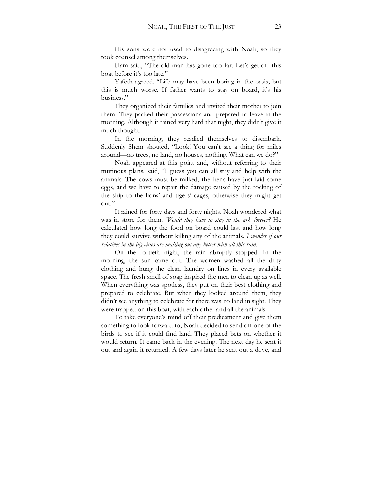His sons were not used to disagreeing with Noah, so they took counsel among themselves.

Ham said, "The old man has gone too far. Let's get off this boat before it's too late."

Yafeth agreed. "Life may have been boring in the oasis, but this is much worse. If father wants to stay on board, it's his business."

They organized their families and invited their mother to join them. They packed their possessions and prepared to leave in the morning. Although it rained very hard that night, they didn't give it much thought.

In the morning, they readied themselves to disembark. Suddenly Shem shouted, "Look! You can't see a thing for miles around—no trees, no land, no houses, nothing. What can we do?"

Noah appeared at this point and, without referring to their mutinous plans, said, "I guess you can all stay and help with the animals. The cows must be milked, the hens have just laid some eggs, and we have to repair the damage caused by the rocking of the ship to the lions' and tigers' cages, otherwise they might get out."

It rained for forty days and forty nights. Noah wondered what was in store for them. *Would they have to stay in the ark forever?* He calculated how long the food on board could last and how long they could survive without killing any of the animals. *I wonder if our relatives in the big cities are making out any better with all this rain.*

On the fortieth night, the rain abruptly stopped. In the morning, the sun came out. The women washed all the dirty clothing and hung the clean laundry on lines in every available space. The fresh smell of soap inspired the men to clean up as well. When everything was spotless, they put on their best clothing and prepared to celebrate. But when they looked around them, they didn't see anything to celebrate for there was no land in sight. They were trapped on this boat, with each other and all the animals.

To take everyone's mind off their predicament and give them something to look forward to, Noah decided to send off one of the birds to see if it could find land. They placed bets on whether it would return. It came back in the evening. The next day he sent it out and again it returned. A few days later he sent out a dove, and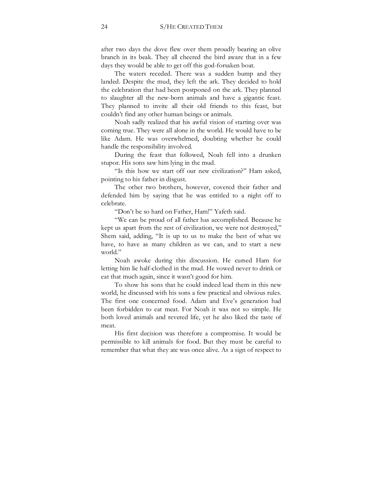after two days the dove flew over them proudly bearing an olive branch in its beak. They all cheered the bird aware that in a few days they would be able to get off this god-forsaken boat.

The waters receded. There was a sudden bump and they landed. Despite the mud, they left the ark. They decided to hold the celebration that had been postponed on the ark. They planned to slaughter all the new-born animals and have a gigantic feast. They planned to invite all their old friends to this feast, but couldn't find any other human beings or animals.

Noah sadly realized that his awful vision of starting over was coming true. They were all alone in the world. He would have to be like Adam. He was overwhelmed, doubting whether he could handle the responsibility involved.

During the feast that followed, Noah fell into a drunken stupor. His sons saw him lying in the mud.

"Is this how we start off our new civilization?" Ham asked, pointing to his father in disgust.

The other two brothers, however, covered their father and defended him by saying that he was entitled to a night off to celebrate.

"Don't be so hard on Father, Ham!" Yafeth said.

"We can be proud of all father has accomplished. Because he kept us apart from the rest of civilization, we were not destroyed," Shem said, adding, "It is up to us to make the best of what we have, to have as many children as we can, and to start a new world."

Noah awoke during this discussion. He cursed Ham for letting him lie half-clothed in the mud. He vowed never to drink or eat that much again, since it wasn't good for him.

To show his sons that he could indeed lead them in this new world, he discussed with his sons a few practical and obvious rules. The first one concerned food. Adam and Eve's generation had been forbidden to eat meat. For Noah it was not so simple. He both loved animals and revered life, yet he also liked the taste of meat.

His first decision was therefore a compromise. It would be permissible to kill animals for food. But they must be careful to remember that what they ate was once alive. As a sign of respect to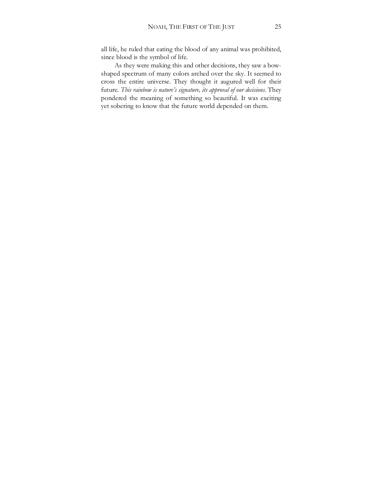all life, he ruled that eating the blood of any animal was prohibited, since blood is the symbol of life.

As they were making this and other decisions, they saw a bowshaped spectrum of many colors arched over the sky. It seemed to cross the entire universe. They thought it augured well for their future. *This rainbow is nature's signature, its approval of our decisions.* They pondered the meaning of something so beautiful. It was exciting yet sobering to know that the future world depended on them.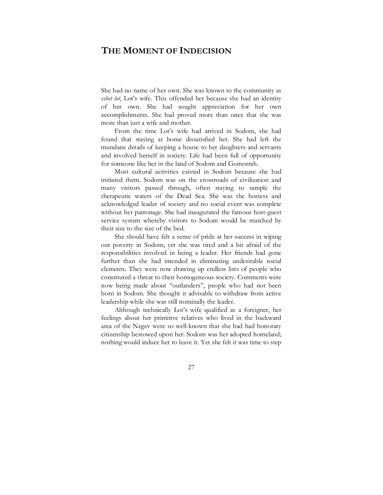## **THE MOMENT OF INDECISION**

She had no name of her own. She was known to the community as *eshet lot*, Lot's wife. This offended her because she had an identity of her own. She had sought appreciation for her own accomplishments. She had proved more than once that she was more than just a wife and mother.

From the time Lot's wife had arrived in Sodom, she had found that staying at home dissatisfied her. She had left the mundane details of keeping a house to her daughters and servants and involved herself in society. Life had been full of opportunity for someone like her in the land of Sodom and Gomorrah.

Most cultural activities existed in Sodom because she had initiated them. Sodom was on the crossroads of civilization and many visitors passed through, often staying to sample the therapeutic waters of the Dead Sea. She was the hostess and acknowledged leader of society and no social event was complete without her patronage. She had inaugurated the famous host-guest service system whereby visitors to Sodom would be matched by their size to the size of the bed.

She should have felt a sense of pride at her success in wiping out poverty in Sodom, yet she was tired and a bit afraid of the responsibilities involved in being a leader. Her friends had gone further than she had intended in eliminating undesirable social elements. They were now drawing up endless lists of people who constituted a threat to their homogeneous society. Comments were now being made about "outlanders", people who had not been born in Sodom. She thought it advisable to withdraw from active leadership while she was still nominally the leader.

Although technically Lot's wife qualified as a foreigner, her feelings about her primitive relatives who lived in the backward area of the Negev were so well-known that she had had honorary citizenship bestowed upon her. Sodom was her adopted homeland; nothing would induce her to leave it. Yet she felt it was time to step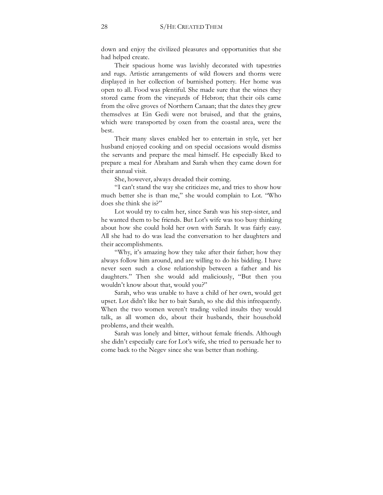down and enjoy the civilized pleasures and opportunities that she had helped create.

Their spacious home was lavishly decorated with tapestries and rugs. Artistic arrangements of wild flowers and thorns were displayed in her collection of burnished pottery. Her home was open to all. Food was plentiful. She made sure that the wines they stored came from the vineyards of Hebron; that their oils came from the olive groves of Northern Canaan; that the dates they grew themselves at Ein Gedi were not bruised, and that the grains, which were transported by oxen from the coastal area, were the best.

Their many slaves enabled her to entertain in style, yet her husband enjoyed cooking and on special occasions would dismiss the servants and prepare the meal himself. He especially liked to prepare a meal for Abraham and Sarah when they came down for their annual visit.

She, however, always dreaded their coming.

"I can't stand the way she criticizes me, and tries to show how much better she is than me," she would complain to Lot. "Who does she think she is?"

Lot would try to calm her, since Sarah was his step-sister, and he wanted them to be friends. But Lot's wife was too busy thinking about how she could hold her own with Sarah. It was fairly easy. All she had to do was lead the conversation to her daughters and their accomplishments.

"Why, it's amazing how they take after their father; how they always follow him around, and are willing to do his bidding. I have never seen such a close relationship between a father and his daughters." Then she would add maliciously, "But then you wouldn't know about that, would you?"

Sarah, who was unable to have a child of her own, would get upset. Lot didn't like her to bait Sarah, so she did this infrequently. When the two women weren't trading veiled insults they would talk, as all women do, about their husbands, their household problems, and their wealth.

Sarah was lonely and bitter, without female friends. Although she didn't especially care for Lot's wife, she tried to persuade her to come back to the Negev since she was better than nothing.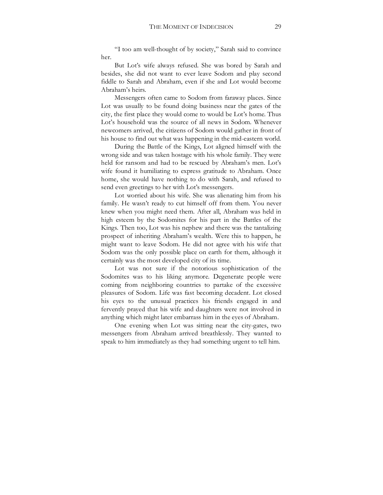"I too am well-thought of by society," Sarah said to convince her.

But Lot's wife always refused. She was bored by Sarah and besides, she did not want to ever leave Sodom and play second fiddle to Sarah and Abraham, even if she and Lot would become Abraham's heirs.

Messengers often came to Sodom from faraway places. Since Lot was usually to be found doing business near the gates of the city, the first place they would come to would be Lot's home. Thus Lot's household was the source of all news in Sodom. Whenever newcomers arrived, the citizens of Sodom would gather in front of his house to find out what was happening in the mid-eastern world.

During the Battle of the Kings, Lot aligned himself with the wrong side and was taken hostage with his whole family. They were held for ransom and had to be rescued by Abraham's men. Lot's wife found it humiliating to express gratitude to Abraham. Once home, she would have nothing to do with Sarah, and refused to send even greetings to her with Lot's messengers.

Lot worried about his wife. She was alienating him from his family. He wasn't ready to cut himself off from them. You never knew when you might need them. After all, Abraham was held in high esteem by the Sodomites for his part in the Battles of the Kings. Then too, Lot was his nephew and there was the tantalizing prospect of inheriting Abraham's wealth. Were this to happen, he might want to leave Sodom. He did not agree with his wife that Sodom was the only possible place on earth for them, although it certainly was the most developed city of its time.

Lot was not sure if the notorious sophistication of the Sodomites was to his liking anymore. Degenerate people were coming from neighboring countries to partake of the excessive pleasures of Sodom. Life was fast becoming decadent. Lot closed his eyes to the unusual practices his friends engaged in and fervently prayed that his wife and daughters were not involved in anything which might later embarrass him in the eyes of Abraham.

One evening when Lot was sitting near the city-gates, two messengers from Abraham arrived breathlessly. They wanted to speak to him immediately as they had something urgent to tell him.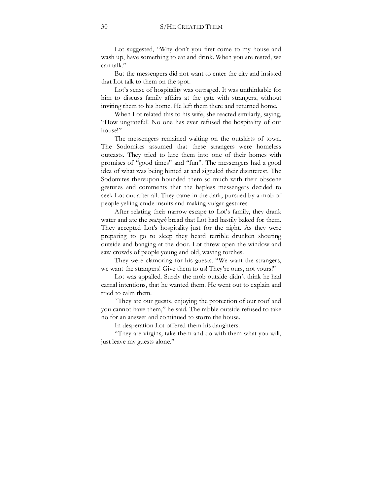Lot suggested, "Why don't you first come to my house and wash up, have something to eat and drink. When you are rested, we can talk."

But the messengers did not want to enter the city and insisted that Lot talk to them on the spot.

Lot's sense of hospitality was outraged. It was unthinkable for him to discuss family affairs at the gate with strangers, without inviting them to his home. He left them there and returned home.

When Lot related this to his wife, she reacted similarly, saying, "How ungrateful! No one has ever refused the hospitality of our house!"

The messengers remained waiting on the outskirts of town. The Sodomites assumed that these strangers were homeless outcasts. They tried to lure them into one of their homes with promises of "good times" and "fun". The messengers had a good idea of what was being hinted at and signaled their disinterest. The Sodomites thereupon hounded them so much with their obscene gestures and comments that the hapless messengers decided to seek Lot out after all. They came in the dark, pursued by a mob of people yelling crude insults and making vulgar gestures.

After relating their narrow escape to Lot's family, they drank water and ate the *matzah* bread that Lot had hastily baked for them. They accepted Lot's hospitality just for the night. As they were preparing to go to sleep they heard terrible drunken shouting outside and banging at the door. Lot threw open the window and saw crowds of people young and old, waving torches.

They were clamoring for his guests. "We want the strangers, we want the strangers! Give them to us! They're ours, not yours!"

Lot was appalled. Surely the mob outside didn't think he had carnal intentions, that he wanted them. He went out to explain and tried to calm them.

"They are our guests, enjoying the protection of our roof and you cannot have them," he said. The rabble outside refused to take no for an answer and continued to storm the house.

In desperation Lot offered them his daughters.

"They are virgins, take them and do with them what you will, just leave my guests alone."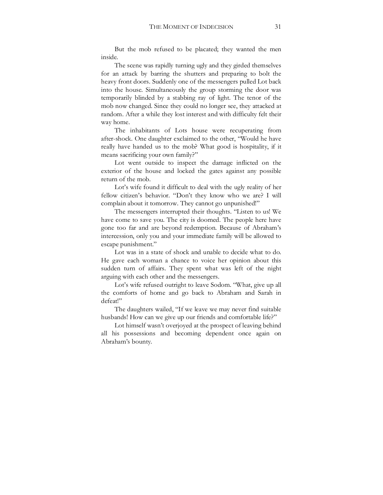But the mob refused to be placated; they wanted the men inside.

The scene was rapidly turning ugly and they girded themselves for an attack by barring the shutters and preparing to bolt the heavy front doors. Suddenly one of the messengers pulled Lot back into the house. Simultaneously the group storming the door was temporarily blinded by a stabbing ray of light. The tenor of the mob now changed. Since they could no longer see, they attacked at random. After a while they lost interest and with difficulty felt their way home.

The inhabitants of Lots house were recuperating from after-shock. One daughter exclaimed to the other, "Would he have really have handed us to the mob? What good is hospitality, if it means sacrificing your own family?"

Lot went outside to inspect the damage inflicted on the exterior of the house and locked the gates against any possible return of the mob.

Lot's wife found it difficult to deal with the ugly reality of her fellow citizen's behavior. "Don't they know who we are? I will complain about it tomorrow. They cannot go unpunished!"

The messengers interrupted their thoughts. "Listen to us! We have come to save you. The city is doomed. The people here have gone too far and are beyond redemption. Because of Abraham's intercession, only you and your immediate family will be allowed to escape punishment."

Lot was in a state of shock and unable to decide what to do. He gave each woman a chance to voice her opinion about this sudden turn of affairs. They spent what was left of the night arguing with each other and the messengers.

Lot's wife refused outright to leave Sodom. "What, give up all the comforts of home and go back to Abraham and Sarah in defeat!"

The daughters wailed, "If we leave we may never find suitable husbands! How can we give up our friends and comfortable life?"

Lot himself wasn't overjoyed at the prospect of leaving behind all his possessions and becoming dependent once again on Abraham's bounty.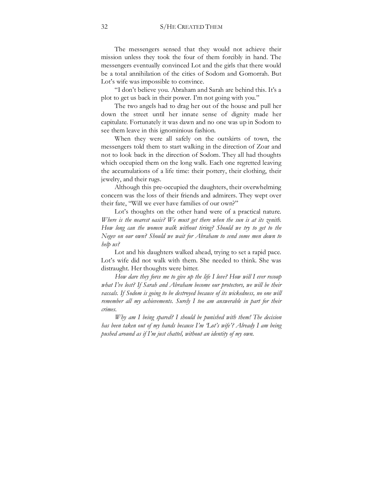The messengers sensed that they would not achieve their mission unless they took the four of them forcibly in hand. The messengers eventually convinced Lot and the girls that there would be a total annihilation of the cities of Sodom and Gomorrah. But Lot's wife was impossible to convince.

"I don't believe you. Abraham and Sarah are behind this. It's a plot to get us back in their power. I'm not going with you."

The two angels had to drag her out of the house and pull her down the street until her innate sense of dignity made her capitulate. Fortunately it was dawn and no one was up in Sodom to see them leave in this ignominious fashion.

When they were all safely on the outskirts of town, the messengers told them to start walking in the direction of Zoar and not to look back in the direction of Sodom. They all had thoughts which occupied them on the long walk. Each one regretted leaving the accumulations of a life time: their pottery, their clothing, their jewelry, and their rugs.

Although this pre-occupied the daughters, their overwhelming concern was the loss of their friends and admirers. They wept over their fate, "Will we ever have families of our own?"

Lot's thoughts on the other hand were of a practical nature. *Where is the nearest oasis? We must get there when the sun is at its zenith. How long can the women walk without tiring? Should we try to get to the Negev on our own? Should we wait for Abraham to send some men down to help us?*

Lot and his daughters walked ahead, trying to set a rapid pace. Lot's wife did not walk with them. She needed to think. She was distraught. Her thoughts were bitter.

*How dare they force me to give up the life I love? How will I ever recoup what I've lost? If Sarah and Abraham become our protectors, we will be their vassals. If Sodom is going to be destroyed because of its wickedness, no one will remember all my achievements. Surely I too am answerable in part for their crimes.* 

*Why am I being spared? I should be punished with them! The decision has been taken out of my hands because I'm 'Lot's wife'? Already I am being pushed around as if I'm just chattel, without an identity of my own.*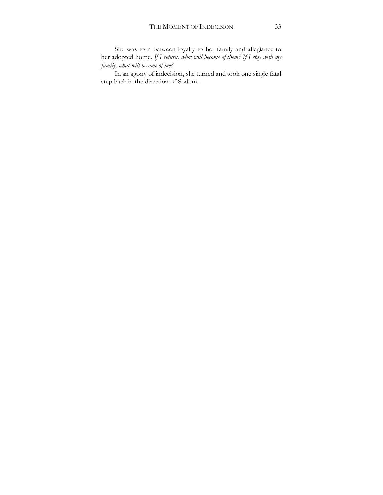She was torn between loyalty to her family and allegiance to her adopted home. *If I return, what will become of them? If I stay with my family, what will become of me?*

In an agony of indecision, she turned and took one single fatal step back in the direction of Sodom.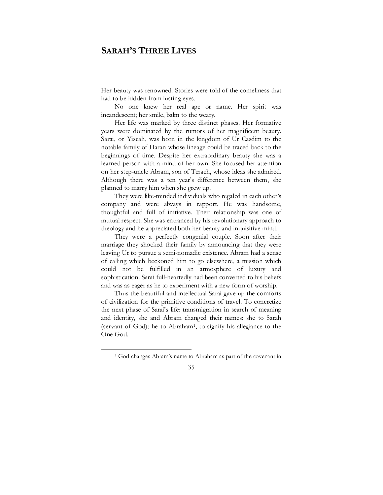## **SARAH'S THREE LIVES**

Her beauty was renowned. Stories were told of the comeliness that had to be hidden from lusting eyes.

No one knew her real age or name. Her spirit was incandescent; her smile, balm to the weary.

Her life was marked by three distinct phases. Her formative years were dominated by the rumors of her magnificent beauty. Sarai, or Yiscah, was born in the kingdom of Ur Casdim to the notable family of Haran whose lineage could be traced back to the beginnings of time. Despite her extraordinary beauty she was a learned person with a mind of her own. She focused her attention on her step-uncle Abram, son of Terach, whose ideas she admired. Although there was a ten year's difference between them, she planned to marry him when she grew up.

They were like-minded individuals who regaled in each other's company and were always in rapport. He was handsome, thoughtful and full of initiative. Their relationship was one of mutual respect. She was entranced by his revolutionary approach to theology and he appreciated both her beauty and inquisitive mind.

They were a perfectly congenial couple. Soon after their marriage they shocked their family by announcing that they were leaving Ur to pursue a semi-nomadic existence. Abram had a sense of calling which beckoned him to go elsewhere, a mission which could not be fulfilled in an atmosphere of luxury and sophistication. Sarai full-heartedly had been converted to his beliefs and was as eager as he to experiment with a new form of worship.

Thus the beautiful and intellectual Sarai gave up the comforts of civilization for the primitive conditions of travel. To concretize the next phase of Sarai's life: transmigration in search of meaning and identity, she and Abram changed their names: she to Sarah (servant of God); he to Abraham1, to signify his allegiance to the One God.

<sup>1</sup> God changes Abram's name to Abraham as part of the covenant in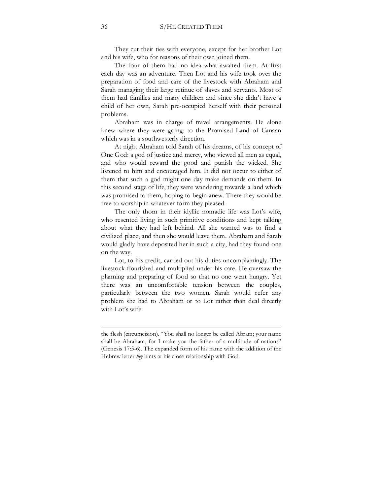They cut their ties with everyone, except for her brother Lot and his wife, who for reasons of their own joined them.

The four of them had no idea what awaited them. At first each day was an adventure. Then Lot and his wife took over the preparation of food and care of the livestock with Abraham and Sarah managing their large retinue of slaves and servants. Most of them had families and many children and since she didn't have a child of her own, Sarah pre-occupied herself with their personal problems.

Abraham was in charge of travel arrangements. He alone knew where they were going: to the Promised Land of Canaan which was in a southwesterly direction.

At night Abraham told Sarah of his dreams, of his concept of One God: a god of justice and mercy, who viewed all men as equal, and who would reward the good and punish the wicked. She listened to him and encouraged him. It did not occur to either of them that such a god might one day make demands on them. In this second stage of life, they were wandering towards a land which was promised to them, hoping to begin anew. There they would be free to worship in whatever form they pleased.

The only thorn in their idyllic nomadic life was Lot's wife, who resented living in such primitive conditions and kept talking about what they had left behind. All she wanted was to find a civilized place, and then she would leave them. Abraham and Sarah would gladly have deposited her in such a city, had they found one on the way.

Lot, to his credit, carried out his duties uncomplainingly. The livestock flourished and multiplied under his care. He oversaw the planning and preparing of food so that no one went hungry. Yet there was an uncomfortable tension between the couples, particularly between the two women. Sarah would refer any problem she had to Abraham or to Lot rather than deal directly with Lot's wife.

the flesh (circumcision). "You shall no longer be called Abram; your name shall be Abraham, for I make you the father of a multitude of nations" (Genesis 17:5-6). The expanded form of his name with the addition of the Hebrew letter *hey* hints at his close relationship with God.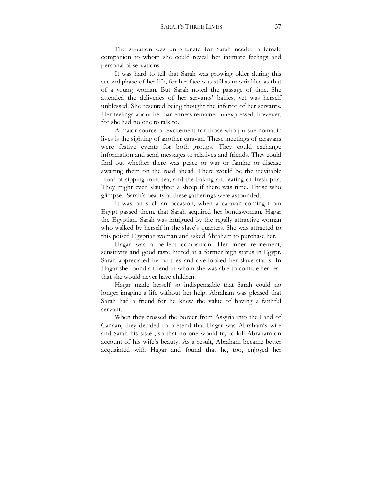The situation was unfortunate for Sarah needed a female companion to whom she could reveal her intimate feelings and personal observations.

It was hard to tell that Sarah was growing older during this second phase of her life, for her face was still as unwrinkled as that of a young woman. But Sarah noted the passage of time. She attended the deliveries of her servants' babies, yet was herself unblessed. She resented being thought the inferior of her servants. Her feelings about her barrenness remained unexpressed, however, for she had no one to talk to.

A major source of excitement for those who pursue nomadic lives is the sighting of another caravan. These meetings of caravans were festive events for both groups. They could exchange information and send messages to relatives and friends. They could find out whether there was peace or war or famine or disease awaiting them on the road ahead. There would be the inevitable ritual of sipping mint tea, and the baking and eating of fresh pita. They might even slaughter a sheep if there was time. Those who glimpsed Sarah's beauty at these gatherings were astounded.

It was on such an occasion, when a caravan coming from Egypt passed them, that Sarah acquired her bondswoman, Hagar the Egyptian. Sarah was intrigued by the regally attractive woman who walked by herself in the slave's quarters. She was attracted to this poised Egyptian woman and asked Abraham to purchase her.

Hagar was a perfect companion. Her inner refinement, sensitivity and good taste hinted at a former high status in Egypt. Sarah appreciated her virtues and overlooked her slave status. In Hagar she found a friend in whom she was able to confide her fear that she would never have children.

Hagar made herself so indispensable that Sarah could no longer imagine a life without her help. Abraham was pleased that Sarah had a friend for he knew the value of having a faithful servant.

When they crossed the border from Assyria into the Land of Canaan, they decided to pretend that Hagar was Abraham's wife and Sarah his sister, so that no one would try to kill Abraham on account of his wife's beauty. As a result, Abraham became better acquainted with Hagar and found that he, too, enjoyed her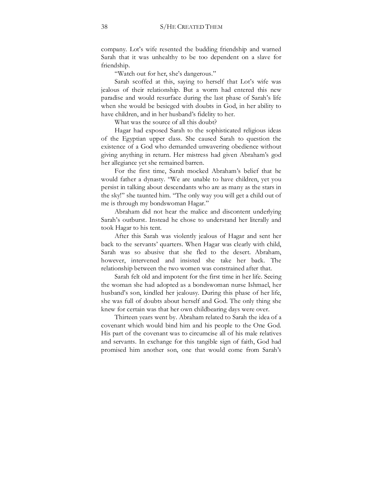company. Lot's wife resented the budding friendship and warned Sarah that it was unhealthy to be too dependent on a slave for friendship.

"Watch out for her, she's dangerous."

Sarah scoffed at this, saying to herself that Lot's wife was jealous of their relationship. But a worm had entered this new paradise and would resurface during the last phase of Sarah's life when she would be besieged with doubts in God, in her ability to have children, and in her husband's fidelity to her.

What was the source of all this doubt?

Hagar had exposed Sarah to the sophisticated religious ideas of the Egyptian upper class. She caused Sarah to question the existence of a God who demanded unwavering obedience without giving anything in return. Her mistress had given Abraham's god her allegiance yet she remained barren.

For the first time, Sarah mocked Abraham's belief that he would father a dynasty. "We are unable to have children, yet you persist in talking about descendants who are as many as the stars in the sky!" she taunted him. "The only way you will get a child out of me is through my bondswoman Hagar."

Abraham did not hear the malice and discontent underlying Sarah's outburst. Instead he chose to understand her literally and took Hagar to his tent.

After this Sarah was violently jealous of Hagar and sent her back to the servants' quarters. When Hagar was clearly with child, Sarah was so abusive that she fled to the desert. Abraham, however, intervened and insisted she take her back. The relationship between the two women was constrained after that.

Sarah felt old and impotent for the first time in her life. Seeing the woman she had adopted as a bondswoman nurse Ishmael, her husband's son, kindled her jealousy. During this phase of her life, she was full of doubts about herself and God. The only thing she knew for certain was that her own childbearing days were over.

Thirteen years went by. Abraham related to Sarah the idea of a covenant which would bind him and his people to the One God. His part of the covenant was to circumcise all of his male relatives and servants. In exchange for this tangible sign of faith, God had promised him another son, one that would come from Sarah's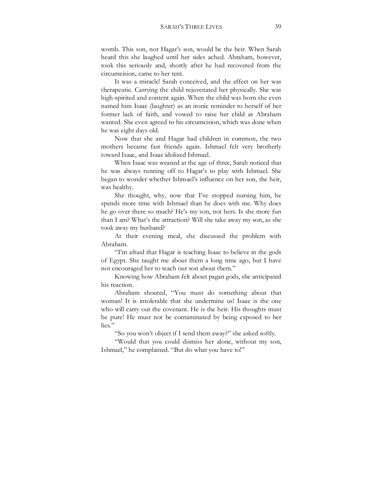womb. This son, not Hagar's son, would be the heir. When Sarah heard this she laughed until her sides ached. Abraham, however, took this seriously and, shortly after he had recovered from the circumcision, came to her tent.

It was a miracle! Sarah conceived, and the effect on her was therapeutic. Carrying the child rejuvenated her physically. She was high-spirited and content again. When the child was born she even named him Isaac (laughter) as an ironic reminder to herself of her former lack of faith, and vowed to raise her child as Abraham wanted. She even agreed to his circumcision, which was done when he was eight days old.

Now that she and Hagar had children in common, the two mothers became fast friends again. Ishmael felt very brotherly toward Isaac, and Isaac idolized Ishmael.

When Isaac was weaned at the age of three, Sarah noticed that he was always running off to Hagar's to play with Ishmael. She began to wonder whether Ishmael's influence on her son, the heir, was healthy.

She thought, why, now that I've stopped nursing him, he spends more time with Ishmael than he does with me. Why does he go over there so much? He's my son, not hers. Is she more fun than I am? What's the attraction? Will she take away my son, as she took away my husband?

At their evening meal, she discussed the problem with Abraham.

"I'm afraid that Hagar is teaching Isaac to believe in the gods of Egypt. She taught me about them a long time ago, but I have not encouraged her to teach our son about them."

Knowing how Abraham felt about pagan gods, she anticipated his reaction.

Abraham shouted, "You must do something about that woman! It is intolerable that she undermine us! Isaac is the one who will carry out the covenant. He is the heir. His thoughts must be pure! He must not be contaminated by being exposed to her lies."

"So you won't object if I send them away?" she asked softly.

"Would that you could dismiss her alone, without my son, Ishmael," he complained. "But do what you have to!"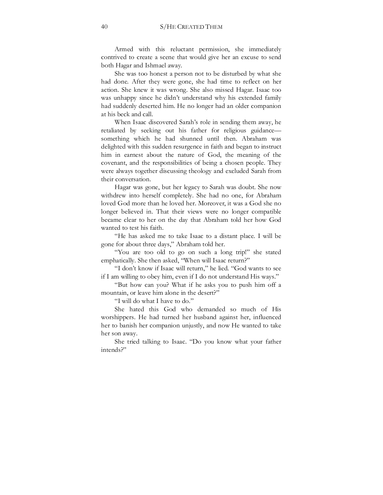Armed with this reluctant permission, she immediately contrived to create a scene that would give her an excuse to send both Hagar and Ishmael away.

She was too honest a person not to be disturbed by what she had done. After they were gone, she had time to reflect on her action. She knew it was wrong. She also missed Hagar. Isaac too was unhappy since he didn't understand why his extended family had suddenly deserted him. He no longer had an older companion at his beck and call.

When Isaac discovered Sarah's role in sending them away, he retaliated by seeking out his father for religious guidance something which he had shunned until then. Abraham was delighted with this sudden resurgence in faith and began to instruct him in earnest about the nature of God, the meaning of the covenant, and the responsibilities of being a chosen people. They were always together discussing theology and excluded Sarah from their conversation.

Hagar was gone, but her legacy to Sarah was doubt. She now withdrew into herself completely. She had no one, for Abraham loved God more than he loved her. Moreover, it was a God she no longer believed in. That their views were no longer compatible became clear to her on the day that Abraham told her how God wanted to test his faith.

"He has asked me to take Isaac to a distant place. I will be gone for about three days," Abraham told her.

"You are too old to go on such a long trip!" she stated emphatically. She then asked, "When will Isaac return?"

"I don't know if Isaac will return," he lied. "God wants to see if I am willing to obey him, even if I do not understand His ways."

"But how can you? What if he asks you to push him off a mountain, or leave him alone in the desert?"

"I will do what I have to do."

She hated this God who demanded so much of His worshippers. He had turned her husband against her, influenced her to banish her companion unjustly, and now He wanted to take her son away.

She tried talking to Isaac. "Do you know what your father intends?"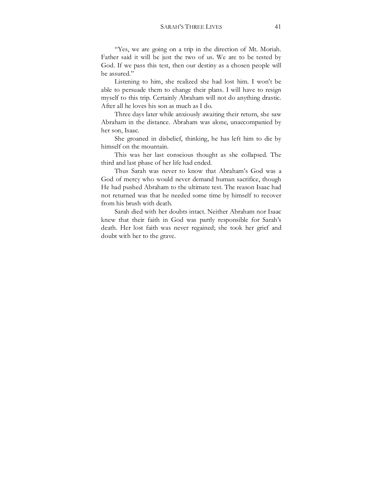"Yes, we are going on a trip in the direction of Mt. Moriah. Father said it will be just the two of us. We are to be tested by God. If we pass this test, then our destiny as a chosen people will be assured."

Listening to him, she realized she had lost him. I won't be able to persuade them to change their plans. I will have to resign myself to this trip. Certainly Abraham will not do anything drastic. After all he loves his son as much as I do.

Three days later while anxiously awaiting their return, she saw Abraham in the distance. Abraham was alone, unaccompanied by her son, Isaac.

She groaned in disbelief, thinking, he has left him to die by himself on the mountain.

This was her last conscious thought as she collapsed. The third and last phase of her life had ended.

Thus Sarah was never to know that Abraham's God was a God of mercy who would never demand human sacrifice, though He had pushed Abraham to the ultimate test. The reason Isaac had not returned was that he needed some time by himself to recover from his brush with death.

Sarah died with her doubts intact. Neither Abraham nor Isaac knew that their faith in God was partly responsible for Sarah's death. Her lost faith was never regained; she took her grief and doubt with her to the grave.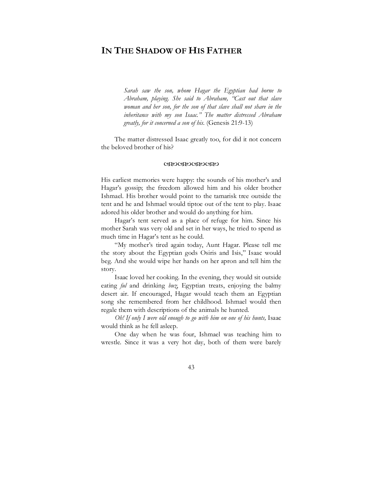## **IN THE SHADOW OF HIS FATHER**

*Sarah saw the son, whom Hagar the Egyptian had borne to Abraham, playing. She said to Abraham, "Cast out that slave woman and her son, for the son of that slave shall not share in the inheritance with my son Isaac." The matter distressed Abraham greatly, for it concerned a son of his*. (Genesis 21:9-13)

 The matter distressed Isaac greatly too, for did it not concern the beloved brother of his?

#### WXWXWXWX

His earliest memories were happy: the sounds of his mother's and Hagar's gossip; the freedom allowed him and his older brother Ishmael. His brother would point to the tamarisk tree outside the tent and he and Ishmael would tiptoe out of the tent to play. Isaac adored his older brother and would do anything for him.

Hagar's tent served as a place of refuge for him. Since his mother Sarah was very old and set in her ways, he tried to spend as much time in Hagar's tent as he could.

"My mother's tired again today, Aunt Hagar. Please tell me the story about the Egyptian gods Osiris and Isis," Isaac would beg. And she would wipe her hands on her apron and tell him the story.

Isaac loved her cooking. In the evening, they would sit outside eating *ful* and drinking *buz*, Egyptian treats, enjoying the balmy desert air. If encouraged, Hagar would teach them an Egyptian song she remembered from her childhood. Ishmael would then regale them with descriptions of the animals he hunted.

*Oh! If only I were old enough to go with him on one of his hunts,* Isaac would think as he fell asleep.

One day when he was four, Ishmael was teaching him to wrestle. Since it was a very hot day, both of them were barely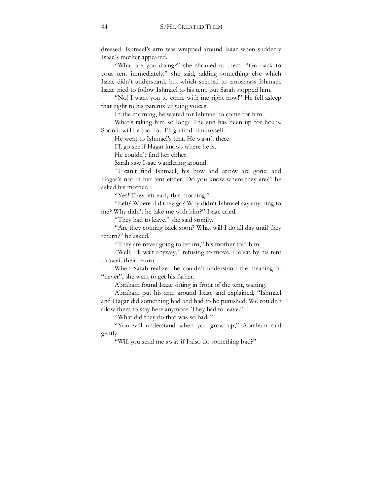dressed. Ishmael's arm was wrapped around Isaac when suddenly Isaac's mother appeared.

"What are you doing?" she shouted at them. "Go back to your tent immediately," she said, adding something else which Isaac didn't understand, but which seemed to embarrass Ishmael. Isaac tried to follow Ishmael to his tent, but Sarah stopped him.

"No! I want you to come with me right now!" He fell asleep that night to his parents' arguing voices.

In the morning, he waited for Ishmael to come for him.

What's taking him so long? The sun has been up for hours. Soon it will be too hot. I'll go find him myself.

He went to Ishmael's tent. He wasn't there.

I'll go see if Hagar knows where he is.

He couldn't find her either.

Sarah saw Isaac wandering around.

"I can't find Ishmael, his bow and arrow are gone; and Hagar's not in her tent either. Do you know where they are?" he asked his mother.

"Yes! They left early this morning."

"Left? Where did they go? Why didn't Ishmael say anything to me? Why didn't he take me with him?" Isaac cried.

"They had to leave," she said stonily.

"Are they coming back soon? What will I do all day until they return?" he asked.

"They are never going to return," his mother told him.

"Well, I'll wait anyway," refusing to move. He sat by his tent to await their return.

When Sarah realized he couldn't understand the meaning of "never", she went to get his father.

Abraham found Isaac sitting in front of the tent, waiting.

Abraham put his arm around Isaac and explained, "Ishmael and Hagar did something bad and had to be punished. We couldn't allow them to stay here anymore. They had to leave."

"What did they do that was so bad?"

"You will understand when you grow up," Abraham said gently.

"Will you send me away if I also do something bad?"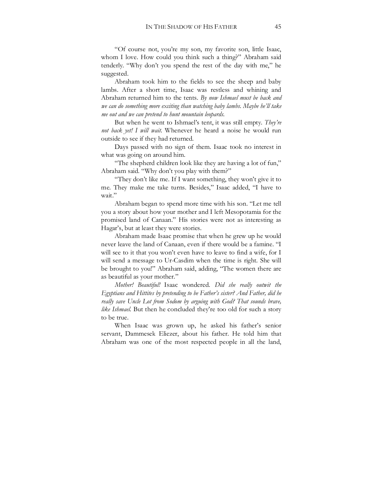"Of course not, you're my son, my favorite son, little Isaac, whom I love. How could you think such a thing?" Abraham said tenderly. "Why don't you spend the rest of the day with me," he suggested.

Abraham took him to the fields to see the sheep and baby lambs. After a short time, Isaac was restless and whining and Abraham returned him to the tents. *By now Ishmael must be back and we can do something more exciting than watching baby lambs. Maybe he'll take me out and we can pretend to hunt mountain leopards.*

But when he went to Ishmael's tent, it was still empty. *They're not back yet! I will wait.* Whenever he heard a noise he would run outside to see if they had returned.

Days passed with no sign of them. Isaac took no interest in what was going on around him.

"The shepherd children look like they are having a lot of fun," Abraham said. "Why don't you play with them?"

"They don't like me. If I want something, they won't give it to me. They make me take turns. Besides," Isaac added, "I have to wait."

Abraham began to spend more time with his son. "Let me tell you a story about how your mother and I left Mesopotamia for the promised land of Canaan." His stories were not as interesting as Hagar's, but at least they were stories.

Abraham made Isaac promise that when he grew up he would never leave the land of Canaan, even if there would be a famine. "I will see to it that you won't even have to leave to find a wife, for I will send a message to Ur-Casdim when the time is right. She will be brought to you!" Abraham said, adding, "The women there are as beautiful as your mother."

*Mother! Beautiful!* Isaac wondered. *Did she really outwit the Egyptians and Hittites by pretending to be Father's sister? And Father, did he*  really save Uncle Lot from Sodom by arguing with God? That sounds brave, *like Ishmael.* But then he concluded they're too old for such a story to be true.

When Isaac was grown up, he asked his father's senior servant, Dammesek Eliezer, about his father. He told him that Abraham was one of the most respected people in all the land,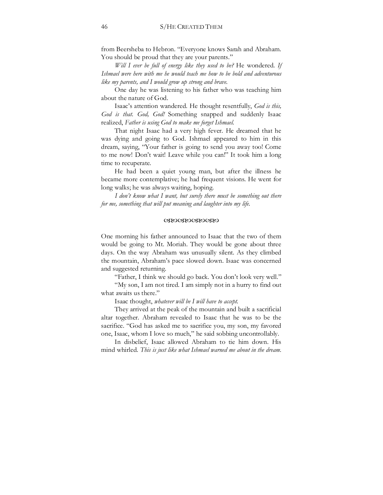from Beersheba to Hebron. "Everyone knows Sarah and Abraham. You should be proud that they are your parents."

*Will I ever be full of energy like they used to be?* He wondered. *If Ishmael were here with me he would teach me how to be bold and adventurous like my parents, and I would grow up strong and brave.*

One day he was listening to his father who was teaching him about the nature of God.

Isaac's attention wandered. He thought resentfully, *God is this, God is that. God, God!* Something snapped and suddenly Isaac realized, *Father is using God to make me forget Ishmael.*

That night Isaac had a very high fever. He dreamed that he was dying and going to God. Ishmael appeared to him in this dream, saying, "Your father is going to send you away too! Come to me now! Don't wait! Leave while you can!" It took him a long time to recuperate.

He had been a quiet young man, but after the illness he became more contemplative; he had frequent visions. He went for long walks; he was always waiting, hoping.

*I don't know what I want, but surely there must be something out there for me, something that will put meaning and laughter into my life*.

#### WXWXWXWX

One morning his father announced to Isaac that the two of them would be going to Mt. Moriah. They would be gone about three days. On the way Abraham was unusually silent. As they climbed the mountain, Abraham's pace slowed down. Isaac was concerned and suggested returning.

"Father, I think we should go back. You don't look very well."

"My son, I am not tired. I am simply not in a hurry to find out what awaits us there."

Isaac thought, *whatever will be I will have to accept.*

They arrived at the peak of the mountain and built a sacrificial altar together. Abraham revealed to Isaac that he was to be the sacrifice. "God has asked me to sacrifice you, my son, my favored one, Isaac, whom I love so much," he said sobbing uncontrollably.

In disbelief, Isaac allowed Abraham to tie him down. His mind whirled. *This is just like what Ishmael warned me about in the dream.*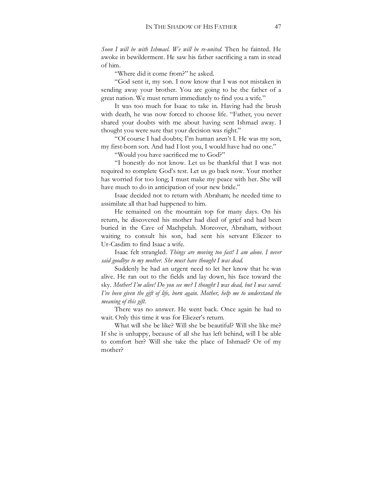*Soon I will be with Ishmael. We will be re-united*. Then he fainted. He awoke in bewilderment. He saw his father sacrificing a ram in stead of him.

"Where did it come from?" he asked.

"God sent it, my son. I now know that I was not mistaken in sending away your brother. You are going to be the father of a great nation. We must return immediately to find you a wife."

It was too much for Isaac to take in. Having had the brush with death, he was now forced to choose life. "Father, you never shared your doubts with me about having sent Ishmael away. I thought you were sure that your decision was right."

"Of course I had doubts; I'm human aren't I. He was my son, my first-born son. And had I lost you, I would have had no one."

"Would you have sacrificed me to God?"

"I honestly do not know. Let us be thankful that I was not required to complete God's test. Let us go back now. Your mother has worried for too long; I must make my peace with her. She will have much to do in anticipation of your new bride."

Isaac decided not to return with Abraham; he needed time to assimilate all that had happened to him.

He remained on the mountain top for many days. On his return, he discovered his mother had died of grief and had been buried in the Cave of Machpelah. Moreover, Abraham, without waiting to consult his son, had sent his servant Eliezer to Ur-Casdim to find Isaac a wife.

Isaac felt strangled. *Things are moving too fast! I am alone. I never said goodbye to my mother. She must have thought I was dead.*

Suddenly he had an urgent need to let her know that he was alive. He ran out to the fields and lay down, his face toward the sky. *Mother! I'm alive! Do you see me? I thought I was dead, but I was saved. I've been given the gift of life, born again. Mother, help me to understand the meaning of this gift.*

There was no answer. He went back. Once again he had to wait. Only this time it was for Eliezer's return.

What will she be like? Will she be beautiful? Will she like me? If she is unhappy, because of all she has left behind, will I be able to comfort her? Will she take the place of Ishmael? Or of my mother?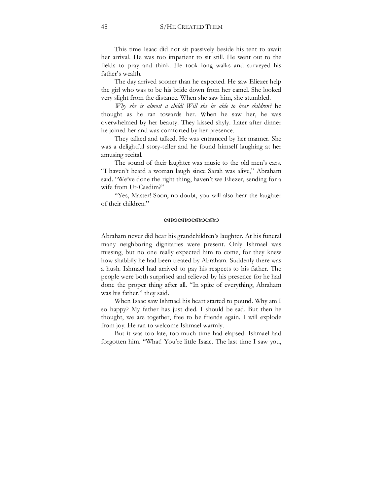This time Isaac did not sit passively beside his tent to await her arrival. He was too impatient to sit still. He went out to the fields to pray and think. He took long walks and surveyed his father's wealth.

The day arrived sooner than he expected. He saw Eliezer help the girl who was to be his bride down from her camel. She looked very slight from the distance. When she saw him, she stumbled.

*Why she is almost a child! Will she be able to bear children?* he thought as he ran towards her. When he saw her, he was overwhelmed by her beauty. They kissed shyly. Later after dinner he joined her and was comforted by her presence.

They talked and talked. He was entranced by her manner. She was a delightful story-teller and he found himself laughing at her amusing recital.

The sound of their laughter was music to the old men's ears. "I haven't heard a woman laugh since Sarah was alive," Abraham said. "We've done the right thing, haven't we Eliezer, sending for a wife from Ur-Casdim?"

"Yes, Master! Soon, no doubt, you will also hear the laughter of their children."

#### (XXVXXVXXV)

Abraham never did hear his grandchildren's laughter. At his funeral many neighboring dignitaries were present. Only Ishmael was missing, but no one really expected him to come, for they knew how shabbily he had been treated by Abraham. Suddenly there was a hush. Ishmael had arrived to pay his respects to his father. The people were both surprised and relieved by his presence for he had done the proper thing after all. "In spite of everything, Abraham was his father," they said.

When Isaac saw Ishmael his heart started to pound. Why am I so happy? My father has just died. I should be sad. But then he thought, we are together, free to be friends again. I will explode from joy. He ran to welcome Ishmael warmly.

But it was too late, too much time had elapsed. Ishmael had forgotten him. "What! You're little Isaac. The last time I saw you,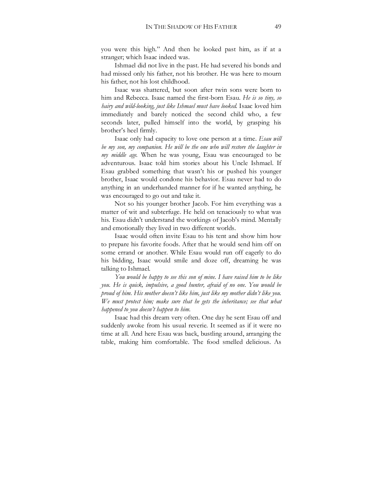you were this high." And then he looked past him, as if at a stranger; which Isaac indeed was.

Ishmael did not live in the past. He had severed his bonds and had missed only his father, not his brother. He was here to mourn his father, not his lost childhood.

Isaac was shattered, but soon after twin sons were born to him and Rebecca. Isaac named the first-born Esau. *He is so tiny, so hairy and wild-looking, just like Ishmael must have looked*. Isaac loved him immediately and barely noticed the second child who, a few seconds later, pulled himself into the world, by grasping his brother's heel firmly.

Isaac only had capacity to love one person at a time. *Esau will be my son, my companion. He will be the one who will restore the laughter in my middle age*. When he was young, Esau was encouraged to be adventurous. Isaac told him stories about his Uncle Ishmael. If Esau grabbed something that wasn't his or pushed his younger brother, Isaac would condone his behavior. Esau never had to do anything in an underhanded manner for if he wanted anything, he was encouraged to go out and take it.

Not so his younger brother Jacob. For him everything was a matter of wit and subterfuge. He held on tenaciously to what was his. Esau didn't understand the workings of Jacob's mind. Mentally and emotionally they lived in two different worlds.

Isaac would often invite Esau to his tent and show him how to prepare his favorite foods. After that he would send him off on some errand or another. While Esau would run off eagerly to do his bidding, Isaac would smile and doze off, dreaming he was talking to Ishmael.

*You would be happy to see this son of mine. I have raised him to be like you. He is quick, impulsive, a good hunter, afraid of no one. You would be proud of him. His mother doesn't like him, just like my mother didn't like you. We must protect him; make sure that he gets the inheritance; see that what happened to you doesn't happen to him.* 

Isaac had this dream very often. One day he sent Esau off and suddenly awoke from his usual reverie. It seemed as if it were no time at all. And here Esau was back, bustling around, arranging the table, making him comfortable. The food smelled delicious. As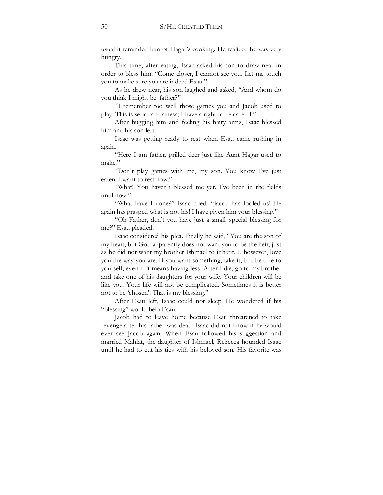usual it reminded him of Hagar's cooking. He realized he was very hungry.

This time, after eating, Isaac asked his son to draw near in order to bless him. "Come closer, I cannot see you. Let me touch you to make sure you are indeed Esau."

As he drew near, his son laughed and asked, "And whom do you think I might be, father?"

"I remember too well those games you and Jacob used to play. This is serious business; I have a right to be careful."

After hugging him and feeling his hairy arms, Isaac blessed him and his son left.

Isaac was getting ready to rest when Esau came rushing in again.

"Here I am father, grilled deer just like Aunt Hagar used to make."

"Don't play games with me, my son. You know I've just eaten. I want to rest now."

"What! You haven't blessed me yet. I've been in the fields until now."

"What have I done?" Isaac cried. "Jacob has fooled us! He again has grasped what is not his! I have given him your blessing."

"Oh Father, don't you have just a small, special blessing for me?" Esau pleaded.

Isaac considered his plea. Finally he said, "You are the son of my heart; but God apparently does not want you to be the heir, just as he did not want my brother Ishmael to inherit. I, however, love you the way you are. If you want something, take it, but be true to yourself, even if it means having less. After I die, go to my brother and take one of his daughters for your wife. Your children will be like you. Your life will not be complicated. Sometimes it is better not to be 'chosen'. That is my blessing."

After Esau left, Isaac could not sleep. He wondered if his "blessing" would help Esau.

Jacob had to leave home because Esau threatened to take revenge after his father was dead. Isaac did not know if he would ever see Jacob again. When Esau followed his suggestion and married Mahlat, the daughter of Ishmael, Rebecca hounded Isaac until he had to cut his ties with his beloved son. His favorite was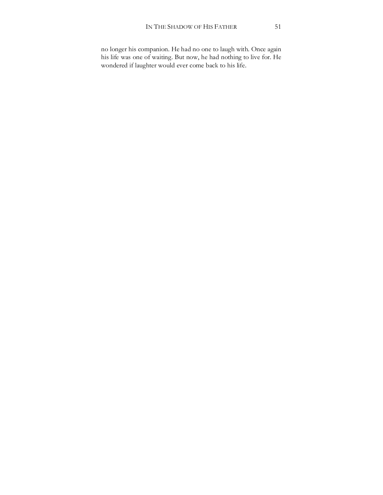no longer his companion. He had no one to laugh with. Once again his life was one of waiting. But now, he had nothing to live for. He wondered if laughter would ever come back to his life.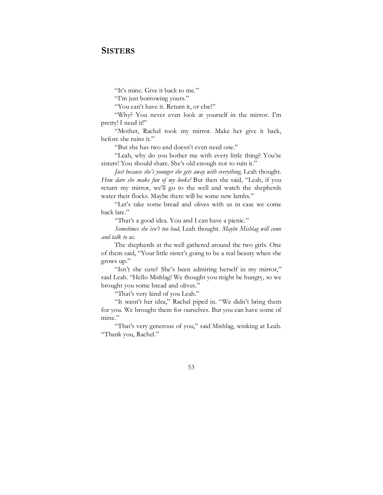### **SISTERS**

"It's mine. Give it back to me."

"I'm just borrowing yours."

"You can't have it. Return it, or else!"

"Why? You never even look at yourself in the mirror. I'm pretty! I need it!"

"Mother, Rachel took my mirror. Make her give it back, before she ruins it."

"But she has two and doesn't even need one."

"Leah, why do you bother me with every little thing? You're sisters! You should share. She's old enough not to ruin it."

*Just because she's younger she gets away with everything,* Leah thought. *How dare she make fun of my looks!* But then she said, "Leah, if you return my mirror, we'll go to the well and watch the shepherds water their flocks. Maybe there will be some new lambs."

"Let's take some bread and olives with us in case we come back late."

"That's a good idea. You and I can have a picnic."

*Sometimes she isn't too bad,* Leah thought. *Maybe Mishlag will come and talk to us.* 

The shepherds at the well gathered around the two girls. One of them said, "Your little sister's going to be a real beauty when she grows up."

"Isn't she cute? She's been admiring herself in my mirror," said Leah. "Hello Mishlag! We thought you might be hungry, so we brought you some bread and olives."

"That's very kind of you Leah."

"It wasn't her idea," Rachel piped in. "We didn't bring them for you. We brought them for ourselves. But you can have some of mine."

"That's very generous of you," said Mishlag, winking at Leah. "Thank you, Rachel."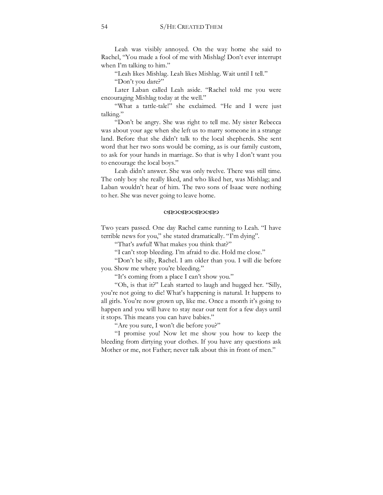Leah was visibly annoyed. On the way home she said to Rachel, "You made a fool of me with Mishlag! Don't ever interrupt when I'm talking to him."

"Leah likes Mishlag. Leah likes Mishlag. Wait until I tell."

"Don't you dare?"

Later Laban called Leah aside. "Rachel told me you were encouraging Mishlag today at the well."

"What a tattle-tale!" she exclaimed. "He and I were just talking."

"Don't be angry. She was right to tell me. My sister Rebecca was about your age when she left us to marry someone in a strange land. Before that she didn't talk to the local shepherds. She sent word that her two sons would be coming, as is our family custom, to ask for your hands in marriage. So that is why I don't want you to encourage the local boys."

Leah didn't answer. She was only twelve. There was still time. The only boy she really liked, and who liked her, was Mishlag; and Laban wouldn't hear of him. The two sons of Isaac were nothing to her. She was never going to leave home.

#### **CRYOCRYOCRYO**

Two years passed. One day Rachel came running to Leah. "I have terrible news for you," she stated dramatically. "I'm dying".

"That's awful! What makes you think that?"

"I can't stop bleeding. I'm afraid to die. Hold me close."

"Don't be silly, Rachel. I am older than you. I will die before you. Show me where you're bleeding."

"It's coming from a place I can't show you."

"Oh, is that it?" Leah started to laugh and hugged her. "Silly, you're not going to die! What's happening is natural. It happens to all girls. You're now grown up, like me. Once a month it's going to happen and you will have to stay near our tent for a few days until it stops. This means you can have babies."

"Are you sure, I won't die before you?"

"I promise you! Now let me show you how to keep the bleeding from dirtying your clothes. If you have any questions ask Mother or me, not Father; never talk about this in front of men."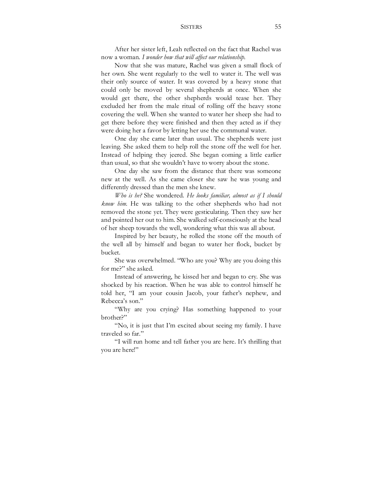### SISTERS 55

After her sister left, Leah reflected on the fact that Rachel was now a woman. *I wonder how that will affect our relationship.*

Now that she was mature, Rachel was given a small flock of her own. She went regularly to the well to water it. The well was their only source of water. It was covered by a heavy stone that could only be moved by several shepherds at once. When she would get there, the other shepherds would tease her. They excluded her from the male ritual of rolling off the heavy stone covering the well. When she wanted to water her sheep she had to get there before they were finished and then they acted as if they were doing her a favor by letting her use the communal water.

One day she came later than usual. The shepherds were just leaving. She asked them to help roll the stone off the well for her. Instead of helping they jeered. She began coming a little earlier than usual, so that she wouldn't have to worry about the stone.

One day she saw from the distance that there was someone new at the well. As she came closer she saw he was young and differently dressed than the men she knew.

*Who is he?* She wondered. *He looks familiar, almost as if I should know him.* He was talking to the other shepherds who had not removed the stone yet. They were gesticulating. Then they saw her and pointed her out to him. She walked self-consciously at the head of her sheep towards the well, wondering what this was all about.

Inspired by her beauty, he rolled the stone off the mouth of the well all by himself and began to water her flock, bucket by bucket.

She was overwhelmed. "Who are you? Why are you doing this for me?" she asked.

Instead of answering, he kissed her and began to cry. She was shocked by his reaction. When he was able to control himself he told her, "I am your cousin Jacob, your father's nephew, and Rebecca's son."

"Why are you crying? Has something happened to your brother?"

"No, it is just that I'm excited about seeing my family. I have traveled so far."

"I will run home and tell father you are here. It's thrilling that you are here!"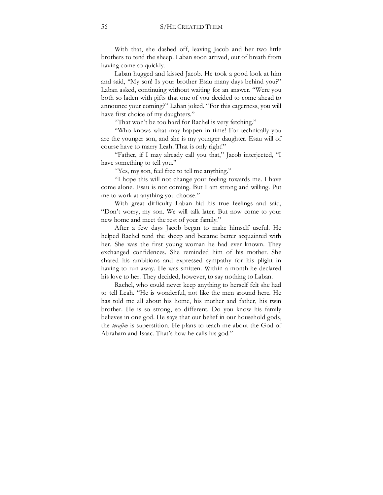With that, she dashed off, leaving Jacob and her two little brothers to tend the sheep. Laban soon arrived, out of breath from having come so quickly.

Laban hugged and kissed Jacob. He took a good look at him and said, "My son! Is your brother Esau many days behind you?" Laban asked, continuing without waiting for an answer. "Were you both so laden with gifts that one of you decided to come ahead to announce your coming?" Laban joked. "For this eagerness, you will have first choice of my daughters."

"That won't be too hard for Rachel is very fetching."

"Who knows what may happen in time! For technically you are the younger son, and she is my younger daughter. Esau will of course have to marry Leah. That is only right!"

"Father, if I may already call you that," Jacob interjected, "I have something to tell you."

"Yes, my son, feel free to tell me anything."

"I hope this will not change your feeling towards me. I have come alone. Esau is not coming. But I am strong and willing. Put me to work at anything you choose."

With great difficulty Laban hid his true feelings and said, "Don't worry, my son. We will talk later. But now come to your new home and meet the rest of your family."

After a few days Jacob began to make himself useful. He helped Rachel tend the sheep and became better acquainted with her. She was the first young woman he had ever known. They exchanged confidences. She reminded him of his mother. She shared his ambitions and expressed sympathy for his plight in having to run away. He was smitten. Within a month he declared his love to her. They decided, however, to say nothing to Laban.

Rachel, who could never keep anything to herself felt she had to tell Leah. "He is wonderful, not like the men around here. He has told me all about his home, his mother and father, his twin brother. He is so strong, so different. Do you know his family believes in one god. He says that our belief in our household gods, the *terafim* is superstition. He plans to teach me about the God of Abraham and Isaac. That's how he calls his god."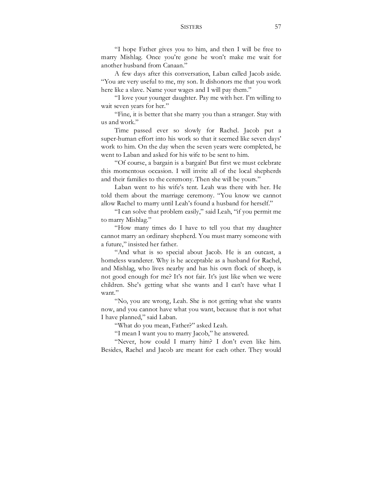## SISTERS 57

"I hope Father gives you to him, and then I will be free to marry Mishlag. Once you're gone he won't make me wait for another husband from Canaan."

A few days after this conversation, Laban called Jacob aside. "You are very useful to me, my son. It dishonors me that you work here like a slave. Name your wages and I will pay them."

"I love your younger daughter. Pay me with her. I'm willing to wait seven years for her."

"Fine, it is better that she marry you than a stranger. Stay with us and work"

Time passed ever so slowly for Rachel. Jacob put a super-human effort into his work so that it seemed like seven days' work to him. On the day when the seven years were completed, he went to Laban and asked for his wife to be sent to him.

"Of course, a bargain is a bargain! But first we must celebrate this momentous occasion. I will invite all of the local shepherds and their families to the ceremony. Then she will be yours."

Laban went to his wife's tent. Leah was there with her. He told them about the marriage ceremony. "You know we cannot allow Rachel to marry until Leah's found a husband for herself."

"I can solve that problem easily," said Leah, "if you permit me to marry Mishlag."

"How many times do I have to tell you that my daughter cannot marry an ordinary shepherd. You must marry someone with a future," insisted her father.

"And what is so special about Jacob. He is an outcast, a homeless wanderer. Why is he acceptable as a husband for Rachel, and Mishlag, who lives nearby and has his own flock of sheep, is not good enough for me? It's not fair. It's just like when we were children. She's getting what she wants and I can't have what I want."

"No, you are wrong, Leah. She is not getting what she wants now, and you cannot have what you want, because that is not what I have planned," said Laban.

"What do you mean, Father?" asked Leah.

"I mean I want you to marry Jacob," he answered.

"Never, how could I marry him? I don't even like him. Besides, Rachel and Jacob are meant for each other. They would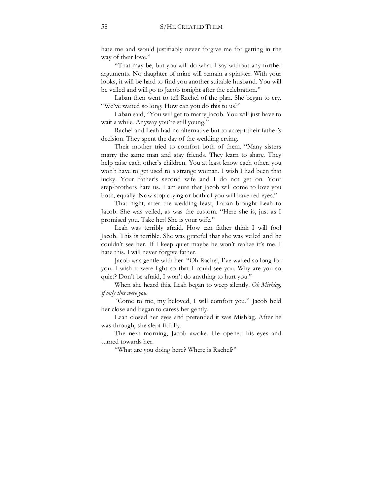hate me and would justifiably never forgive me for getting in the way of their love."

"That may be, but you will do what I say without any further arguments. No daughter of mine will remain a spinster. With your looks, it will be hard to find you another suitable husband. You will be veiled and will go to Jacob tonight after the celebration."

Laban then went to tell Rachel of the plan. She began to cry. "We've waited so long. How can you do this to us?"

Laban said, "You will get to marry Jacob. You will just have to wait a while. Anyway you're still young."

Rachel and Leah had no alternative but to accept their father's decision. They spent the day of the wedding crying.

Their mother tried to comfort both of them. "Many sisters marry the same man and stay friends. They learn to share. They help raise each other's children. You at least know each other, you won't have to get used to a strange woman. I wish I had been that lucky. Your father's second wife and I do not get on. Your step-brothers hate us. I am sure that Jacob will come to love you both, equally. Now stop crying or both of you will have red eyes."

That night, after the wedding feast, Laban brought Leah to Jacob. She was veiled, as was the custom. "Here she is, just as I promised you. Take her! She is your wife."

Leah was terribly afraid. How can father think I will fool Jacob. This is terrible. She was grateful that she was veiled and he couldn't see her. If I keep quiet maybe he won't realize it's me. I hate this. I will never forgive father.

Jacob was gentle with her. "Oh Rachel, I've waited so long for you. I wish it were light so that I could see you. Why are you so quiet? Don't be afraid, I won't do anything to hurt you."

When she heard this, Leah began to weep silently. *Oh Mishlag, if only this were you.*

"Come to me, my beloved, I will comfort you." Jacob held her close and began to caress her gently.

Leah closed her eyes and pretended it was Mishlag. After he was through, she slept fitfully.

The next morning, Jacob awoke. He opened his eyes and turned towards her.

"What are you doing here? Where is Rachel?"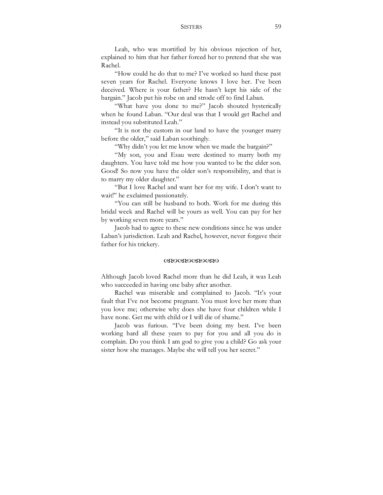## SISTERS 59

Leah, who was mortified by his obvious rejection of her, explained to him that her father forced her to pretend that she was Rachel.

"How could he do that to me? I've worked so hard these past seven years for Rachel. Everyone knows I love her. I've been deceived. Where is your father? He hasn't kept his side of the bargain." Jacob put his robe on and strode off to find Laban.

"What have you done to me?" Jacob shouted hysterically when he found Laban. "Our deal was that I would get Rachel and instead you substituted Leah."

"It is not the custom in our land to have the younger marry before the older," said Laban soothingly.

"Why didn't you let me know when we made the bargain?"

"My son, you and Esau were destined to marry both my daughters. You have told me how you wanted to be the elder son. Good! So now you have the older son's responsibility, and that is to marry my older daughter."

"But I love Rachel and want her for my wife. I don't want to wait!" he exclaimed passionately.

"You can still be husband to both. Work for me during this bridal week and Rachel will be yours as well. You can pay for her by working seven more years."

Jacob had to agree to these new conditions since he was under Laban's jurisdiction. Leah and Rachel, however, never forgave their father for his trickery.

#### WXWXWXWX

Although Jacob loved Rachel more than he did Leah, it was Leah who succeeded in having one baby after another.

Rachel was miserable and complained to Jacob. "It's your fault that I've not become pregnant. You must love her more than you love me; otherwise why does she have four children while I have none. Get me with child or I will die of shame."

Jacob was furious. "I've been doing my best. I've been working hard all these years to pay for you and all you do is complain. Do you think I am god to give you a child? Go ask your sister how she manages. Maybe she will tell you her secret."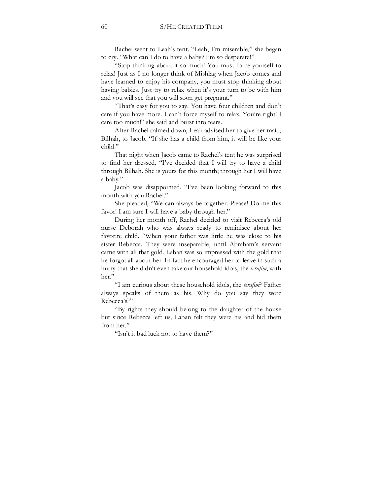Rachel went to Leah's tent. "Leah, I'm miserable," she began to cry. "What can I do to have a baby? I'm so desperate!"

"Stop thinking about it so much! You must force yourself to relax! Just as I no longer think of Mishlag when Jacob comes and have learned to enjoy his company, you must stop thinking about having babies. Just try to relax when it's your turn to be with him and you will see that you will soon get pregnant."

"That's easy for you to say. You have four children and don't care if you have more. I can't force myself to relax. You're right! I care too much!" she said and burst into tears.

After Rachel calmed down, Leah advised her to give her maid, Bilhah, to Jacob. "If she has a child from him, it will be like your child."

That night when Jacob came to Rachel's tent he was surprised to find her dressed. "I've decided that I will try to have a child through Bilhah. She is yours for this month; through her I will have a baby."

Jacob was disappointed. "I've been looking forward to this month with you Rachel."

She pleaded, "We can always be together. Please! Do me this favor! I am sure I will have a baby through her."

During her month off, Rachel decided to visit Rebecca's old nurse Deborah who was always ready to reminisce about her favorite child. "When your father was little he was close to his sister Rebecca. They were inseparable, until Abraham's servant came with all that gold. Laban was so impressed with the gold that he forgot all about her. In fact he encouraged her to leave in such a hurry that she didn't even take our household idols, the *terafim*, with her."

"I am curious about these household idols, the *terafim*? Father always speaks of them as his. Why do you say they were Rebecca's?"

"By rights they should belong to the daughter of the house but since Rebecca left us, Laban felt they were his and hid them from her."

"Isn't it bad luck not to have them?"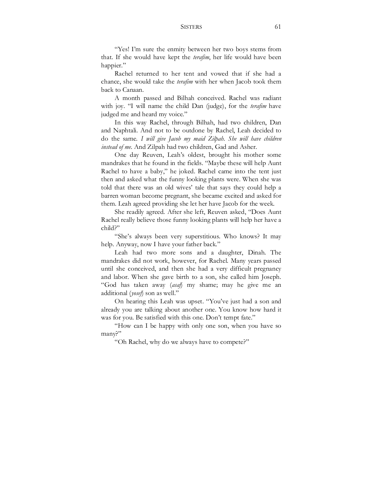## SISTERS 61

"Yes! I'm sure the enmity between her two boys stems from that. If she would have kept the *terafim*, her life would have been happier."

Rachel returned to her tent and vowed that if she had a chance, she would take the *terafim* with her when Jacob took them back to Canaan.

A month passed and Bilhah conceived. Rachel was radiant with joy. "I will name the child Dan (judge), for the *terafim* have judged me and heard my voice."

In this way Rachel, through Bilhah, had two children, Dan and Naphtali. And not to be outdone by Rachel, Leah decided to do the same. *I will give Jacob my maid Zilpah. She will have children instead of me.* And Zilpah had two children, Gad and Asher.

One day Reuven, Leah's oldest, brought his mother some mandrakes that he found in the fields. "Maybe these will help Aunt Rachel to have a baby," he joked. Rachel came into the tent just then and asked what the funny looking plants were. When she was told that there was an old wives' tale that says they could help a barren woman become pregnant, she became excited and asked for them. Leah agreed providing she let her have Jacob for the week.

She readily agreed. After she left, Reuven asked, "Does Aunt Rachel really believe those funny looking plants will help her have a child?"

"She's always been very superstitious. Who knows? It may help. Anyway, now I have your father back."

Leah had two more sons and a daughter, Dinah. The mandrakes did not work, however, for Rachel. Many years passed until she conceived, and then she had a very difficult pregnancy and labor. When she gave birth to a son, she called him Joseph. "God has taken away (*asaf*) my shame; may he give me an additional (*yosef*) son as well."

On hearing this Leah was upset. "You've just had a son and already you are talking about another one. You know how hard it was for you. Be satisfied with this one. Don't tempt fate."

"How can I be happy with only one son, when you have so many?"

"Oh Rachel, why do we always have to compete?"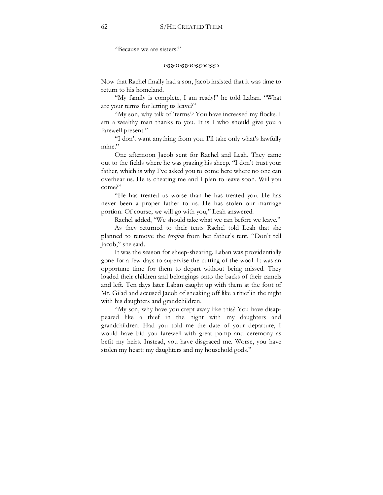"Because we are sisters!"

### WXWXWXWX

Now that Rachel finally had a son, Jacob insisted that it was time to return to his homeland.

"My family is complete, I am ready!" he told Laban. "What are your terms for letting us leave?"

"My son, why talk of 'terms'? You have increased my flocks. I am a wealthy man thanks to you. It is I who should give you a farewell present."

"I don't want anything from you. I'll take only what's lawfully mine"

One afternoon Jacob sent for Rachel and Leah. They came out to the fields where he was grazing his sheep. "I don't trust your father, which is why I've asked you to come here where no one can overhear us. He is cheating me and I plan to leave soon. Will you come?"

"He has treated us worse than he has treated you. He has never been a proper father to us. He has stolen our marriage portion. Of course, we will go with you," Leah answered.

Rachel added, "We should take what we can before we leave."

As they returned to their tents Rachel told Leah that she planned to remove the *terafim* from her father's tent. "Don't tell Jacob," she said.

It was the season for sheep-shearing. Laban was providentially gone for a few days to supervise the cutting of the wool. It was an opportune time for them to depart without being missed. They loaded their children and belongings onto the backs of their camels and left. Ten days later Laban caught up with them at the foot of Mt. Gilad and accused Jacob of sneaking off like a thief in the night with his daughters and grandchildren.

"My son, why have you crept away like this? You have disappeared like a thief in the night with my daughters and grandchildren. Had you told me the date of your departure, I would have bid you farewell with great pomp and ceremony as befit my heirs. Instead, you have disgraced me. Worse, you have stolen my heart: my daughters and my household gods."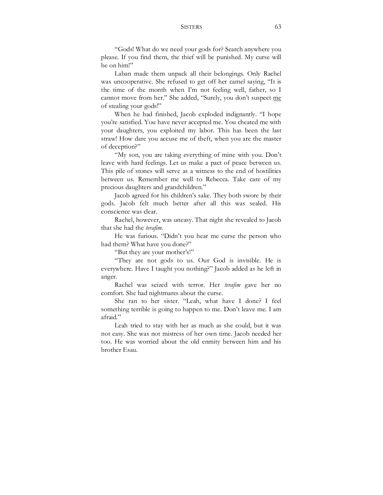## SISTERS 63

"Gods! What do we need your gods for? Search anywhere you please. If you find them, the thief will be punished. My curse will be on him!"

Laban made them unpack all their belongings. Only Rachel was uncooperative. She refused to get off her camel saying, "It is the time of the month when I'm not feeling well, father, so I cannot move from her." She added, "Surely, you don't suspect me of stealing your gods!"

When he had finished, Jacob exploded indignantly. "I hope you're satisfied. You have never accepted me. You cheated me with your daughters, you exploited my labor. This has been the last straw! How dare you accuse me of theft, when you are the master of deception?"

"My son, you are taking everything of mine with you. Don't leave with hard feelings. Let us make a pact of peace between us. This pile of stones will serve as a witness to the end of hostilities between us. Remember me well to Rebecca. Take care of my precious daughters and grandchildren."

Jacob agreed for his children's sake. They both swore by their gods. Jacob felt much better after all this was sealed. His conscience was clear.

Rachel, however, was uneasy. That night she revealed to Jacob that she had the *terafim*.

He was furious. "Didn't you hear me curse the person who had them? What have you done?"

"But they are your mother's!"

"They are not gods to us. Our God is invisible. He is everywhere. Have I taught you nothing?" Jacob added as he left in anger.

Rachel was seized with terror. Her *terafim* gave her no comfort. She had nightmares about the curse.

She ran to her sister. "Leah, what have I done? I feel something terrible is going to happen to me. Don't leave me. I am afraid."

Leah tried to stay with her as much as she could, but it was not easy. She was not mistress of her own time. Jacob needed her too. He was worried about the old enmity between him and his brother Esau.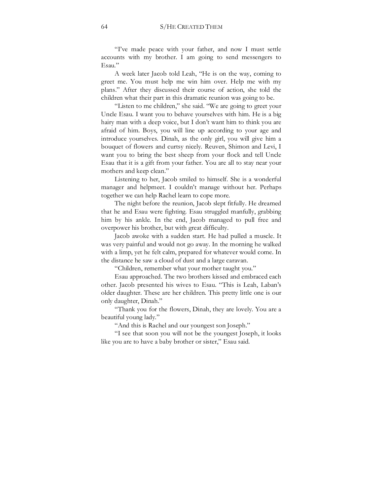"I've made peace with your father, and now I must settle accounts with my brother. I am going to send messengers to Esau."

A week later Jacob told Leah, "He is on the way, coming to greet me. You must help me win him over. Help me with my plans." After they discussed their course of action, she told the children what their part in this dramatic reunion was going to be.

"Listen to me children," she said. "We are going to greet your Uncle Esau. I want you to behave yourselves with him. He is a big hairy man with a deep voice, but I don't want him to think you are afraid of him. Boys, you will line up according to your age and introduce yourselves. Dinah, as the only girl, you will give him a bouquet of flowers and curtsy nicely. Reuven, Shimon and Levi, I want you to bring the best sheep from your flock and tell Uncle Esau that it is a gift from your father. You are all to stay near your mothers and keep clean."

Listening to her, Jacob smiled to himself. She is a wonderful manager and helpmeet. I couldn't manage without her. Perhaps together we can help Rachel learn to cope more.

The night before the reunion, Jacob slept fitfully. He dreamed that he and Esau were fighting. Esau struggled manfully, grabbing him by his ankle. In the end, Jacob managed to pull free and overpower his brother, but with great difficulty.

Jacob awoke with a sudden start. He had pulled a muscle. It was very painful and would not go away. In the morning he walked with a limp, yet he felt calm, prepared for whatever would come. In the distance he saw a cloud of dust and a large caravan.

"Children, remember what your mother taught you."

Esau approached. The two brothers kissed and embraced each other. Jacob presented his wives to Esau. "This is Leah, Laban's older daughter. These are her children. This pretty little one is our only daughter, Dinah."

"Thank you for the flowers, Dinah, they are lovely. You are a beautiful young lady."

"And this is Rachel and our youngest son Joseph."

"I see that soon you will not be the youngest Joseph, it looks like you are to have a baby brother or sister," Esau said.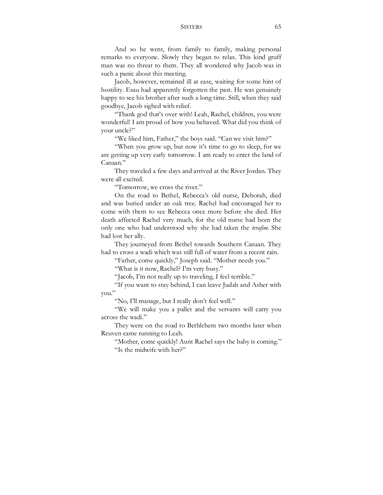## SISTERS 65

And so he went, from family to family, making personal remarks to everyone. Slowly they began to relax. This kind gruff man was no threat to them. They all wondered why Jacob was in such a panic about this meeting.

Jacob, however, remained ill at ease, waiting for some hint of hostility. Esau had apparently forgotten the past. He was genuinely happy to see his brother after such a long time. Still, when they said goodbye, Jacob sighed with relief.

"Thank god that's over with! Leah, Rachel, children, you were wonderful! I am proud of how you behaved. What did you think of your uncle?"

"We liked him, Father," the boys said. "Can we visit him?"

"When you grow up, but now it's time to go to sleep, for we are getting up very early tomorrow. I am ready to enter the land of Canaan."

They traveled a few days and arrived at the River Jordan. They were all excited.

"Tomorrow, we cross the river."

On the road to Bethel, Rebecca's old nurse, Deborah, died and was buried under an oak tree. Rachel had encouraged her to come with them to see Rebecca once more before she died. Her death affected Rachel very much, for the old nurse had been the only one who had understood why she had taken the *terafim*. She had lost her ally.

They journeyed from Bethel towards Southern Canaan. They had to cross a wadi which was still full of water from a recent rain.

"Father, come quickly," Joseph said. "Mother needs you."

"What is it now, Rachel? I'm very busy."

"Jacob, I'm not really up to traveling, I feel terrible."

"If you want to stay behind, I can leave Judah and Asher with you."

"No, I'll manage, but I really don't feel well."

"We will make you a pallet and the servants will carry you across the wadi."

They were on the road to Bethlehem two months later when Reuven came running to Leah.

"Mother, come quickly! Aunt Rachel says the baby is coming." "Is the midwife with her?"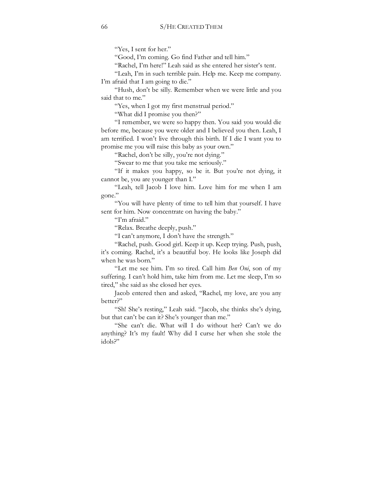"Yes, I sent for her."

"Good, I'm coming. Go find Father and tell him."

"Rachel, I'm here!" Leah said as she entered her sister's tent.

"Leah, I'm in such terrible pain. Help me. Keep me company. I'm afraid that I am going to die."

"Hush, don't be silly. Remember when we were little and you said that to me."

"Yes, when I got my first menstrual period."

"What did I promise you then?"

"I remember, we were so happy then. You said you would die before me, because you were older and I believed you then. Leah, I am terrified. I won't live through this birth. If I die I want you to promise me you will raise this baby as your own."

"Rachel, don't be silly, you're not dying."

"Swear to me that you take me seriously."

"If it makes you happy, so be it. But you're not dying, it cannot be, you are younger than I."

"Leah, tell Jacob I love him. Love him for me when I am gone."

"You will have plenty of time to tell him that yourself. I have sent for him. Now concentrate on having the baby."

"I'm afraid."

"Relax. Breathe deeply, push."

"I can't anymore, I don't have the strength."

"Rachel, push. Good girl. Keep it up. Keep trying. Push, push, it's coming. Rachel, it's a beautiful boy. He looks like Joseph did when he was born."

"Let me see him. I'm so tired. Call him *Ben Oni*, son of my suffering. I can't hold him, take him from me. Let me sleep, I'm so tired," she said as she closed her eyes.

Jacob entered then and asked, "Rachel, my love, are you any better?"

"Sh! She's resting," Leah said. "Jacob, she thinks she's dying, but that can't be can it? She's younger than me."

"She can't die. What will I do without her? Can't we do anything? It's my fault! Why did I curse her when she stole the idols?"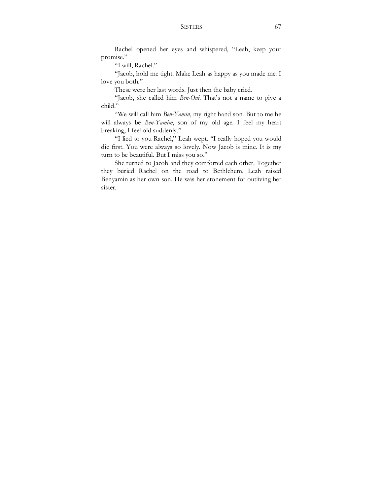Rachel opened her eyes and whispered, "Leah, keep your promise."

"I will, Rachel."

"Jacob, hold me tight. Make Leah as happy as you made me. I love you both."

These were her last words. Just then the baby cried.

"Jacob, she called him *Ben-Oni*. That's not a name to give a child."

"We will call him *Ben-Yamin*, my right hand son. But to me he will always be *Ben-Yamim*, son of my old age. I feel my heart breaking, I feel old suddenly."

"I lied to you Rachel," Leah wept. "I really hoped you would die first. You were always so lovely. Now Jacob is mine. It is my turn to be beautiful. But I miss you so."

She turned to Jacob and they comforted each other. Together they buried Rachel on the road to Bethlehem. Leah raised Benyamin as her own son. He was her atonement for outliving her sister.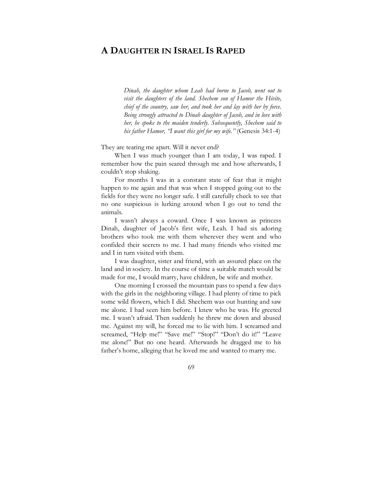# **A DAUGHTER IN ISRAEL IS RAPED**

*Dinah, the daughter whom Leah had borne to Jacob, went out to visit the daughters of the land. Shechem son of Hamor the Hivite, chief of the country, saw her, and took her and lay with her by force. Being strongly attracted to Dinah daughter of Jacob, and in love with her, he spoke to the maiden tenderly. Subsequently, Shechem said to his father Hamor, "I want this girl for my wife."* (Genesis 34:1-4)

They are tearing me apart. Will it never end?

When I was much younger than I am today, I was raped. I remember how the pain seared through me and how afterwards, I couldn't stop shaking.

For months I was in a constant state of fear that it might happen to me again and that was when I stopped going out to the fields for they were no longer safe. I still carefully check to see that no one suspicious is lurking around when I go out to tend the animals.

I wasn't always a coward. Once I was known as princess Dinah, daughter of Jacob's first wife, Leah. I had six adoring brothers who took me with them wherever they went and who confided their secrets to me. I had many friends who visited me and I in turn visited with them.

I was daughter, sister and friend, with an assured place on the land and in society. In the course of time a suitable match would be made for me, I would marry, have children, be wife and mother.

One morning I crossed the mountain pass to spend a few days with the girls in the neighboring village. I had plenty of time to pick some wild flowers, which I did. Shechem was out hunting and saw me alone. I had seen him before. I knew who he was. He greeted me. I wasn't afraid. Then suddenly he threw me down and abused me. Against my will, he forced me to lie with him. I screamed and screamed, "Help me!" "Save me!" "Stop!" "Don't do it!" "Leave me alone!" But no one heard. Afterwards he dragged me to his father's home, alleging that he loved me and wanted to marry me.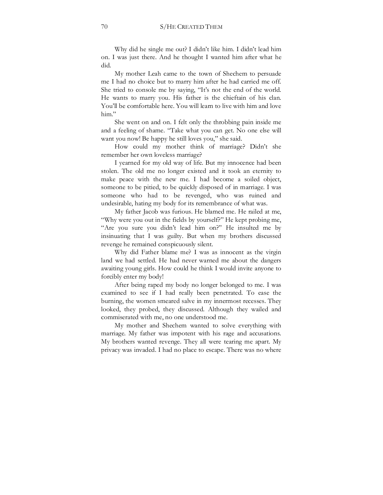Why did he single me out? I didn't like him. I didn't lead him on. I was just there. And he thought I wanted him after what he did.

My mother Leah came to the town of Shechem to persuade me I had no choice but to marry him after he had carried me off. She tried to console me by saying, "It's not the end of the world. He wants to marry you. His father is the chieftain of his clan. You'll be comfortable here. You will learn to live with him and love him"

She went on and on. I felt only the throbbing pain inside me and a feeling of shame. "Take what you can get. No one else will want you now! Be happy he still loves you," she said.

How could my mother think of marriage? Didn't she remember her own loveless marriage?

I yearned for my old way of life. But my innocence had been stolen. The old me no longer existed and it took an eternity to make peace with the new me. I had become a soiled object, someone to be pitied, to be quickly disposed of in marriage. I was someone who had to be revenged, who was ruined and undesirable, hating my body for its remembrance of what was.

My father Jacob was furious. He blamed me. He railed at me, "Why were you out in the fields by yourself?" He kept probing me, "Are you sure you didn't lead him on?" He insulted me by insinuating that I was guilty. But when my brothers discussed revenge he remained conspicuously silent.

Why did Father blame me? I was as innocent as the virgin land we had settled. He had never warned me about the dangers awaiting young girls. How could he think I would invite anyone to forcibly enter my body!

After being raped my body no longer belonged to me. I was examined to see if I had really been penetrated. To ease the burning, the women smeared salve in my innermost recesses. They looked, they probed, they discussed. Although they wailed and commiserated with me, no one understood me.

My mother and Shechem wanted to solve everything with marriage. My father was impotent with his rage and accusations. My brothers wanted revenge. They all were tearing me apart. My privacy was invaded. I had no place to escape. There was no where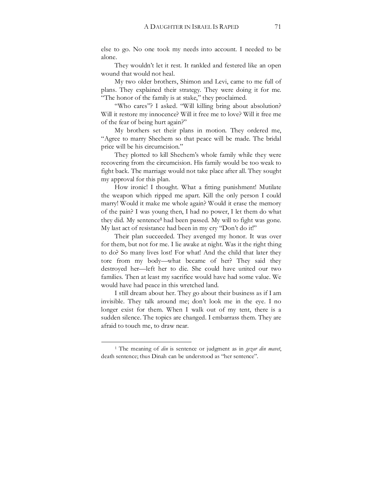else to go. No one took my needs into account. I needed to be alone.

They wouldn't let it rest. It rankled and festered like an open wound that would not heal.

My two older brothers, Shimon and Levi, came to me full of plans. They explained their strategy. They were doing it for me. "The honor of the family is at stake," they proclaimed.

"Who cares"? I asked. "Will killing bring about absolution? Will it restore my innocence? Will it free me to love? Will it free me of the fear of being hurt again?"

My brothers set their plans in motion. They ordered me, "Agree to marry Shechem so that peace will be made. The bridal price will be his circumcision."

They plotted to kill Shechem's whole family while they were recovering from the circumcision. His family would be too weak to fight back. The marriage would not take place after all. They sought my approval for this plan.

How ironic! I thought. What a fitting punishment! Mutilate the weapon which ripped me apart. Kill the only person I could marry! Would it make me whole again? Would it erase the memory of the pain? I was young then, I had no power, I let them do what they did. My sentence**1** had been passed. My will to fight was gone. My last act of resistance had been in my cry "Don't do it!"

Their plan succeeded. They avenged my honor. It was over for them, but not for me. I lie awake at night. Was it the right thing to do? So many lives lost! For what! And the child that later they tore from my body—what became of her? They said they destroyed her—left her to die. She could have united our two families. Then at least my sacrifice would have had some value. We would have had peace in this wretched land.

I still dream about her. They go about their business as if I am invisible. They talk around me; don't look me in the eye. I no longer exist for them. When I walk out of my tent, there is a sudden silence. The topics are changed. I embarrass them. They are afraid to touch me, to draw near.

<sup>1</sup> The meaning of *din* is sentence or judgment as in *gezar din mavet*, death sentence; thus Dinah can be understood as "her sentence".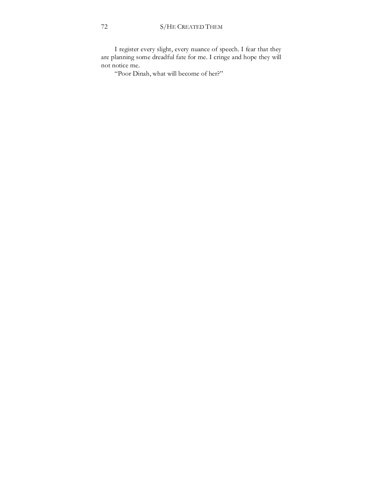I register every slight, every nuance of speech. I fear that they are planning some dreadful fate for me. I cringe and hope they will not notice me.

"Poor Dinah, what will become of her?"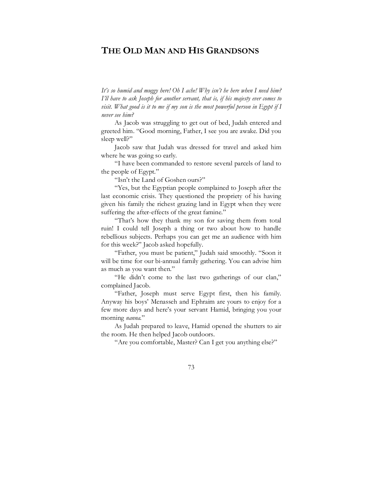# **THE OLD MAN AND HIS GRANDSONS**

*It's so humid and muggy here! Oh I ache! Why isn't he here when I need him? I'll have to ask Joseph for another servant, that is, if his majesty ever comes to visit. What good is it to me if my son is the most powerful person in Egypt if I never see him?* 

As Jacob was struggling to get out of bed, Judah entered and greeted him. "Good morning, Father, I see you are awake. Did you sleep well?"

Jacob saw that Judah was dressed for travel and asked him where he was going so early.

"I have been commanded to restore several parcels of land to the people of Egypt."

"Isn't the Land of Goshen ours?"

"Yes, but the Egyptian people complained to Joseph after the last economic crisis. They questioned the propriety of his having given his family the richest grazing land in Egypt when they were suffering the after-effects of the great famine."

"That's how they thank my son for saving them from total ruin! I could tell Joseph a thing or two about how to handle rebellious subjects. Perhaps you can get me an audience with him for this week?" Jacob asked hopefully.

"Father, you must be patient," Judah said smoothly. "Soon it will be time for our bi-annual family gathering. You can advise him as much as you want then."

"He didn't come to the last two gatherings of our clan," complained Jacob.

"Father, Joseph must serve Egypt first, then his family. Anyway his boys' Menasseh and Ephraim are yours to enjoy for a few more days and here's your servant Hamid, bringing you your morning *nanna*."

As Judah prepared to leave, Hamid opened the shutters to air the room. He then helped Jacob outdoors.

"Are you comfortable, Master? Can I get you anything else?"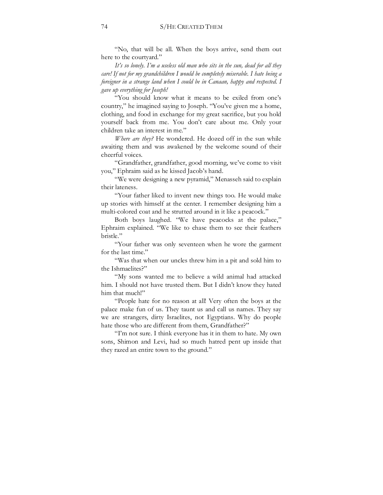"No, that will be all. When the boys arrive, send them out here to the courtyard."

*It's so lonely. I'm a useless old man who sits in the sun, dead for all they care! If not for my grandchildren I would be completely miserable. I hate being a foreigner in a strange land when I could be in Canaan, happy and respected. I gave up everything for Joseph!* 

"You should know what it means to be exiled from one's country," he imagined saying to Joseph. "You've given me a home, clothing, and food in exchange for my great sacrifice, but you hold yourself back from me. You don't care about me. Only your children take an interest in me."

*Where are they?* He wondered. He dozed off in the sun while awaiting them and was awakened by the welcome sound of their cheerful voices.

"Grandfather, grandfather, good morning, we've come to visit you," Ephraim said as he kissed Jacob's hand.

"We were designing a new pyramid," Menasseh said to explain their lateness.

"Your father liked to invent new things too. He would make up stories with himself at the center. I remember designing him a multi-colored coat and he strutted around in it like a peacock."

Both boys laughed. "We have peacocks at the palace," Ephraim explained. "We like to chase them to see their feathers bristle."

"Your father was only seventeen when he wore the garment for the last time."

"Was that when our uncles threw him in a pit and sold him to the Ishmaelites?"

"My sons wanted me to believe a wild animal had attacked him. I should not have trusted them. But I didn't know they hated him that much!"

"People hate for no reason at all! Very often the boys at the palace make fun of us. They taunt us and call us names. They say we are strangers, dirty Israelites, not Egyptians. Why do people hate those who are different from them, Grandfather?"

"I'm not sure. I think everyone has it in them to hate. My own sons, Shimon and Levi, had so much hatred pent up inside that they razed an entire town to the ground."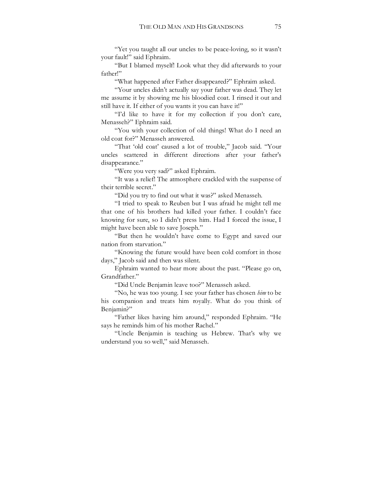"Yet you taught all our uncles to be peace-loving, so it wasn't your fault!" said Ephraim.

"But I blamed myself! Look what they did afterwards to your father!"

"What happened after Father disappeared?" Ephraim asked.

"Your uncles didn't actually say your father was dead. They let me assume it by showing me his bloodied coat. I rinsed it out and still have it. If either of you wants it you can have it!"

"I'd like to have it for my collection if you don't care, Menasseh?" Ephraim said.

"You with your collection of old things! What do I need an old coat for?" Menasseh answered.

"That 'old coat' caused a lot of trouble," Jacob said. "Your uncles scattered in different directions after your father's disappearance."

"Were you very sad?" asked Ephraim.

"It was a relief! The atmosphere crackled with the suspense of their terrible secret."

"Did you try to find out what it was?" asked Menasseh.

"I tried to speak to Reuben but I was afraid he might tell me that one of his brothers had killed your father. I couldn't face knowing for sure, so I didn't press him. Had I forced the issue, I might have been able to save Joseph."

"But then he wouldn't have come to Egypt and saved our nation from starvation."

"Knowing the future would have been cold comfort in those days," Jacob said and then was silent.

Ephraim wanted to hear more about the past. "Please go on, Grandfather."

"Did Uncle Benjamin leave too?" Menasseh asked.

"No, he was too young. I see your father has chosen *him* to be his companion and treats him royally. What do you think of Benjamin?"

"Father likes having him around," responded Ephraim. "He says he reminds him of his mother Rachel."

"Uncle Benjamin is teaching us Hebrew. That's why we understand you so well," said Menasseh.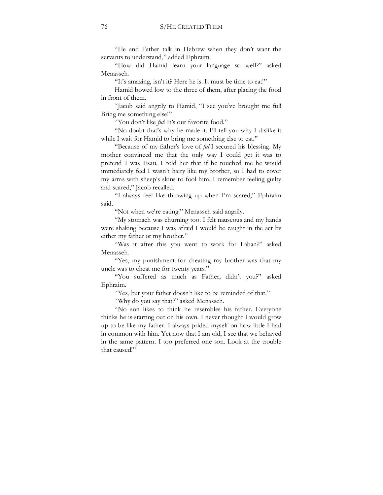"He and Father talk in Hebrew when they don't want the servants to understand," added Ephraim.

"How did Hamid learn your language so well?" asked Menasseh.

"It's amazing, isn't it? Here he is. It must be time to eat!"

Hamid bowed low to the three of them, after placing the food in front of them.

"Jacob said angrily to Hamid, "I see you've brought me ful! Bring me something else!"

"You don't like *ful*! It's our favorite food."

"No doubt that's why he made it. I'll tell you why I dislike it while I wait for Hamid to bring me something else to eat."

"Because of my father's love of *ful* I secured his blessing. My mother convinced me that the only way I could get it was to pretend I was Esau. I told her that if he touched me he would immediately feel I wasn't hairy like my brother, so I had to cover my arms with sheep's skins to fool him. I remember feeling guilty and scared," Jacob recalled.

"I always feel like throwing up when I'm scared," Ephraim said.

"Not when we're eating!" Menasseh said angrily.

"My stomach was churning too. I felt nauseous and my hands were shaking because I was afraid I would be caught in the act by either my father or my brother."

"Was it after this you went to work for Laban?" asked Menasseh.

"Yes, my punishment for cheating my brother was that my uncle was to cheat me for twenty years."

"You suffered as much as Father, didn't you?" asked Ephraim.

"Yes, but your father doesn't like to be reminded of that."

"Why do you say that?" asked Menasseh.

"No son likes to think he resembles his father. Everyone thinks he is starting out on his own. I never thought I would grow up to be like my father. I always prided myself on how little I had in common with him. Yet now that I am old, I see that we behaved in the same pattern. I too preferred one son. Look at the trouble that caused!"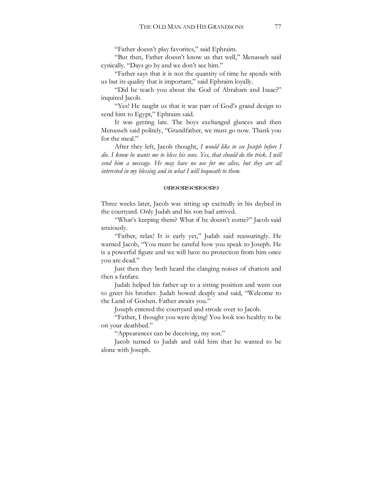"Father doesn't play favorites," said Ephraim.

"But then, Father doesn't know us that well," Menasseh said cynically. "Days go by and we don't see him."

"Father says that it is not the quantity of time he spends with us but its quality that is important," said Ephraim loyally.

"Did he teach you about the God of Abraham and Isaac?" inquired Jacob.

"Yes! He taught us that it was part of God's grand design to send him to Egypt," Ephraim said.

It was getting late. The boys exchanged glances and then Menasseh said politely, "Grandfather, we must go now. Thank you for the meal."

After they left, Jacob thought, *I would like to see Joseph before I die. I know he wants me to bless his sons. Yes, that should do the trick. I will send him a message. He may have no use for me alive, but they are all interested in my blessing and in what I will bequeath to them.* 

#### WXWXWXWX

Three weeks later, Jacob was sitting up excitedly in his daybed in the courtyard. Only Judah and his son had arrived.

"What's keeping them? What if he doesn't come?" Jacob said anxiously.

"Father, relax! It is early yet," Judah said reassuringly. He warned Jacob, "You must be careful how you speak to Joseph. He is a powerful figure and we will have no protection from him once you are dead."

Just then they both heard the clanging noises of chariots and then a fanfare.

Judah helped his father up to a sitting position and went out to greet his brother. Judah bowed deeply and said, "Welcome to the Land of Goshen. Father awaits you."

Joseph entered the courtyard and strode over to Jacob.

"Father, I thought you were dying! You look too healthy to be on your deathbed."

"Appearances can be deceiving, my son."

Jacob turned to Judah and told him that he wanted to be alone with Joseph.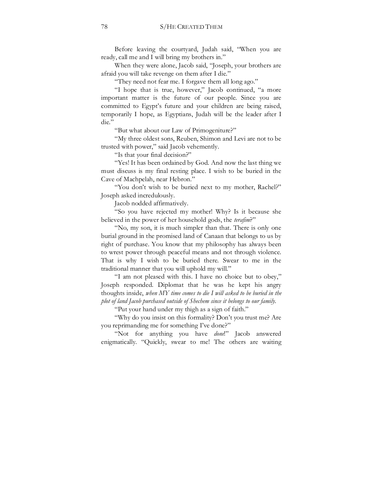Before leaving the courtyard, Judah said, "When you are ready, call me and I will bring my brothers in."

When they were alone, Jacob said, "Joseph, your brothers are afraid you will take revenge on them after I die."

"They need not fear me. I forgave them all long ago."

"I hope that is true, however," Jacob continued, "a more important matter is the future of our people. Since you are committed to Egypt's future and your children are being raised, temporarily I hope, as Egyptians, Judah will be the leader after I die."

"But what about our Law of Primogeniture?"

"My three oldest sons, Reuben, Shimon and Levi are not to be trusted with power," said Jacob vehemently.

"Is that your final decision?"

"Yes! It has been ordained by God. And now the last thing we must discuss is my final resting place. I wish to be buried in the Cave of Machpelah, near Hebron."

"You don't wish to be buried next to my mother, Rachel?" Joseph asked incredulously.

Jacob nodded affirmatively.

"So you have rejected my mother! Why? Is it because she believed in the power of her household gods, the *terafim*?"

"No, my son, it is much simpler than that. There is only one burial ground in the promised land of Canaan that belongs to us by right of purchase. You know that my philosophy has always been to wrest power through peaceful means and not through violence. That is why I wish to be buried there. Swear to me in the traditional manner that you will uphold my will."

"I am not pleased with this. I have no choice but to obey," Joseph responded. Diplomat that he was he kept his angry thoughts inside, *when MY time comes to die I will asked to be buried in the plot of land Jacob purchased outside of Shechem since it belongs to our family*.

"Put your hand under my thigh as a sign of faith."

"Why do you insist on this formality? Don't you trust me? Are you reprimanding me for something I've done?"

"Not for anything you have *done*!" Jacob answered enigmatically. "Quickly, swear to me! The others are waiting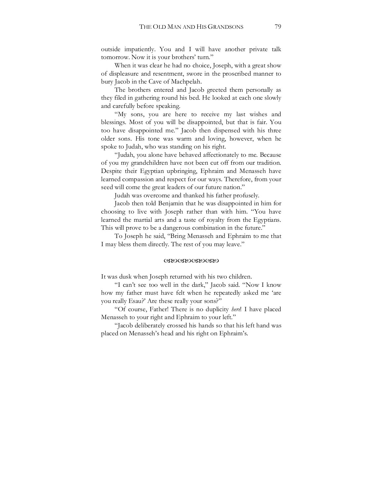outside impatiently. You and I will have another private talk tomorrow. Now it is your brothers' turn."

When it was clear he had no choice, Joseph, with a great show of displeasure and resentment, swore in the proscribed manner to bury Jacob in the Cave of Machpelah.

The brothers entered and Jacob greeted them personally as they filed in gathering round his bed. He looked at each one slowly and carefully before speaking.

"My sons, you are here to receive my last wishes and blessings. Most of you will be disappointed, but that is fair. You too have disappointed me." Jacob then dispensed with his three older sons. His tone was warm and loving, however, when he spoke to Judah, who was standing on his right.

"Judah, you alone have behaved affectionately to me. Because of you my grandchildren have not been cut off from our tradition. Despite their Egyptian upbringing, Ephraim and Menasseh have learned compassion and respect for our ways. Therefore, from your seed will come the great leaders of our future nation."

Judah was overcome and thanked his father profusely.

Jacob then told Benjamin that he was disappointed in him for choosing to live with Joseph rather than with him. "You have learned the martial arts and a taste of royalty from the Egyptians. This will prove to be a dangerous combination in the future."

To Joseph he said, "Bring Menasseh and Ephraim to me that I may bless them directly. The rest of you may leave."

#### WXWXWXWX

It was dusk when Joseph returned with his two children.

"I can't see too well in the dark," Jacob said. "Now I know how my father must have felt when he repeatedly asked me 'are you really Esau?' Are these really your sons?"

"Of course, Father! There is no duplicity *here*! I have placed Menasseh to your right and Ephraim to your left."

"Jacob deliberately crossed his hands so that his left hand was placed on Menasseh's head and his right on Ephraim's.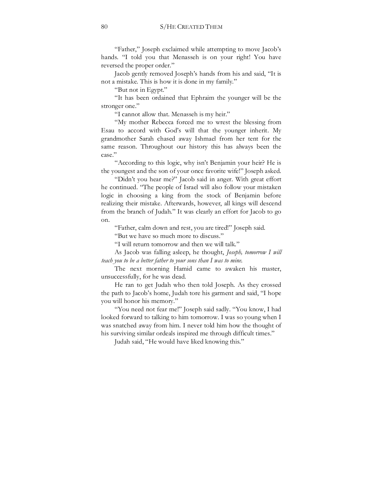"Father," Joseph exclaimed while attempting to move Jacob's hands. "I told you that Menasseh is on your right! You have reversed the proper order."

Jacob gently removed Joseph's hands from his and said, "It is not a mistake. This is how it is done in my family."

"But not in Egypt."

"It has been ordained that Ephraim the younger will be the stronger one."

"I cannot allow that. Menasseh is my heir."

"My mother Rebecca forced me to wrest the blessing from Esau to accord with God's will that the younger inherit. My grandmother Sarah chased away Ishmael from her tent for the same reason. Throughout our history this has always been the case."

"According to this logic, why isn't Benjamin your heir? He is the youngest and the son of your once favorite wife!" Joseph asked.

"Didn't you hear me?" Jacob said in anger. With great effort he continued. "The people of Israel will also follow your mistaken logic in choosing a king from the stock of Benjamin before realizing their mistake. Afterwards, however, all kings will descend from the branch of Judah." It was clearly an effort for Jacob to go on.

"Father, calm down and rest, you are tired!" Joseph said.

"But we have so much more to discuss."

"I will return tomorrow and then we will talk."

As Jacob was falling asleep, he thought, *Joseph, tomorrow I will teach you to be a better father to your sons than I was to mine.*

The next morning Hamid came to awaken his master, unsuccessfully, for he was dead.

He ran to get Judah who then told Joseph. As they crossed the path to Jacob's home, Judah tore his garment and said, "I hope you will honor his memory."

"You need not fear me!" Joseph said sadly. "You know, I had looked forward to talking to him tomorrow. I was so young when I was snatched away from him. I never told him how the thought of his surviving similar ordeals inspired me through difficult times."

Judah said, "He would have liked knowing this."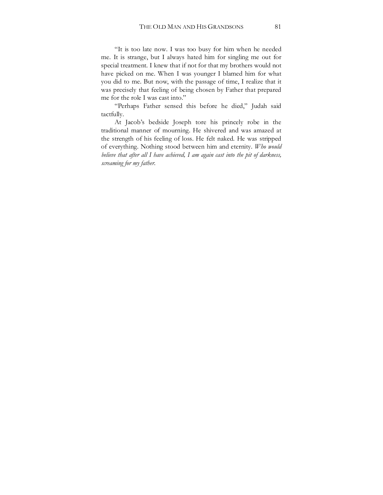"It is too late now. I was too busy for him when he needed me. It is strange, but I always hated him for singling me out for special treatment. I knew that if not for that my brothers would not have picked on me. When I was younger I blamed him for what you did to me. But now, with the passage of time, I realize that it was precisely that feeling of being chosen by Father that prepared me for the role I was cast into."

"Perhaps Father sensed this before he died," Judah said tactfully.

At Jacob's bedside Joseph tore his princely robe in the traditional manner of mourning. He shivered and was amazed at the strength of his feeling of loss. He felt naked. He was stripped of everything. Nothing stood between him and eternity. *Who would believe that after all I have achieved, I am again cast into the pit of darkness, screaming for my father.*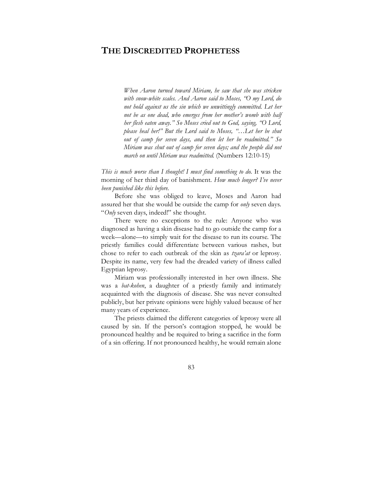# **THE DISCREDITED PROPHETESS**

*When Aaron turned toward Miriam, he saw that she was stricken with snow-white scales. And Aaron said to Moses, "O my Lord, do not hold against us the sin which we unwittingly committed. Let her not be as one dead, who emerges from her mother's womb with half her flesh eaten away." So Moses cried out to God, saying, "O Lord, please heal her!" But the Lord said to Moses, "…Let her be shut out of camp for seven days, and then let her be readmitted." So Miriam was shut out of camp for seven days; and the people did not march on until Miriam was readmitted*. (Numbers 12:10-15)

*This is much worse than I thought! I must find something to do.* It was the morning of her third day of banishment. *How much longer? I've never been punished like this before.* 

Before she was obliged to leave, Moses and Aaron had assured her that she would be outside the camp for *only* seven days. "*Only* seven days, indeed!" she thought.

There were no exceptions to the rule: Anyone who was diagnosed as having a skin disease had to go outside the camp for a week—alone—to simply wait for the disease to run its course. The priestly families could differentiate between various rashes, but chose to refer to each outbreak of the skin as *tzara'at* or leprosy. Despite its name, very few had the dreaded variety of illness called Egyptian leprosy.

Miriam was professionally interested in her own illness. She was a *bat-kohen*, a daughter of a priestly family and intimately acquainted with the diagnosis of disease. She was never consulted publicly, but her private opinions were highly valued because of her many years of experience.

The priests claimed the different categories of leprosy were all caused by sin. If the person's contagion stopped, he would be pronounced healthy and be required to bring a sacrifice in the form of a sin offering. If not pronounced healthy, he would remain alone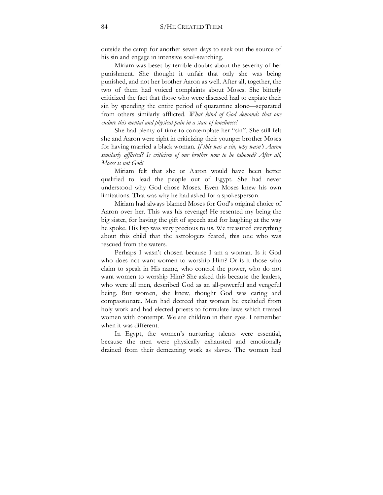outside the camp for another seven days to seek out the source of his sin and engage in intensive soul-searching.

Miriam was beset by terrible doubts about the severity of her punishment. She thought it unfair that only she was being punished, and not her brother Aaron as well. After all, together, the two of them had voiced complaints about Moses. She bitterly criticized the fact that those who were diseased had to expiate their sin by spending the entire period of quarantine alone—separated from others similarly afflicted*. What kind of God demands that one endure this mental and physical pain in a state of loneliness!* 

She had plenty of time to contemplate her "sin". She still felt she and Aaron were right in criticizing their younger brother Moses for having married a black woman. *If this was a sin, why wasn't Aaron similarly afflicted? Is criticism of our brother now to be tabooed? After all, Moses is not God!* 

Miriam felt that she or Aaron would have been better qualified to lead the people out of Egypt. She had never understood why God chose Moses. Even Moses knew his own limitations. That was why he had asked for a spokesperson.

Miriam had always blamed Moses for God's original choice of Aaron over her. This was his revenge! He resented my being the big sister, for having the gift of speech and for laughing at the way he spoke. His lisp was very precious to us. We treasured everything about this child that the astrologers feared, this one who was rescued from the waters.

Perhaps I wasn't chosen because I am a woman. Is it God who does not want women to worship Him? Or is it those who claim to speak in His name, who control the power, who do not want women to worship Him? She asked this because the leaders, who were all men, described God as an all-powerful and vengeful being. But women, she knew, thought God was caring and compassionate. Men had decreed that women be excluded from holy work and had elected priests to formulate laws which treated women with contempt. We are children in their eyes. I remember when it was different.

In Egypt, the women's nurturing talents were essential, because the men were physically exhausted and emotionally drained from their demeaning work as slaves. The women had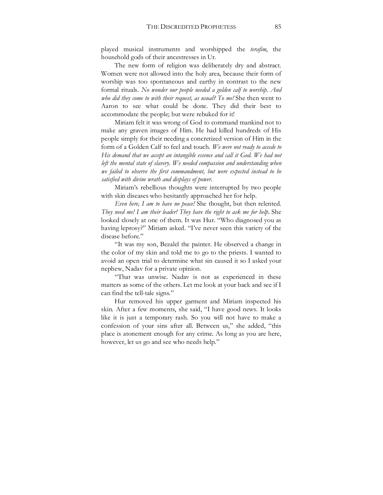played musical instruments and worshipped the *terafim*, the household gods of their ancestresses in Ur.

The new form of religion was deliberately dry and abstract. Women were not allowed into the holy area, because their form of worship was too spontaneous and earthy in contrast to the new formal rituals. *No wonder our people needed a golden calf to worship. And who did they come to with their request, as usual? To me!* She then went to Aaron to see what could be done. They did their best to accommodate the people; but were rebuked for it!

Miriam felt it was wrong of God to command mankind not to make any graven images of Him. He had killed hundreds of His people simply for their needing a concretized version of Him in the form of a Golden Calf to feel and touch. *We were not ready to accede to His demand that we accept an intangible essence and call it God. We had not*  left the mental state of slavery. We needed compassion and understanding when *we failed to observe the first commandment, but were expected instead to be satisfied with divine wrath and displays of power.*

Miriam's rebellious thoughts were interrupted by two people with skin diseases who hesitantly approached her for help.

*Even here, I am to have no peace!* She thought, but then relented. *They need me! I am their leader! They have the right to ask me for help*. She looked closely at one of them. It was Hur. "Who diagnosed you as having leprosy?" Miriam asked. "I've never seen this variety of the disease before."

"It was my son, Bezalel the painter. He observed a change in the color of my skin and told me to go to the priests. I wanted to avoid an open trial to determine what sin caused it so I asked your nephew, Nadav for a private opinion.

"That was unwise. Nadav is not as experienced in these matters as some of the others. Let me look at your back and see if I can find the tell-tale signs."

Hur removed his upper garment and Miriam inspected his skin. After a few moments, she said, "I have good news. It looks like it is just a temporary rash. So you will not have to make a confession of your sins after all. Between us," she added, "this place is atonement enough for any crime. As long as you are here, however, let us go and see who needs help."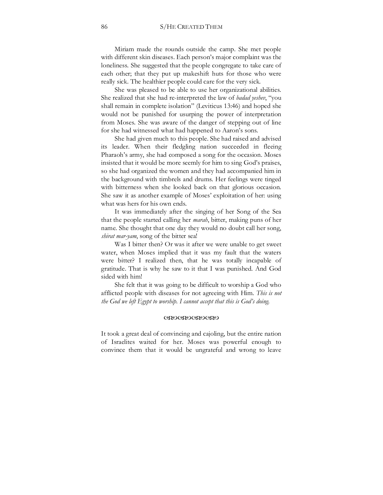Miriam made the rounds outside the camp. She met people with different skin diseases. Each person's major complaint was the loneliness. She suggested that the people congregate to take care of each other; that they put up makeshift huts for those who were really sick. The healthier people could care for the very sick.

She was pleased to be able to use her organizational abilities. She realized that she had re-interpreted the law of *badad yeshev*, "you shall remain in complete isolation" (Leviticus 13:46) and hoped she would not be punished for usurping the power of interpretation from Moses. She was aware of the danger of stepping out of line for she had witnessed what had happened to Aaron's sons.

She had given much to this people. She had raised and advised its leader. When their fledgling nation succeeded in fleeing Pharaoh's army, she had composed a song for the occasion. Moses insisted that it would be more seemly for him to sing God's praises, so she had organized the women and they had accompanied him in the background with timbrels and drums. Her feelings were tinged with bitterness when she looked back on that glorious occasion. She saw it as another example of Moses' exploitation of her: using what was hers for his own ends.

It was immediately after the singing of her Song of the Sea that the people started calling her *marah*, bitter, making puns of her name. She thought that one day they would no doubt call her song, *shirat mar-yam*, song of the bitter sea!

Was I bitter then? Or was it after we were unable to get sweet water, when Moses implied that it was my fault that the waters were bitter? I realized then, that he was totally incapable of gratitude. That is why he saw to it that I was punished. And God sided with him!

She felt that it was going to be difficult to worship a God who afflicted people with diseases for not agreeing with Him. *This is not the God we left Egypt to worship. I cannot accept that this is God's doing.* 

### WXWXWXWX

It took a great deal of convincing and cajoling, but the entire nation of Israelites waited for her. Moses was powerful enough to convince them that it would be ungrateful and wrong to leave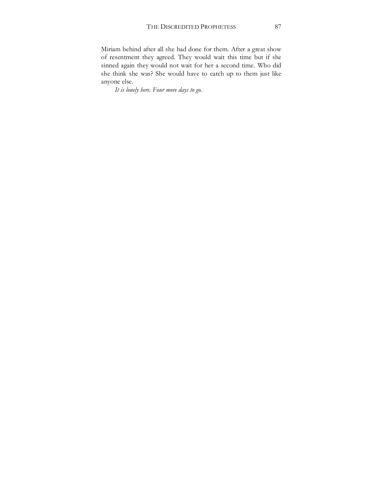Miriam behind after all she had done for them. After a great show of resentment they agreed. They would wait this time but if she sinned again they would not wait for her a second time. Who did she think she was? She would have to catch up to them just like anyone else.

*It is lonely here. Four more days to go*.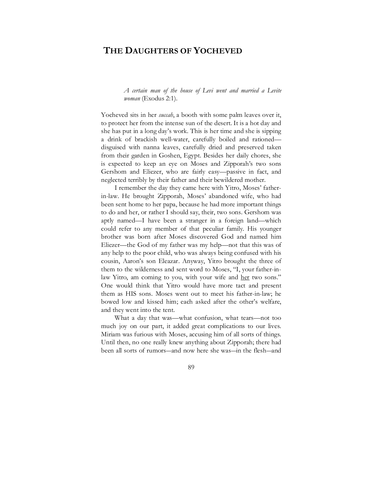# **THE DAUGHTERS OF YOCHEVED**

*A certain man of the house of Levi went and married a Levite woman* (Exodus 2:1).

Yocheved sits in her *succah*, a booth with some palm leaves over it, to protect her from the intense sun of the desert. It is a hot day and she has put in a long day's work. This is her time and she is sipping a drink of brackish well-water, carefully boiled and rationed disguised with nanna leaves, carefully dried and preserved taken from their garden in Goshen, Egypt. Besides her daily chores, she is expected to keep an eye on Moses and Zipporah's two sons Gershom and Eliezer, who are fairly easy—passive in fact, and neglected terribly by their father and their bewildered mother.

I remember the day they came here with Yitro, Moses' fatherin-law. He brought Zipporah, Moses' abandoned wife, who had been sent home to her papa, because he had more important things to do and her, or rather I should say, their, two sons. Gershom was aptly named—I have been a stranger in a foreign land—which could refer to any member of that peculiar family. His younger brother was born after Moses discovered God and named him Eliezer—the God of my father was my help—not that this was of any help to the poor child, who was always being confused with his cousin, Aaron's son Eleazar. Anyway, Yitro brought the three of them to the wilderness and sent word to Moses, "I, your father-inlaw Yitro, am coming to you, with your wife and her two sons." One would think that Yitro would have more tact and present them as HIS sons. Moses went out to meet his father-in-law; he bowed low and kissed him; each asked after the other's welfare, and they went into the tent.

What a day that was—what confusion, what tears—not too much joy on our part, it added great complications to our lives. Miriam was furious with Moses, accusing him of all sorts of things. Until then, no one really knew anything about Zipporah; there had been all sorts of rumors―and now here she was―in the flesh―and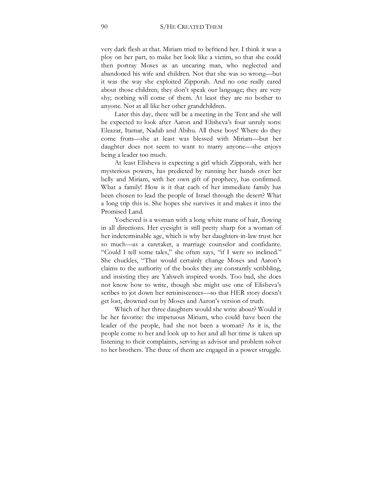very dark flesh at that. Miriam tried to befriend her. I think it was a ploy on her part, to make her look like a victim, so that she could then portray Moses as an uncaring man, who neglected and abandoned his wife and children. Not that she was so wrong—but it was the way she exploited Zipporah. And no one really cared about those children; they don't speak our language; they are very shy; nothing will come of them. At least they are no bother to anyone. Not at all like her other grandchildren.

Later this day, there will be a meeting in the Tent and she will be expected to look after Aaron and Elisheva's four unruly sons: Eleazar, Itamar, Nadab and Abihu. All these boys! Where do they come from—she at least was blessed with Miriam—but her daughter does not seem to want to marry anyone—she enjoys being a leader too much.

At least Elisheva is expecting a girl which Zipporah, with her mysterious powers, has predicted by running her hands over her belly and Miriam, with her own gift of prophecy, has confirmed. What a family! How is it that each of her immediate family has been chosen to lead the people of Israel through the desert? What a long trip this is. She hopes she survives it and makes it into the Promised Land.

Yocheved is a woman with a long white mane of hair, flowing in all directions. Her eyesight is still pretty sharp for a woman of her indeterminable age, which is why her daughters-in-law trust her so much—as a caretaker, a marriage counselor and confidante. "Could I tell some tales," she often says, "if I were so inclined." She chuckles, "That would certainly change Moses and Aaron's claims to the authority of the books they are constantly scribbling, and insisting they are Yahweh inspired words. Too bad, she does not know how to write, though she might use one of Elisheva's scribes to jot down her reminiscences—so that HER story doesn't get lost, drowned out by Moses and Aaron's version of truth.

Which of her three daughters would she write about? Would it be her favorite: the impetuous Miriam, who could have been the leader of the people, had she not been a woman? As it is, the people come to her and look up to her and all her time is taken up listening to their complaints, serving as advisor and problem solver to her brothers. The three of them are engaged in a power struggle.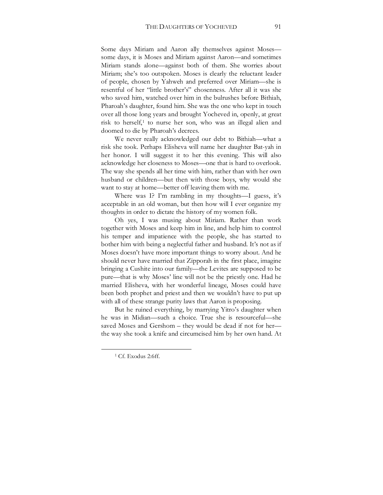Some days Miriam and Aaron ally themselves against Moses some days, it is Moses and Miriam against Aaron—and sometimes Miriam stands alone—against both of them. She worries about Miriam; she's too outspoken. Moses is clearly the reluctant leader of people, chosen by Yahweh and preferred over Miriam—she is resentful of her "little brother's" chosenness. After all it was she who saved him, watched over him in the bulrushes before Bithiah, Pharoah's daughter, found him. She was the one who kept in touch over all those long years and brought Yocheved in, openly, at great risk to herself,<sup>1</sup> to nurse her son, who was an illegal alien and doomed to die by Pharoah's decrees.

We never really acknowledged our debt to Bithiah—what a risk she took. Perhaps Elisheva will name her daughter Bat-yah in her honor. I will suggest it to her this evening. This will also acknowledge her closeness to Moses—one that is hard to overlook. The way she spends all her time with him, rather than with her own husband or children—but then with those boys, why would she want to stay at home—better off leaving them with me.

Where was I? I'm rambling in my thoughts—I guess, it's acceptable in an old woman, but then how will I ever organize my thoughts in order to dictate the history of my women folk.

Oh yes, I was musing about Miriam. Rather than work together with Moses and keep him in line, and help him to control his temper and impatience with the people, she has started to bother him with being a neglectful father and husband. It's not as if Moses doesn't have more important things to worry about. And he should never have married that Zipporah in the first place, imagine bringing a Cushite into our family—the Levites are supposed to be pure—that is why Moses' line will not be the priestly one. Had he married Elisheva, with her wonderful lineage, Moses could have been both prophet and priest and then we wouldn't have to put up with all of these strange purity laws that Aaron is proposing.

But he ruined everything, by marrying Yitro's daughter when he was in Midian—such a choice. True she is resourceful—she saved Moses and Gershom – they would be dead if not for her the way she took a knife and circumcised him by her own hand. At

<sup>&</sup>lt;sup>1</sup> Cf. Exodus 2:6ff.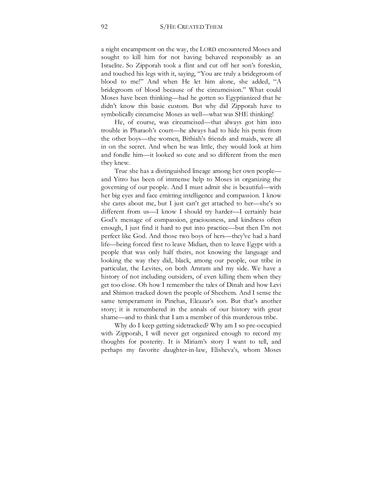a night encampment on the way, the LORD encountered Moses and sought to kill him for not having behaved responsibly as an Israelite. So Zipporah took a flint and cut off her son's foreskin, and touched his legs with it, saying, "You are truly a bridegroom of blood to me!" And when He let him alone, she added, "A bridegroom of blood because of the circumcision." What could Moses have been thinking—had he gotten so Egyptianized that he didn't know this basic custom. But why did Zipporah have to symbolically circumcise Moses as well—what was SHE thinking!

He, of course, was circumcised—that always got him into trouble in Pharaoh's court—he always had to hide his penis from the other boys—the women, Bithiah's friends and maids, were all in on the secret. And when he was little, they would look at him and fondle him—it looked so cute and so different from the men they knew.

True she has a distinguished lineage among her own people and Yitro has been of immense help to Moses in organizing the governing of our people. And I must admit she is beautiful—with her big eyes and face emitting intelligence and compassion. I know she cares about me, but I just can't get attached to her—she's so different from us—I know I should try harder—I certainly hear God's message of compassion, graciousness, and kindness often enough, I just find it hard to put into practice—but then I'm not perfect like God. And those two boys of hers—they've had a hard life—being forced first to leave Midian, then to leave Egypt with a people that was only half theirs, not knowing the language and looking the way they did, black, among our people, our tribe in particular, the Levites, on both Amram and my side. We have a history of not including outsiders, of even killing them when they get too close. Oh how I remember the tales of Dinah and how Levi and Shimon tracked down the people of Shechem. And I sense the same temperament in Pinchas, Eleazar's son. But that's another story; it is remembered in the annals of our history with great shame—and to think that I am a member of this murderous tribe.

Why do I keep getting sidetracked? Why am I so pre-occupied with Zipporah, I will never get organized enough to record my thoughts for posterity. It is Miriam's story I want to tell, and perhaps my favorite daughter-in-law, Elisheva's, whom Moses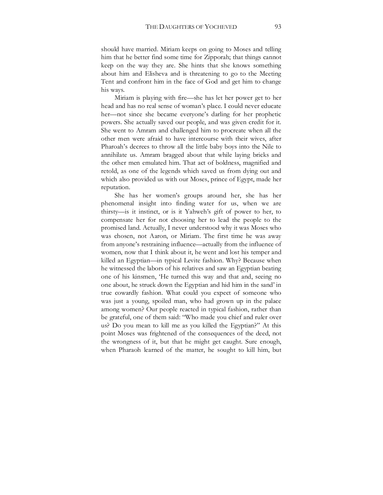should have married. Miriam keeps on going to Moses and telling him that he better find some time for Zipporah; that things cannot keep on the way they are. She hints that she knows something about him and Elisheva and is threatening to go to the Meeting Tent and confront him in the face of God and get him to change his ways.

Miriam is playing with fire—she has let her power get to her head and has no real sense of woman's place. I could never educate her—not since she became everyone's darling for her prophetic powers. She actually saved our people, and was given credit for it. She went to Amram and challenged him to procreate when all the other men were afraid to have intercourse with their wives, after Pharoah's decrees to throw all the little baby boys into the Nile to annihilate us. Amram bragged about that while laying bricks and the other men emulated him. That act of boldness, magnified and retold, as one of the legends which saved us from dying out and which also provided us with our Moses, prince of Egypt, made her reputation.

She has her women's groups around her, she has her phenomenal insight into finding water for us, when we are thirsty—is it instinct, or is it Yahweh's gift of power to her, to compensate her for not choosing her to lead the people to the promised land. Actually, I never understood why it was Moses who was chosen, not Aaron, or Miriam. The first time he was away from anyone's restraining influence—actually from the influence of women, now that I think about it, he went and lost his temper and killed an Egyptian—in typical Levite fashion. Why? Because when he witnessed the labors of his relatives and saw an Egyptian beating one of his kinsmen, 'He turned this way and that and, seeing no one about, he struck down the Egyptian and hid him in the sand' in true cowardly fashion. What could you expect of someone who was just a young, spoiled man, who had grown up in the palace among women? Our people reacted in typical fashion, rather than be grateful, one of them said: "Who made you chief and ruler over us? Do you mean to kill me as you killed the Egyptian?" At this point Moses was frightened of the consequences of the deed, not the wrongness of it, but that he might get caught. Sure enough, when Pharaoh learned of the matter, he sought to kill him, but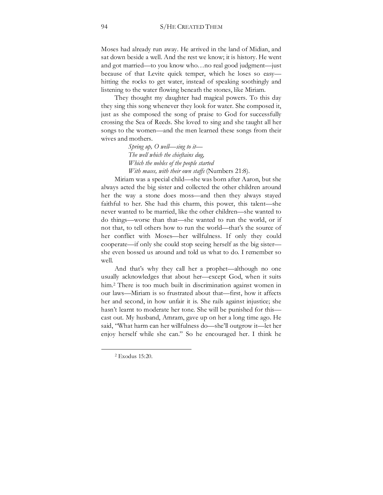Moses had already run away. He arrived in the land of Midian, and sat down beside a well. And the rest we know; it is history. He went and got married—to you know who…no real good judgment—just because of that Levite quick temper, which he loses so easy hitting the rocks to get water, instead of speaking soothingly and listening to the water flowing beneath the stones, like Miriam.

They thought my daughter had magical powers. To this day they sing this song whenever they look for water. She composed it, just as she composed the song of praise to God for successfully crossing the Sea of Reeds. She loved to sing and she taught all her songs to the women—and the men learned these songs from their wives and mothers.

> *Spring up, O well—sing to it— The well which the chieftains dug, Which the nobles of the people started With maces, with their own staffs* (Numbers 21:8).

Miriam was a special child—she was born after Aaron, but she always acted the big sister and collected the other children around her the way a stone does moss—and then they always stayed faithful to her. She had this charm, this power, this talent—she never wanted to be married, like the other children—she wanted to do things—worse than that—she wanted to run the world, or if not that, to tell others how to run the world—that's the source of her conflict with Moses—her willfulness. If only they could cooperate—if only she could stop seeing herself as the big sister she even bossed us around and told us what to do. I remember so well.

And that's why they call her a prophet—although no one usually acknowledges that about her—except God, when it suits him.<sup>2</sup> There is too much built in discrimination against women in our laws—Miriam is so frustrated about that—first, how it affects her and second, in how unfair it is. She rails against injustice; she hasn't learnt to moderate her tone. She will be punished for this cast out. My husband, Amram, gave up on her a long time ago. He said, "What harm can her willfulness do—she'll outgrow it—let her enjoy herself while she can." So he encouraged her. I think he

 $2$  Exodus  $15:20$ .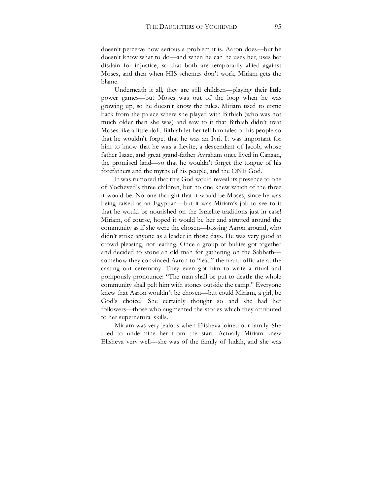doesn't perceive how serious a problem it is. Aaron does—but he doesn't know what to do—and when he can he uses her, uses her disdain for injustice, so that both are temporarily allied against Moses, and then when HIS schemes don't work, Miriam gets the blame.

Underneath it all, they are still children—playing their little power games—but Moses was out of the loop when he was growing up, so he doesn't know the rules. Miriam used to come back from the palace where she played with Bithiah (who was not much older than she was) and saw to it that Bithiah didn't treat Moses like a little doll. Bithiah let her tell him tales of his people so that he wouldn't forget that he was an Ivri. It was important for him to know that he was a Levite, a descendant of Jacob, whose father Isaac, and great grand-father Avraham once lived in Canaan, the promised land—so that he wouldn't forget the tongue of his forefathers and the myths of his people, and the ONE God.

It was rumored that this God would reveal its presence to one of Yocheved's three children, but no one knew which of the three it would be. No one thought that it would be Moses, since he was being raised as an Egyptian—but it was Miriam's job to see to it that he would be nourished on the Israelite traditions just in case! Miriam, of course, hoped it would be her and strutted around the community as if she were the chosen—bossing Aaron around, who didn't strike anyone as a leader in those days. He was very good at crowd pleasing, not leading. Once a group of bullies got together and decided to stone an old man for gathering on the Sabbath somehow they convinced Aaron to "lead" them and officiate at the casting out ceremony. They even got him to write a ritual and pompously pronounce: "The man shall be put to death: the whole community shall pelt him with stones outside the camp." Everyone knew that Aaron wouldn't be chosen—but could Miriam, a girl, be God's choice? She certainly thought so and she had her followers—those who augmented the stories which they attributed to her supernatural skills.

Miriam was very jealous when Elisheva joined our family. She tried to undermine her from the start. Actually Miriam knew Elisheva very well—she was of the family of Judah, and she was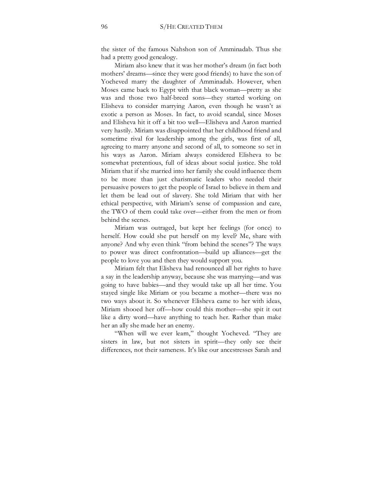the sister of the famous Nahshon son of Amminadab. Thus she had a pretty good genealogy.

Miriam also knew that it was her mother's dream (in fact both mothers' dreams—since they were good friends) to have the son of Yocheved marry the daughter of Amminadab. However, when Moses came back to Egypt with that black woman—pretty as she was and those two half-breed sons—they started working on Elisheva to consider marrying Aaron, even though he wasn't as exotic a person as Moses. In fact, to avoid scandal, since Moses and Elisheva hit it off a bit too well—Elisheva and Aaron married very hastily. Miriam was disappointed that her childhood friend and sometime rival for leadership among the girls, was first of all, agreeing to marry anyone and second of all, to someone so set in his ways as Aaron. Miriam always considered Elisheva to be somewhat pretentious, full of ideas about social justice. She told Miriam that if she married into her family she could influence them to be more than just charismatic leaders who needed their persuasive powers to get the people of Israel to believe in them and let them be lead out of slavery. She told Miriam that with her ethical perspective, with Miriam's sense of compassion and care, the TWO of them could take over—either from the men or from behind the scenes.

Miriam was outraged, but kept her feelings (for once) to herself. How could she put herself on my level? Me, share with anyone? And why even think "from behind the scenes"? The ways to power was direct confrontation—build up alliances—get the people to love you and then they would support you.

Miriam felt that Elisheva had renounced all her rights to have a say in the leadership anyway, because she was marrying—and was going to have babies—and they would take up all her time. You stayed single like Miriam or you became a mother—there was no two ways about it. So whenever Elisheva came to her with ideas, Miriam shooed her off—how could this mother—she spit it out like a dirty word—have anything to teach her. Rather than make her an ally she made her an enemy.

"When will we ever learn," thought Yocheved. "They are sisters in law, but not sisters in spirit—they only see their differences, not their sameness. It's like our ancestresses Sarah and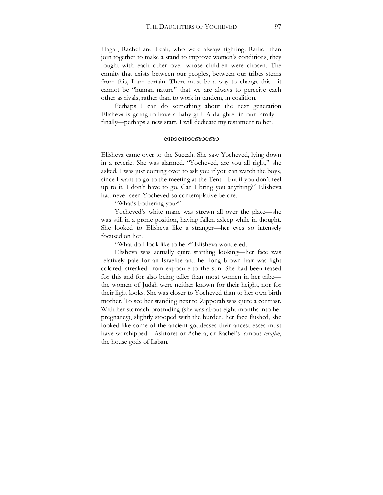Hagar, Rachel and Leah, who were always fighting. Rather than join together to make a stand to improve women's conditions, they fought with each other over whose children were chosen. The enmity that exists between our peoples, between our tribes stems from this, I am certain. There must be a way to change this—it cannot be "human nature" that we are always to perceive each other as rivals, rather than to work in tandem, in coalition.

Perhaps I can do something about the next generation Elisheva is going to have a baby girl. A daughter in our family finally—perhaps a new start. I will dedicate my testament to her.

#### WXWXWXWX

Elisheva came over to the Succah. She saw Yocheved, lying down in a reverie. She was alarmed. "Yocheved, are you all right," she asked. I was just coming over to ask you if you can watch the boys, since I want to go to the meeting at the Tent—but if you don't feel up to it, I don't have to go. Can I bring you anything?" Elisheva had never seen Yocheved so contemplative before.

"What's bothering you?"

Yocheved's white mane was strewn all over the place—she was still in a prone position, having fallen asleep while in thought. She looked to Elisheva like a stranger—her eyes so intensely focused on her.

"What do I look like to her?" Elisheva wondered.

Elisheva was actually quite startling looking—her face was relatively pale for an Israelite and her long brown hair was light colored, streaked from exposure to the sun. She had been teased for this and for also being taller than most women in her tribe the women of Judah were neither known for their height, nor for their light looks. She was closer to Yocheved than to her own birth mother. To see her standing next to Zipporah was quite a contrast. With her stomach protruding (she was about eight months into her pregnancy), slightly stooped with the burden, her face flushed, she looked like some of the ancient goddesses their ancestresses must have worshipped—Ashtoret or Ashera, or Rachel's famous *terafim*, the house gods of Laban.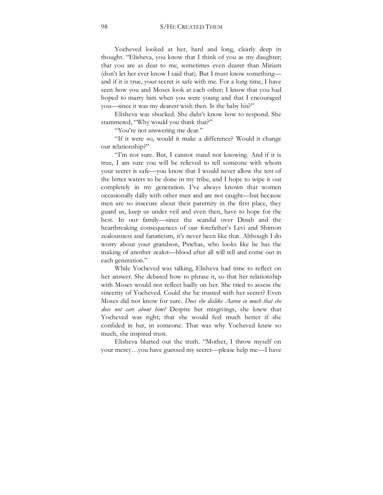Yocheved looked at her, hard and long, clearly deep in thought. "Elisheva, you know that I think of you as my daughter; that you are as dear to me, sometimes even dearer than Miriam (don't let her ever know I said that). But I must know something and if it is true, your secret is safe with me. For a long time, I have seen how you and Moses look at each other; I know that you had hoped to marry him when you were young and that I encouraged you—since it was my dearest wish then. Is the baby his?"

Elisheva was shocked. She didn't know how to respond. She stammered, "Why would you think that?"

"You're not answering me dear."

"If it were so, would it make a difference? Would it change our relationship?"

"I'm not sure. But, I cannot stand not knowing. And if it is true, I am sure you will be relieved to tell someone with whom your secret is safe—you know that I would never allow the test of the bitter waters to be done in my tribe, and I hope to wipe it out completely in my generation. I've always known that women occasionally dally with other men and are not caught—but because men are so insecure about their paternity in the first place, they guard us, keep us under veil and even then, have to hope for the best. In our family—since the scandal over Dinah and the heartbreaking consequences of our forefather's Levi and Shimon zealousness and fanaticism, it's never been like that. Although I do worry about your grandson, Pinchas, who looks like he has the making of another zealot—blood after all will tell and come out in each generation."

While Yocheved was talking, Elisheva had time to reflect on her answer. She debated how to phrase it, so that her relationship with Moses would not reflect badly on her. She tried to assess the sincerity of Yocheved. Could she be trusted with her secret? Even Moses did not know for sure. *Does she dislike Aaron so much that she does not care about him?* Despite her misgivings, she knew that Yocheved was right; that she would feel much better if she confided in her, in someone. That was why Yocheved knew so much, she inspired trust.

Elisheva blurted out the truth. "Mother, I throw myself on your mercy…you have guessed my secret—please help me—I have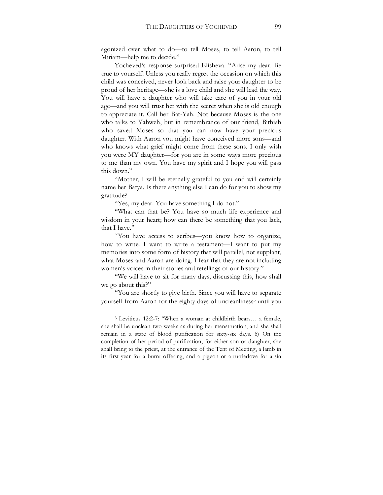agonized over what to do—to tell Moses, to tell Aaron, to tell Miriam—help me to decide."

Yocheved's response surprised Elisheva. "Arise my dear. Be true to yourself. Unless you really regret the occasion on which this child was conceived, never look back and raise your daughter to be proud of her heritage—she is a love child and she will lead the way. You will have a daughter who will take care of you in your old age—and you will trust her with the secret when she is old enough to appreciate it. Call her Bat-Yah. Not because Moses is the one who talks to Yahweh, but in remembrance of our friend, Bithiah who saved Moses so that you can now have your precious daughter. With Aaron you might have conceived more sons—and who knows what grief might come from these sons. I only wish you were MY daughter—for you are in some ways more precious to me than my own. You have my spirit and I hope you will pass this down."

"Mother, I will be eternally grateful to you and will certainly name her Batya. Is there anything else I can do for you to show my gratitude?

"Yes, my dear. You have something I do not."

"What can that be? You have so much life experience and wisdom in your heart; how can there be something that you lack, that I have."

"You have access to scribes—you know how to organize, how to write. I want to write a testament—I want to put my memories into some form of history that will parallel, not supplant, what Moses and Aaron are doing. I fear that they are not including women's voices in their stories and retellings of our history."

"We will have to sit for many days, discussing this, how shall we go about this?"

"You are shortly to give birth. Since you will have to separate yourself from Aaron for the eighty days of uncleanliness<sup>3</sup> until you

<sup>3</sup> Leviticus 12:2-7: "When a woman at childbirth bears… a female, she shall be unclean two weeks as during her menstruation, and she shall remain in a state of blood purification for sixty-six days. 6) On the completion of her period of purification, for either son or daughter, she shall bring to the priest, at the entrance of the Tent of Meeting, a lamb in its first year for a burnt offering, and a pigeon or a turtledove for a sin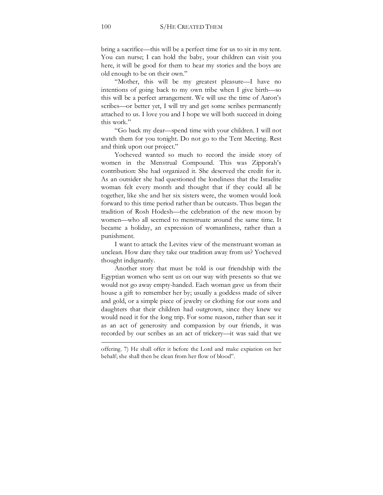bring a sacrifice—this will be a perfect time for us to sit in my tent. You can nurse; I can hold the baby, your children can visit you here, it will be good for them to hear my stories and the boys are old enough to be on their own."

"Mother, this will be my greatest pleasure—I have no intentions of going back to my own tribe when I give birth—so this will be a perfect arrangement. We will use the time of Aaron's scribes—or better yet, I will try and get some scribes permanently attached to us. I love you and I hope we will both succeed in doing this work"

"Go back my dear—spend time with your children. I will not watch them for you tonight. Do not go to the Tent Meeting. Rest and think upon our project."

Yocheved wanted so much to record the inside story of women in the Menstrual Compound. This was Zipporah's contribution: She had organized it. She deserved the credit for it. As an outsider she had questioned the loneliness that the Israelite woman felt every month and thought that if they could all be together, like she and her six sisters were, the women would look forward to this time period rather than be outcasts. Thus began the tradition of Rosh Hodesh—the celebration of the new moon by women—who all seemed to menstruate around the same time. It became a holiday, an expression of womanliness, rather than a punishment.

I want to attack the Levites view of the menstruant woman as unclean. How dare they take our tradition away from us? Yocheved thought indignantly.

Another story that must be told is our friendship with the Egyptian women who sent us on our way with presents so that we would not go away empty-handed. Each woman gave us from their house a gift to remember her by; usually a goddess made of silver and gold, or a simple piece of jewelry or clothing for our sons and daughters that their children had outgrown, since they knew we would need it for the long trip. For some reason, rather than see it as an act of generosity and compassion by our friends, it was recorded by our scribes as an act of trickery—it was said that we

offering. 7) He shall offer it before the Lord and make expiation on her behalf; she shall then be clean from her flow of blood".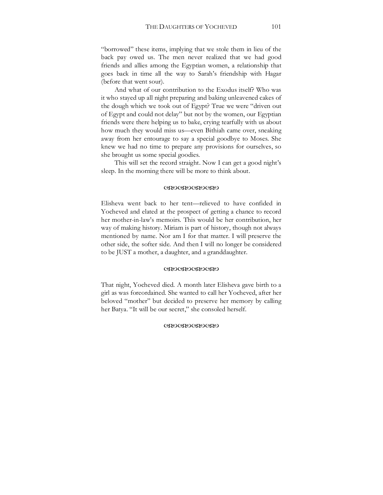"borrowed" these items, implying that we stole them in lieu of the back pay owed us. The men never realized that we had good friends and allies among the Egyptian women, a relationship that goes back in time all the way to Sarah's friendship with Hagar (before that went sour).

And what of our contribution to the Exodus itself? Who was it who stayed up all night preparing and baking unleavened cakes of the dough which we took out of Egypt? True we were "driven out of Egypt and could not delay" but not by the women, our Egyptian friends were there helping us to bake, crying tearfully with us about how much they would miss us—even Bithiah came over, sneaking away from her entourage to say a special goodbye to Moses. She knew we had no time to prepare any provisions for ourselves, so she brought us some special goodies.

This will set the record straight. Now I can get a good night's sleep. In the morning there will be more to think about.

#### **CRYOCRYOCRYO**

Elisheva went back to her tent—relieved to have confided in Yocheved and elated at the prospect of getting a chance to record her mother-in-law's memoirs. This would be her contribution, her way of making history. Miriam is part of history, though not always mentioned by name. Nor am I for that matter. I will preserve the other side, the softer side. And then I will no longer be considered to be JUST a mother, a daughter, and a granddaughter.

### **CRYOCRYOCRYO**

That night, Yocheved died. A month later Elisheva gave birth to a girl as was foreordained. She wanted to call her Yocheved, after her beloved "mother" but decided to preserve her memory by calling her Batya. "It will be our secret," she consoled herself.

### (XXVXXVXXX)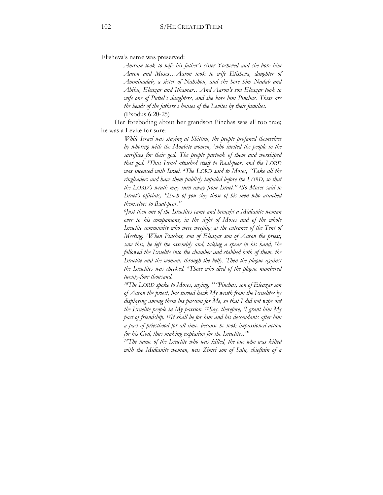Elisheva's name was preserved:

*Amram took to wife his father's sister Yocheved and she bore him Aaron and Moses…Aaron took to wife Elisheva, daughter of Amminadab, a sister of Nahshon, and she bore him Nadab and Abihu, Eleazar and Ithamar…And Aaron's son Eleazar took to wife one of Putiel's daughters, and she bore him Pinchas. These are the heads of the fathers's houses of the Levites by their families.*  (Exodus 6:20-25)

Her foreboding about her grandson Pinchas was all too true; he was a Levite for sure:

> *While Israel was staying at Shittim, the people profaned themselves by whoring with the Moabite women, 2who invited the people to the sacrifices for their god. The people partook of them and worshiped that god. 3Thus Israel attached itself to Baal-peor, and the LORD was incensed with Israel. 4The LORD said to Moses, "Take all the ringleaders and have them publicly impaled before the LORD, so that the LORD's wrath may turn away from Israel." 5So Moses said to Israel's officials, "Each of you slay those of his men who attached themselves to Baal-peor."*

> *6Just then one of the Israelites came and brought a Midianite woman over to his companions, in the sight of Moses and of the whole Israelite community who were weeping at the entrance of the Tent of Meeting. 7When Pinchas, son of Eleazar son of Aaron the priest, saw this, he left the assembly and, taking a spear in his hand, 8he followed the Israelite into the chamber and stabbed both of them, the Israelite and the woman, through the belly. Then the plague against the Israelites was checked. 9Those who died of the plague numbered twenty-four thousand.*

> *10The LORD spoke to Moses, saying, 11"Pinchas, son of Eleazar son of Aaron the priest, has turned back My wrath from the Israelites by displaying among them his passion for Me, so that I did not wipe out the Israelite people in My passion. 12Say, therefore, 'I grant him My pact of friendship. 13It shall be for him and his descendants after him a pact of priesthood for all time, because he took impassioned action for his God, thus making expiation for the Israelites.'"*

> <sup>14</sup>The name of the Israelite who was killed, the one who was killed *with the Midianite woman, was Zimri son of Salu, chieftain of a*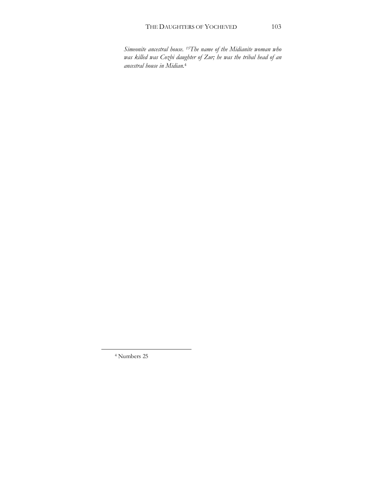*Simeonite ancestral house. 15The name of the Midianite woman who was killed was Cozbi daughter of Zur; he was the tribal head of an ancestral house in Midian.*4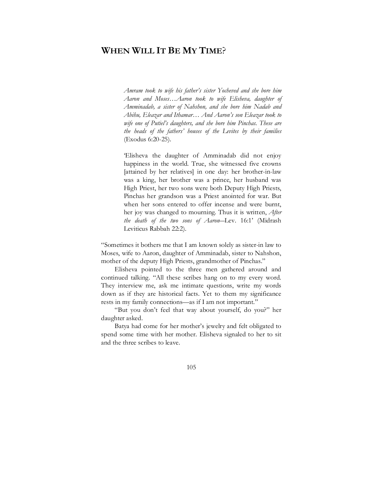# **WHEN WILL IT BE MY TIME**?

*Amram took to wife his father's sister Yocheved and she bore him Aaron and Moses…Aaron took to wife Elisheva, daughter of Amminadab, a sister of Nahshon, and she bore him Nadab and Abihu, Eleazar and Ithamar… And Aaron's son Eleazar took to wife one of Putiel's daughters, and she bore him Pinchas. These are the heads of the fathers' houses of the Levites by their families*  (Exodus 6:20-25).

'Elisheva the daughter of Amminadab did not enjoy happiness in the world. True, she witnessed five crowns [attained by her relatives] in one day: her brother-in-law was a king, her brother was a prince, her husband was High Priest, her two sons were both Deputy High Priests, Pinchas her grandson was a Priest anointed for war. But when her sons entered to offer incense and were burnt, her joy was changed to mourning. Thus it is written, *After the death of the two sons of Aaron*―Lev. 16:1' (Midrash Leviticus Rabbah 22:2).

"Sometimes it bothers me that I am known solely as sister-in law to Moses, wife to Aaron, daughter of Amminadab, sister to Nahshon, mother of the deputy High Priests, grandmother of Pinchas."

Elisheva pointed to the three men gathered around and continued talking. "All these scribes hang on to my every word. They interview me, ask me intimate questions, write my words down as if they are historical facts. Yet to them my significance rests in my family connections—as if I am not important."

"But you don't feel that way about yourself, do you?" her daughter asked.

Batya had come for her mother's jewelry and felt obligated to spend some time with her mother. Elisheva signaled to her to sit and the three scribes to leave.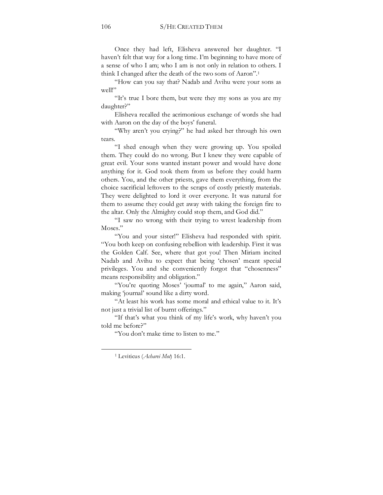Once they had left, Elisheva answered her daughter. "I haven't felt that way for a long time. I'm beginning to have more of a sense of who I am; who I am is not only in relation to others. I think I changed after the death of the two sons of Aaron".1

"How can you say that? Nadab and Avihu were your sons as well!"

"It's true I bore them, but were they my sons as you are my daughter?"

Elisheva recalled the acrimonious exchange of words she had with Aaron on the day of the boys' funeral.

"Why aren't you crying?" he had asked her through his own tears.

"I shed enough when they were growing up. You spoiled them. They could do no wrong. But I knew they were capable of great evil. Your sons wanted instant power and would have done anything for it. God took them from us before they could harm others. You, and the other priests, gave them everything, from the choice sacrificial leftovers to the scraps of costly priestly materials. They were delighted to lord it over everyone. It was natural for them to assume they could get away with taking the foreign fire to the altar. Only the Almighty could stop them, and God did."

"I saw no wrong with their trying to wrest leadership from Moses."

"You and your sister!" Elisheva had responded with spirit. "You both keep on confusing rebellion with leadership. First it was the Golden Calf. See, where that got you! Then Miriam incited Nadab and Avihu to expect that being 'chosen' meant special privileges. You and she conveniently forgot that "chosenness" means responsibility and obligation."

"You're quoting Moses' 'journal' to me again," Aaron said, making 'journal' sound like a dirty word.

"At least his work has some moral and ethical value to it. It's not just a trivial list of burnt offerings."

"If that's what you think of my life's work, why haven't you told me before?"

"You don't make time to listen to me."

<sup>1</sup> Leviticus (*Acharei Mot*) 16:1.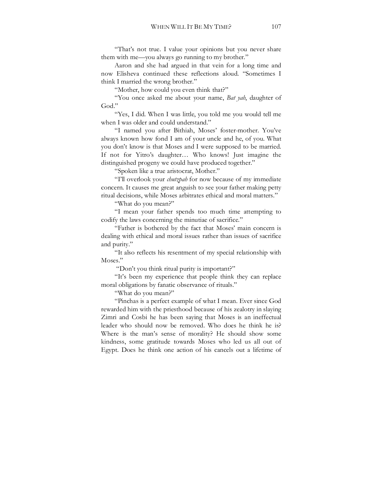"That's not true. I value your opinions but you never share them with me—you always go running to my brother."

Aaron and she had argued in that vein for a long time and now Elisheva continued these reflections aloud. "Sometimes I think I married the wrong brother."

"Mother, how could you even think that?"

"You once asked me about your name, *Bat yah*, daughter of God."

"Yes, I did. When I was little, you told me you would tell me when I was older and could understand."

"I named you after Bithiah, Moses' foster-mother. You've always known how fond I am of your uncle and he, of you. What you don't know is that Moses and I were supposed to be married. If not for Yitro's daughter… Who knows! Just imagine the distinguished progeny we could have produced together."

"Spoken like a true aristocrat, Mother."

"I'll overlook your *chutzpah* for now because of my immediate concern. It causes me great anguish to see your father making petty ritual decisions, while Moses arbitrates ethical and moral matters."

"What do you mean?"

"I mean your father spends too much time attempting to codify the laws concerning the minutiae of sacrifice."

"Father is bothered by the fact that Moses' main concern is dealing with ethical and moral issues rather than issues of sacrifice and purity."

"It also reflects his resentment of my special relationship with Moses."

"Don't you think ritual purity is important?"

"It's been my experience that people think they can replace moral obligations by fanatic observance of rituals."

"What do you mean?"

"Pinchas is a perfect example of what I mean. Ever since God rewarded him with the priesthood because of his zealotry in slaying Zimri and Cosbi he has been saying that Moses is an ineffectual leader who should now be removed. Who does he think he is? Where is the man's sense of morality? He should show some kindness, some gratitude towards Moses who led us all out of Egypt. Does he think one action of his cancels out a lifetime of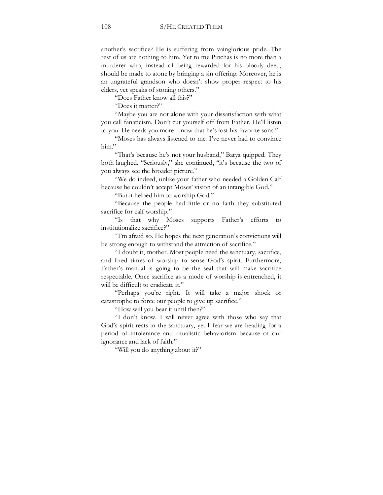another's sacrifice? He is suffering from vainglorious pride. The rest of us are nothing to him. Yet to me Pinchas is no more than a murderer who, instead of being rewarded for his bloody deed, should be made to atone by bringing a sin offering. Moreover, he is an ungrateful grandson who doesn't show proper respect to his elders, yet speaks of stoning others."

"Does Father know all this?"

"Does it matter?"

"Maybe you are not alone with your dissatisfaction with what you call fanaticism. Don't cut yourself off from Father. He'll listen to you. He needs you more…now that he's lost his favorite sons."

"Moses has always listened to me. I've never had to convince him."

"That's because he's not your husband," Batya quipped. They both laughed. "Seriously," she continued, "it's because the two of you always see the broader picture."

"We do indeed, unlike your father who needed a Golden Calf because he couldn't accept Moses' vision of an intangible God."

"But it helped him to worship God."

"Because the people had little or no faith they substituted sacrifice for calf worship."

"Is that why Moses supports Father's efforts to institutionalize sacrifice?"

"I'm afraid so. He hopes the next generation's convictions will be strong enough to withstand the attraction of sacrifice."

"I doubt it, mother. Most people need the sanctuary, sacrifice, and fixed times of worship to sense God's spirit. Furthermore, Father's manual is going to be the seal that will make sacrifice respectable. Once sacrifice as a mode of worship is entrenched, it will be difficult to eradicate it."

"Perhaps you're right. It will take a major shock or catastrophe to force our people to give up sacrifice."

"How will you bear it until then?"

"I don't know. I will never agree with those who say that God's spirit rests in the sanctuary, yet I fear we are heading for a period of intolerance and ritualistic behaviorism because of our ignorance and lack of faith."

"Will you do anything about it?"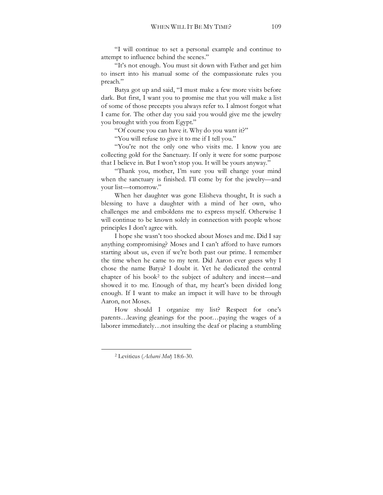"I will continue to set a personal example and continue to attempt to influence behind the scenes."

"It's not enough. You must sit down with Father and get him to insert into his manual some of the compassionate rules you preach."

Batya got up and said, "I must make a few more visits before dark. But first, I want you to promise me that you will make a list of some of those precepts you always refer to. I almost forgot what I came for. The other day you said you would give me the jewelry you brought with you from Egypt."

"Of course you can have it. Why do you want it?"

"You will refuse to give it to me if I tell you."

"You're not the only one who visits me. I know you are collecting gold for the Sanctuary. If only it were for some purpose that I believe in. But I won't stop you. It will be yours anyway."

"Thank you, mother, I'm sure you will change your mind when the sanctuary is finished. I'll come by for the jewelry—and your list—tomorrow."

When her daughter was gone Elisheva thought, It is such a blessing to have a daughter with a mind of her own, who challenges me and emboldens me to express myself. Otherwise I will continue to be known solely in connection with people whose principles I don't agree with.

I hope she wasn't too shocked about Moses and me. Did I say anything compromising? Moses and I can't afford to have rumors starting about us, even if we're both past our prime. I remember the time when he came to my tent. Did Aaron ever guess why I chose the name Batya? I doubt it. Yet he dedicated the central chapter of his book2 to the subject of adultery and incest—and showed it to me. Enough of that, my heart's been divided long enough. If I want to make an impact it will have to be through Aaron, not Moses.

How should I organize my list? Respect for one's parents…leaving gleanings for the poor…paying the wages of a laborer immediately…not insulting the deaf or placing a stumbling

<sup>2</sup> Leviticus (*Acharei Mot*) 18:6-30.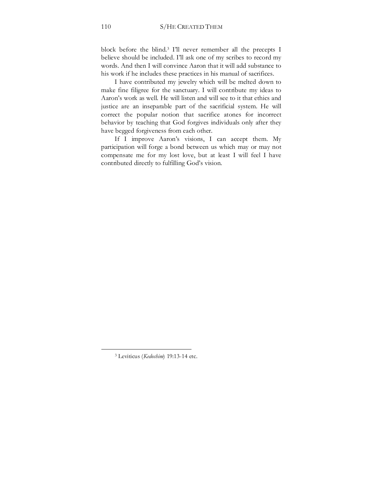block before the blind.3 I'll never remember all the precepts I believe should be included. I'll ask one of my scribes to record my words. And then I will convince Aaron that it will add substance to his work if he includes these practices in his manual of sacrifices.

I have contributed my jewelry which will be melted down to make fine filigree for the sanctuary. I will contribute my ideas to Aaron's work as well. He will listen and will see to it that ethics and justice are an inseparable part of the sacrificial system. He will correct the popular notion that sacrifice atones for incorrect behavior by teaching that God forgives individuals only after they have begged forgiveness from each other.

If I improve Aaron's visions, I can accept them. My participation will forge a bond between us which may or may not compensate me for my lost love, but at least I will feel I have contributed directly to fulfilling God's vision.

<sup>3</sup> Leviticus (*Kedoshim*) 19:13-14 etc.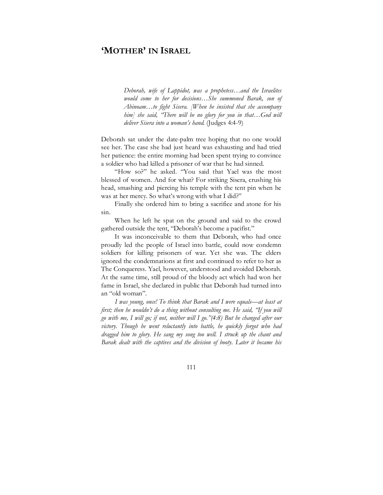## **'MOTHER' IN ISRAEL**

*Deborah, wife of Lappidot, was a prophetess…and the Israelites would come to her for decisions…She summoned Barak, son of Abinoam…to fight Sisera. [When he insisted that she accompany him] she said, "There will be no glory for you in that…God will deliver Sisera into a woman's hand*. (Judges 4:4-9)

Deborah sat under the date-palm tree hoping that no one would see her. The case she had just heard was exhausting and had tried her patience: the entire morning had been spent trying to convince a soldier who had killed a prisoner of war that he had sinned.

"How so?" he asked. "You said that Yael was the most blessed of women. And for what? For striking Sisera, crushing his head, smashing and piercing his temple with the tent pin when he was at her mercy. So what's wrong with what I did?"

Finally she ordered him to bring a sacrifice and atone for his sin.

When he left he spat on the ground and said to the crowd gathered outside the tent, "Deborah's become a pacifist."

It was inconceivable to them that Deborah, who had once proudly led the people of Israel into battle, could now condemn soldiers for killing prisoners of war. Yet she was. The elders ignored the condemnations at first and continued to refer to her as The Conqueress. Yael, however, understood and avoided Deborah. At the same time, still proud of the bloody act which had won her fame in Israel, she declared in public that Deborah had turned into an "old woman".

*I was young, once! To think that Barak and I were equals—at least at first; then he wouldn't do a thing without consulting me. He said, "If you will go with me, I will go; if not, neither will I go."(4:8) But he changed after our victory. Though he went reluctantly into battle, he quickly forgot who had dragged him to glory. He sang my song too well. I struck up the chant and Barak dealt with the captives and the division of booty. Later it became his*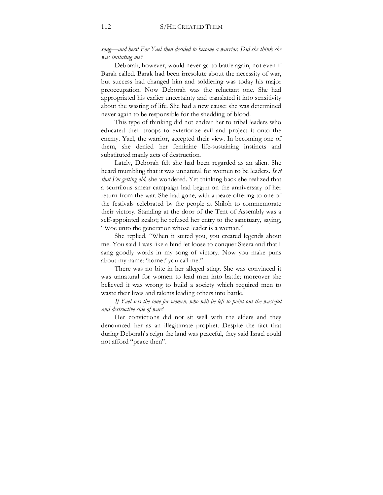*song—and hers! For Yael then decided to become a warrior. Did she think she was imitating me?* 

Deborah, however, would never go to battle again, not even if Barak called. Barak had been irresolute about the necessity of war, but success had changed him and soldiering was today his major preoccupation. Now Deborah was the reluctant one. She had appropriated his earlier uncertainty and translated it into sensitivity about the wasting of life. She had a new cause: she was determined never again to be responsible for the shedding of blood.

This type of thinking did not endear her to tribal leaders who educated their troops to exteriorize evil and project it onto the enemy. Yael, the warrior, accepted their view. In becoming one of them, she denied her feminine life-sustaining instincts and substituted manly acts of destruction.

Lately, Deborah felt she had been regarded as an alien. She heard mumbling that it was unnatural for women to be leaders. *Is it that I'm getting old,* she wondered. Yet thinking back she realized that a scurrilous smear campaign had begun on the anniversary of her return from the war. She had gone, with a peace offering to one of the festivals celebrated by the people at Shiloh to commemorate their victory. Standing at the door of the Tent of Assembly was a self-appointed zealot; he refused her entry to the sanctuary, saying, "Woe unto the generation whose leader is a woman."

She replied, "When it suited you, you created legends about me. You said I was like a hind let loose to conquer Sisera and that I sang goodly words in my song of victory. Now you make puns about my name: 'hornet' you call me."

There was no bite in her alleged sting. She was convinced it was unnatural for women to lead men into battle; moreover she believed it was wrong to build a society which required men to waste their lives and talents leading others into battle.

*If Yael sets the tone for women, who will be left to point out the wasteful and destructive side of war?* 

Her convictions did not sit well with the elders and they denounced her as an illegitimate prophet. Despite the fact that during Deborah's reign the land was peaceful, they said Israel could not afford "peace then".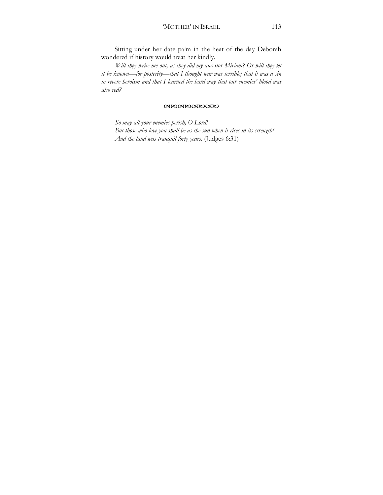Sitting under her date palm in the heat of the day Deborah wondered if history would treat her kindly.

*Will they write me out, as they did my ancestor Miriam? Or will they let it be known—for posterity—that I thought war was terrible; that it was a sin to revere heroism and that I learned the hard way that our enemies' blood was also red?* 

#### WXWXWXWX

*So may all your enemies perish, O Lord! But those who love you shall be as the sun when it rises in its strength! And the land was tranquil forty years.* (Judges 6:31)